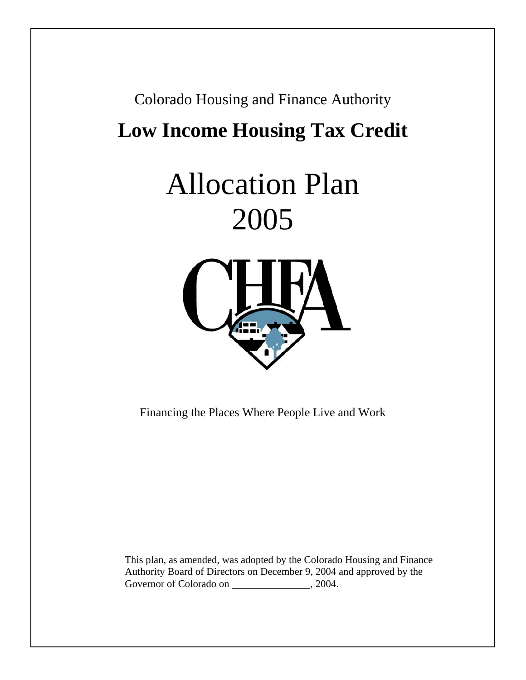# Colorado Housing and Finance Authority **Low Income Housing Tax Credit**

# Allocation Plan 2005



Financing the Places Where People Live and Work

This plan, as amended, was adopted by the Colorado Housing and Finance Authority Board of Directors on December 9, 2004 and approved by the Governor of Colorado on , 2004.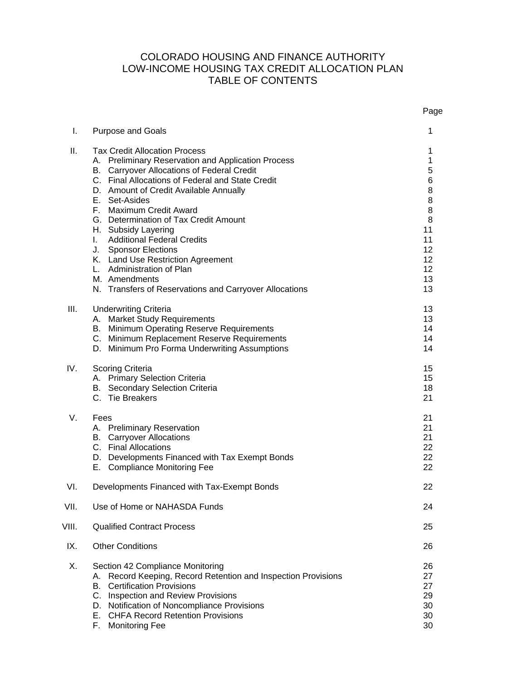# COLORADO HOUSING AND FINANCE AUTHORITY LOW-INCOME HOUSING TAX CREDIT ALLOCATION PLAN TABLE OF CONTENTS

|       |                                                                                                                                                                                                                                                                                                                                                                                                                                                                                                                                                          | Page                                                                                                     |
|-------|----------------------------------------------------------------------------------------------------------------------------------------------------------------------------------------------------------------------------------------------------------------------------------------------------------------------------------------------------------------------------------------------------------------------------------------------------------------------------------------------------------------------------------------------------------|----------------------------------------------------------------------------------------------------------|
| I.    | <b>Purpose and Goals</b>                                                                                                                                                                                                                                                                                                                                                                                                                                                                                                                                 | 1                                                                                                        |
| Ш.    | <b>Tax Credit Allocation Process</b><br>A. Preliminary Reservation and Application Process<br>B. Carryover Allocations of Federal Credit<br>C. Final Allocations of Federal and State Credit<br>D. Amount of Credit Available Annually<br>E. Set-Asides<br>F. Maximum Credit Award<br>G. Determination of Tax Credit Amount<br>H. Subsidy Layering<br>I. Additional Federal Credits<br>J. Sponsor Elections<br>K. Land Use Restriction Agreement<br>L. Administration of Plan<br>M. Amendments<br>N. Transfers of Reservations and Carryover Allocations | 1<br>1<br>5<br>6<br>8<br>8<br>8<br>8<br>11<br>11<br>12<br>12 <sup>2</sup><br>12 <sup>2</sup><br>13<br>13 |
| III.  | <b>Underwriting Criteria</b><br>A. Market Study Requirements<br>B. Minimum Operating Reserve Requirements<br>C. Minimum Replacement Reserve Requirements<br>D. Minimum Pro Forma Underwriting Assumptions                                                                                                                                                                                                                                                                                                                                                | 13<br>13<br>14<br>14<br>14                                                                               |
| IV.   | Scoring Criteria<br>A. Primary Selection Criteria<br><b>B.</b> Secondary Selection Criteria<br>C. Tie Breakers                                                                                                                                                                                                                                                                                                                                                                                                                                           | 15<br>15<br>18<br>21                                                                                     |
| V.    | Fees<br>A. Preliminary Reservation<br><b>B.</b> Carryover Allocations<br>C. Final Allocations<br>D. Developments Financed with Tax Exempt Bonds<br>E. Compliance Monitoring Fee                                                                                                                                                                                                                                                                                                                                                                          | 21<br>21<br>21<br>22<br>22<br>22                                                                         |
| VI.   | Developments Financed with Tax-Exempt Bonds                                                                                                                                                                                                                                                                                                                                                                                                                                                                                                              | 22                                                                                                       |
| VII.  | Use of Home or NAHASDA Funds                                                                                                                                                                                                                                                                                                                                                                                                                                                                                                                             | 24                                                                                                       |
| VIII. | <b>Qualified Contract Process</b>                                                                                                                                                                                                                                                                                                                                                                                                                                                                                                                        | 25                                                                                                       |
| IX.   | <b>Other Conditions</b>                                                                                                                                                                                                                                                                                                                                                                                                                                                                                                                                  | 26                                                                                                       |
| Χ.    | Section 42 Compliance Monitoring<br>Record Keeping, Record Retention and Inspection Provisions<br>Α.<br><b>Certification Provisions</b><br>В.<br>C. Inspection and Review Provisions<br>D. Notification of Noncompliance Provisions<br>E. CHFA Record Retention Provisions<br>F.<br><b>Monitoring Fee</b>                                                                                                                                                                                                                                                | 26<br>27<br>27<br>29<br>30<br>30<br>30                                                                   |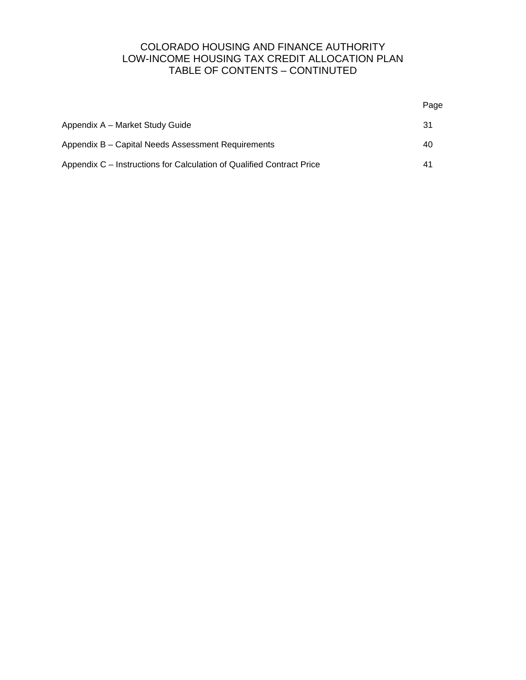# COLORADO HOUSING AND FINANCE AUTHORITY LOW-INCOME HOUSING TAX CREDIT ALLOCATION PLAN TABLE OF CONTENTS – CONTINUTED

|                                                                       | Page |
|-----------------------------------------------------------------------|------|
| Appendix A – Market Study Guide                                       | 31   |
| Appendix B – Capital Needs Assessment Requirements                    | 40   |
| Appendix C – Instructions for Calculation of Qualified Contract Price | 41   |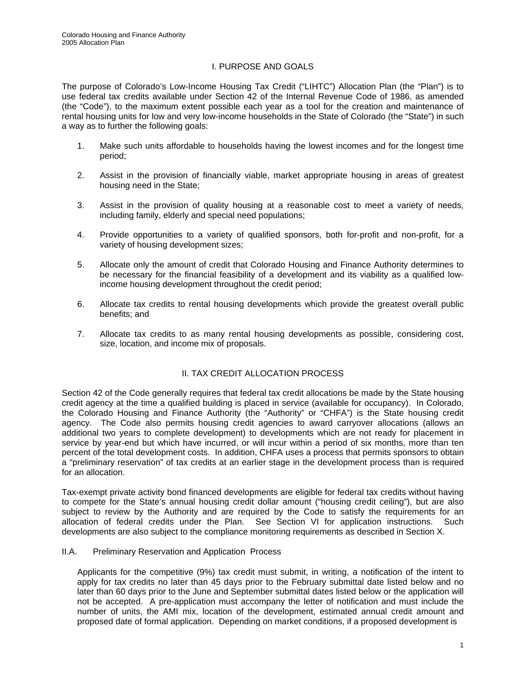## I. PURPOSE AND GOALS

The purpose of Colorado's Low-Income Housing Tax Credit ("LIHTC") Allocation Plan (the "Plan") is to use federal tax credits available under Section 42 of the Internal Revenue Code of 1986, as amended (the "Code"), to the maximum extent possible each year as a tool for the creation and maintenance of rental housing units for low and very low-income households in the State of Colorado (the "State") in such a way as to further the following goals:

- 1. Make such units affordable to households having the lowest incomes and for the longest time period;
- 2. Assist in the provision of financially viable, market appropriate housing in areas of greatest housing need in the State;
- 3. Assist in the provision of quality housing at a reasonable cost to meet a variety of needs, including family, elderly and special need populations;
- 4. Provide opportunities to a variety of qualified sponsors, both for-profit and non-profit, for a variety of housing development sizes;
- 5. Allocate only the amount of credit that Colorado Housing and Finance Authority determines to be necessary for the financial feasibility of a development and its viability as a qualified lowincome housing development throughout the credit period;
- 6. Allocate tax credits to rental housing developments which provide the greatest overall public benefits; and
- 7. Allocate tax credits to as many rental housing developments as possible, considering cost, size, location, and income mix of proposals.

#### II. TAX CREDIT ALLOCATION PROCESS

Section 42 of the Code generally requires that federal tax credit allocations be made by the State housing credit agency at the time a qualified building is placed in service (available for occupancy). In Colorado, the Colorado Housing and Finance Authority (the "Authority" or "CHFA") is the State housing credit agency. The Code also permits housing credit agencies to award carryover allocations (allows an additional two years to complete development) to developments which are not ready for placement in service by year-end but which have incurred, or will incur within a period of six months, more than ten percent of the total development costs. In addition, CHFA uses a process that permits sponsors to obtain a "preliminary reservation" of tax credits at an earlier stage in the development process than is required for an allocation.

Tax-exempt private activity bond financed developments are eligible for federal tax credits without having to compete for the State's annual housing credit dollar amount ("housing credit ceiling"), but are also subject to review by the Authority and are required by the Code to satisfy the requirements for an allocation of federal credits under the Plan. See Section VI for application instructions. Such developments are also subject to the compliance monitoring requirements as described in Section X.

#### II.A. Preliminary Reservation and Application Process

Applicants for the competitive (9%) tax credit must submit, in writing, a notification of the intent to apply for tax credits no later than 45 days prior to the February submittal date listed below and no later than 60 days prior to the June and September submittal dates listed below or the application will not be accepted. A pre-application must accompany the letter of notification and must include the number of units, the AMI mix, location of the development, estimated annual credit amount and proposed date of formal application. Depending on market conditions, if a proposed development is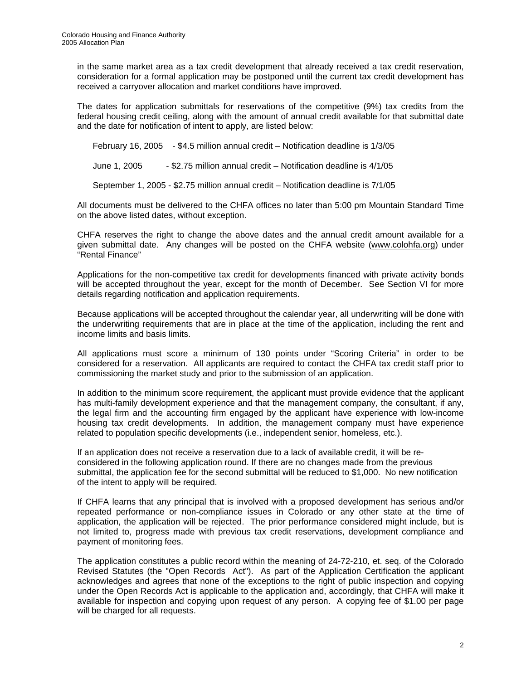in the same market area as a tax credit development that already received a tax credit reservation, consideration for a formal application may be postponed until the current tax credit development has received a carryover allocation and market conditions have improved.

The dates for application submittals for reservations of the competitive (9%) tax credits from the federal housing credit ceiling, along with the amount of annual credit available for that submittal date and the date for notification of intent to apply, are listed below:

February 16, 2005 - \$4.5 million annual credit – Notification deadline is 1/3/05

June 1, 2005 - \$2.75 million annual credit – Notification deadline is 4/1/05

September 1, 2005 - \$2.75 million annual credit – Notification deadline is 7/1/05

All documents must be delivered to the CHFA offices no later than 5:00 pm Mountain Standard Time on the above listed dates, without exception.

CHFA reserves the right to change the above dates and the annual credit amount available for a given submittal date. Any changes will be posted on the CHFA website ([www.colohfa.org\)](http://www.colohfa.org/) under "Rental Finance"

Applications for the non-competitive tax credit for developments financed with private activity bonds will be accepted throughout the year, except for the month of December. See Section VI for more details regarding notification and application requirements.

Because applications will be accepted throughout the calendar year, all underwriting will be done with the underwriting requirements that are in place at the time of the application, including the rent and income limits and basis limits.

All applications must score a minimum of 130 points under "Scoring Criteria" in order to be considered for a reservation. All applicants are required to contact the CHFA tax credit staff prior to commissioning the market study and prior to the submission of an application.

In addition to the minimum score requirement, the applicant must provide evidence that the applicant has multi-family development experience and that the management company, the consultant, if any, the legal firm and the accounting firm engaged by the applicant have experience with low-income housing tax credit developments. In addition, the management company must have experience related to population specific developments (i.e., independent senior, homeless, etc.).

If an application does not receive a reservation due to a lack of available credit, it will be reconsidered in the following application round. If there are no changes made from the previous submittal, the application fee for the second submittal will be reduced to \$1,000. No new notification of the intent to apply will be required.

If CHFA learns that any principal that is involved with a proposed development has serious and/or repeated performance or non-compliance issues in Colorado or any other state at the time of application, the application will be rejected. The prior performance considered might include, but is not limited to, progress made with previous tax credit reservations, development compliance and payment of monitoring fees.

The application constitutes a public record within the meaning of 24-72-210, et. seq. of the Colorado Revised Statutes (the "Open Records Act"). As part of the Application Certification the applicant acknowledges and agrees that none of the exceptions to the right of public inspection and copying under the Open Records Act is applicable to the application and, accordingly, that CHFA will make it available for inspection and copying upon request of any person. A copying fee of \$1.00 per page will be charged for all requests.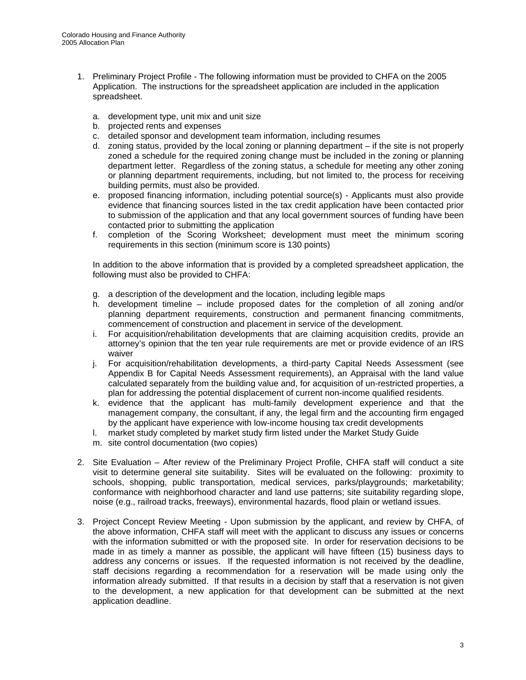- 1. Preliminary Project Profile The following information must be provided to CHFA on the 2005 Application. The instructions for the spreadsheet application are included in the application spreadsheet.
	- a. development type, unit mix and unit size
	- b. projected rents and expenses
	- c. detailed sponsor and development team information, including resumes
	- d. zoning status, provided by the local zoning or planning department if the site is not properly zoned a schedule for the required zoning change must be included in the zoning or planning department letter. Regardless of the zoning status, a schedule for meeting any other zoning or planning department requirements, including, but not limited to, the process for receiving building permits, must also be provided.
	- e. proposed financing information, including potential source(s) Applicants must also provide evidence that financing sources listed in the tax credit application have been contacted prior to submission of the application and that any local government sources of funding have been contacted prior to submitting the application
	- f. completion of the Scoring Worksheet; development must meet the minimum scoring requirements in this section (minimum score is 130 points)

In addition to the above information that is provided by a completed spreadsheet application, the following must also be provided to CHFA:

- g. a description of the development and the location, including legible maps
- h. development timeline include proposed dates for the completion of all zoning and/or planning department requirements, construction and permanent financing commitments, commencement of construction and placement in service of the development.
- i. For acquisition/rehabilitation developments that are claiming acquisition credits, provide an attorney's opinion that the ten year rule requirements are met or provide evidence of an IRS waiver
- j. For acquisition/rehabilitation developments, a third-party Capital Needs Assessment (see Appendix B for Capital Needs Assessment requirements), an Appraisal with the land value calculated separately from the building value and, for acquisition of un-restricted properties, a plan for addressing the potential displacement of current non-income qualified residents.
- k. evidence that the applicant has multi-family development experience and that the management company, the consultant, if any, the legal firm and the accounting firm engaged by the applicant have experience with low-income housing tax credit developments
- l. market study completed by market study firm listed under the Market Study Guide
- m. site control documentation (two copies)
- 2. Site Evaluation After review of the Preliminary Project Profile, CHFA staff will conduct a site visit to determine general site suitability. Sites will be evaluated on the following: proximity to schools, shopping, public transportation, medical services, parks/playgrounds; marketability; conformance with neighborhood character and land use patterns; site suitability regarding slope, noise (e.g., railroad tracks, freeways), environmental hazards, flood plain or wetland issues.
- 3. Project Concept Review Meeting Upon submission by the applicant, and review by CHFA, of the above information, CHFA staff will meet with the applicant to discuss any issues or concerns with the information submitted or with the proposed site. In order for reservation decisions to be made in as timely a manner as possible, the applicant will have fifteen (15) business days to address any concerns or issues. If the requested information is not received by the deadline, staff decisions regarding a recommendation for a reservation will be made using only the information already submitted. If that results in a decision by staff that a reservation is not given to the development, a new application for that development can be submitted at the next application deadline.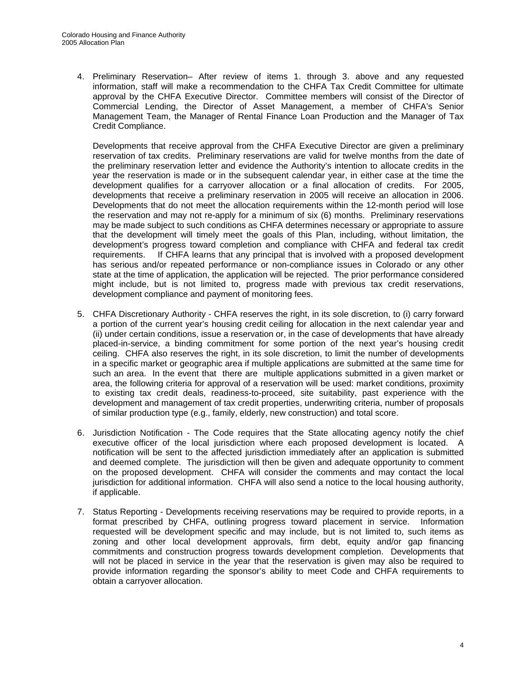4. Preliminary Reservation– After review of items 1. through 3. above and any requested information, staff will make a recommendation to the CHFA Tax Credit Committee for ultimate approval by the CHFA Executive Director. Committee members will consist of the Director of Commercial Lending, the Director of Asset Management, a member of CHFA's Senior Management Team, the Manager of Rental Finance Loan Production and the Manager of Tax Credit Compliance.

Developments that receive approval from the CHFA Executive Director are given a preliminary reservation of tax credits. Preliminary reservations are valid for twelve months from the date of the preliminary reservation letter and evidence the Authority's intention to allocate credits in the year the reservation is made or in the subsequent calendar year, in either case at the time the development qualifies for a carryover allocation or a final allocation of credits. For 2005, developments that receive a preliminary reservation in 2005 will receive an allocation in 2006. Developments that do not meet the allocation requirements within the 12-month period will lose the reservation and may not re-apply for a minimum of six (6) months. Preliminary reservations may be made subject to such conditions as CHFA determines necessary or appropriate to assure that the development will timely meet the goals of this Plan, including, without limitation, the development's progress toward completion and compliance with CHFA and federal tax credit requirements. If CHFA learns that any principal that is involved with a proposed development has serious and/or repeated performance or non-compliance issues in Colorado or any other state at the time of application, the application will be rejected. The prior performance considered might include, but is not limited to, progress made with previous tax credit reservations, development compliance and payment of monitoring fees.

- 5. CHFA Discretionary Authority CHFA reserves the right, in its sole discretion, to (i) carry forward a portion of the current year's housing credit ceiling for allocation in the next calendar year and (ii) under certain conditions, issue a reservation or, in the case of developments that have already placed-in-service, a binding commitment for some portion of the next year's housing credit ceiling. CHFA also reserves the right, in its sole discretion, to limit the number of developments in a specific market or geographic area if multiple applications are submitted at the same time for such an area. In the event that there are multiple applications submitted in a given market or area, the following criteria for approval of a reservation will be used: market conditions, proximity to existing tax credit deals, readiness-to-proceed, site suitability, past experience with the development and management of tax credit properties, underwriting criteria, number of proposals of similar production type (e.g., family, elderly, new construction) and total score.
- 6. Jurisdiction Notification The Code requires that the State allocating agency notify the chief executive officer of the local jurisdiction where each proposed development is located. A notification will be sent to the affected jurisdiction immediately after an application is submitted and deemed complete. The jurisdiction will then be given and adequate opportunity to comment on the proposed development. CHFA will consider the comments and may contact the local jurisdiction for additional information. CHFA will also send a notice to the local housing authority, if applicable.
- 7. Status Reporting Developments receiving reservations may be required to provide reports, in a format prescribed by CHFA, outlining progress toward placement in service. Information requested will be development specific and may include, but is not limited to, such items as zoning and other local development approvals, firm debt, equity and/or gap financing commitments and construction progress towards development completion. Developments that will not be placed in service in the year that the reservation is given may also be required to provide information regarding the sponsor's ability to meet Code and CHFA requirements to obtain a carryover allocation.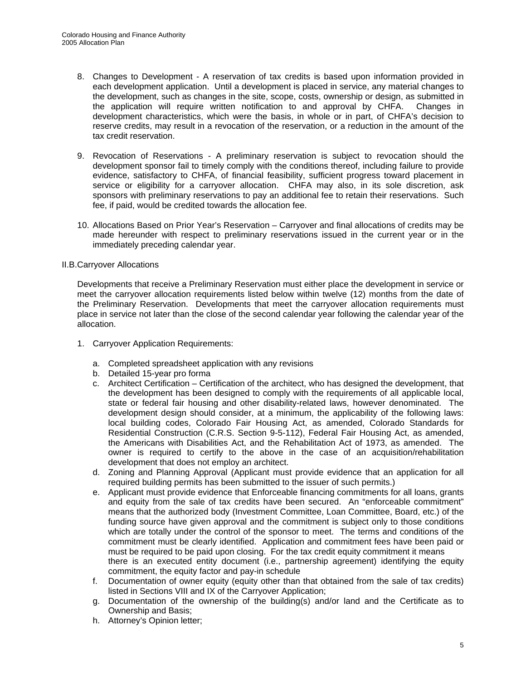- 8. Changes to Development A reservation of tax credits is based upon information provided in each development application. Until a development is placed in service, any material changes to the development, such as changes in the site, scope, costs, ownership or design, as submitted in the application will require written notification to and approval by CHFA. Changes in development characteristics, which were the basis, in whole or in part, of CHFA's decision to reserve credits, may result in a revocation of the reservation, or a reduction in the amount of the tax credit reservation.
- 9. Revocation of Reservations A preliminary reservation is subject to revocation should the development sponsor fail to timely comply with the conditions thereof, including failure to provide evidence, satisfactory to CHFA, of financial feasibility, sufficient progress toward placement in service or eligibility for a carryover allocation. CHFA may also, in its sole discretion, ask sponsors with preliminary reservations to pay an additional fee to retain their reservations. Such fee, if paid, would be credited towards the allocation fee.
- 10. Allocations Based on Prior Year's Reservation Carryover and final allocations of credits may be made hereunder with respect to preliminary reservations issued in the current year or in the immediately preceding calendar year.

#### II.B.Carryover Allocations

Developments that receive a Preliminary Reservation must either place the development in service or meet the carryover allocation requirements listed below within twelve (12) months from the date of the Preliminary Reservation. Developments that meet the carryover allocation requirements must place in service not later than the close of the second calendar year following the calendar year of the allocation.

- 1. Carryover Application Requirements:
	- a. Completed spreadsheet application with any revisions
	- b. Detailed 15-year pro forma
	- c. Architect Certification Certification of the architect, who has designed the development, that the development has been designed to comply with the requirements of all applicable local, state or federal fair housing and other disability-related laws, however denominated. The development design should consider, at a minimum, the applicability of the following laws: local building codes, Colorado Fair Housing Act, as amended, Colorado Standards for Residential Construction (C.R.S. Section 9-5-112), Federal Fair Housing Act, as amended, the Americans with Disabilities Act, and the Rehabilitation Act of 1973, as amended. The owner is required to certify to the above in the case of an acquisition/rehabilitation development that does not employ an architect.
	- d. Zoning and Planning Approval (Applicant must provide evidence that an application for all required building permits has been submitted to the issuer of such permits.)
	- e. Applicant must provide evidence that Enforceable financing commitments for all loans, grants and equity from the sale of tax credits have been secured. An "enforceable commitment" means that the authorized body (Investment Committee, Loan Committee, Board, etc.) of the funding source have given approval and the commitment is subject only to those conditions which are totally under the control of the sponsor to meet. The terms and conditions of the commitment must be clearly identified. Application and commitment fees have been paid or must be required to be paid upon closing. For the tax credit equity commitment it means there is an executed entity document (i.e., partnership agreement) identifying the equity commitment, the equity factor and pay-in schedule
	- f. Documentation of owner equity (equity other than that obtained from the sale of tax credits) listed in Sections VIII and IX of the Carryover Application;
	- g. Documentation of the ownership of the building(s) and/or land and the Certificate as to Ownership and Basis;
	- h. Attorney's Opinion letter;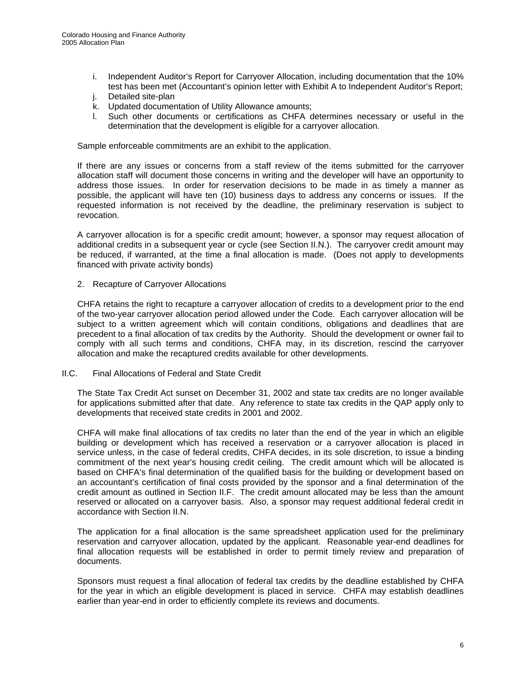- i. Independent Auditor's Report for Carryover Allocation, including documentation that the 10% test has been met (Accountant's opinion letter with Exhibit A to Independent Auditor's Report;
- j. Detailed site-plan
- k. Updated documentation of Utility Allowance amounts;
- l. Such other documents or certifications as CHFA determines necessary or useful in the determination that the development is eligible for a carryover allocation.

Sample enforceable commitments are an exhibit to the application.

If there are any issues or concerns from a staff review of the items submitted for the carryover allocation staff will document those concerns in writing and the developer will have an opportunity to address those issues. In order for reservation decisions to be made in as timely a manner as possible, the applicant will have ten (10) business days to address any concerns or issues. If the requested information is not received by the deadline, the preliminary reservation is subject to revocation.

A carryover allocation is for a specific credit amount; however, a sponsor may request allocation of additional credits in a subsequent year or cycle (see Section II.N.). The carryover credit amount may be reduced, if warranted, at the time a final allocation is made. (Does not apply to developments financed with private activity bonds)

2. Recapture of Carryover Allocations

CHFA retains the right to recapture a carryover allocation of credits to a development prior to the end of the two-year carryover allocation period allowed under the Code. Each carryover allocation will be subject to a written agreement which will contain conditions, obligations and deadlines that are precedent to a final allocation of tax credits by the Authority. Should the development or owner fail to comply with all such terms and conditions, CHFA may, in its discretion, rescind the carryover allocation and make the recaptured credits available for other developments.

II.C. Final Allocations of Federal and State Credit

The State Tax Credit Act sunset on December 31, 2002 and state tax credits are no longer available for applications submitted after that date. Any reference to state tax credits in the QAP apply only to developments that received state credits in 2001 and 2002.

CHFA will make final allocations of tax credits no later than the end of the year in which an eligible building or development which has received a reservation or a carryover allocation is placed in service unless, in the case of federal credits, CHFA decides, in its sole discretion, to issue a binding commitment of the next year's housing credit ceiling. The credit amount which will be allocated is based on CHFA's final determination of the qualified basis for the building or development based on an accountant's certification of final costs provided by the sponsor and a final determination of the credit amount as outlined in Section II.F. The credit amount allocated may be less than the amount reserved or allocated on a carryover basis. Also, a sponsor may request additional federal credit in accordance with Section II.N.

The application for a final allocation is the same spreadsheet application used for the preliminary reservation and carryover allocation, updated by the applicant. Reasonable year-end deadlines for final allocation requests will be established in order to permit timely review and preparation of documents.

Sponsors must request a final allocation of federal tax credits by the deadline established by CHFA for the year in which an eligible development is placed in service. CHFA may establish deadlines earlier than year-end in order to efficiently complete its reviews and documents.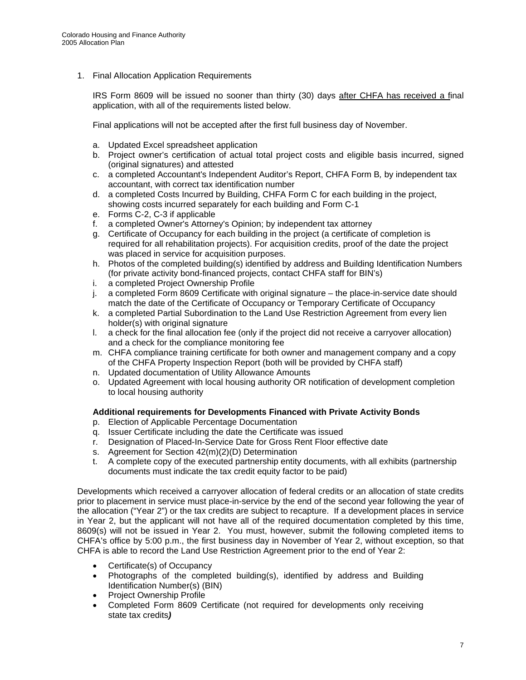1. Final Allocation Application Requirements

IRS Form 8609 will be issued no sooner than thirty (30) days after CHFA has received a final application, with all of the requirements listed below.

Final applications will not be accepted after the first full business day of November.

- a. Updated Excel spreadsheet application
- b. Project owner's certification of actual total project costs and eligible basis incurred, signed (original signatures) and attested
- c. a completed Accountant's Independent Auditor's Report, CHFA Form B*,* by independent tax accountant, with correct tax identification number
- d. a completed Costs Incurred by Building, CHFA Form C for each building in the project, showing costs incurred separately for each building and Form C-1
- e. Forms C-2, C-3 if applicable
- f. a completed Owner's Attorney's Opinion; by independent tax attorney
- g. Certificate of Occupancy for each building in the project (a certificate of completion is required for all rehabilitation projects). For acquisition credits, proof of the date the project was placed in service for acquisition purposes.
- h. Photos of the completed building(s) identified by address and Building Identification Numbers (for private activity bond-financed projects, contact CHFA staff for BIN's)
- i. a completed Project Ownership Profile
- j. a completed Form 8609 Certificate with original signature the place-in-service date should match the date of the Certificate of Occupancy or Temporary Certificate of Occupancy
- k. a completed Partial Subordination to the Land Use Restriction Agreement from every lien holder(s) with original signature
- l. a check for the final allocation fee (only if the project did not receive a carryover allocation) and a check for the compliance monitoring fee
- m. CHFA compliance training certificate for both owner and management company and a copy of the CHFA Property Inspection Report (both will be provided by CHFA staff)
- n. Updated documentation of Utility Allowance Amounts
- o. Updated Agreement with local housing authority OR notification of development completion to local housing authority

#### **Additional requirements for Developments Financed with Private Activity Bonds**

- p. Election of Applicable Percentage Documentation
- q. Issuer Certificate including the date the Certificate was issued
- r. Designation of Placed-In-Service Date for Gross Rent Floor effective date
- s. Agreement for Section 42(m)(2)(D) Determination
- t. A complete copy of the executed partnership entity documents, with all exhibits (partnership documents must indicate the tax credit equity factor to be paid)

Developments which received a carryover allocation of federal credits or an allocation of state credits prior to placement in service must place-in-service by the end of the second year following the year of the allocation ("Year 2") or the tax credits are subject to recapture. If a development places in service in Year 2, but the applicant will not have all of the required documentation completed by this time, 8609(s) will not be issued in Year 2. You must, however, submit the following completed items to CHFA's office by 5:00 p.m., the first business day in November of Year 2, without exception, so that CHFA is able to record the Land Use Restriction Agreement prior to the end of Year 2:

- Certificate(s) of Occupancy
- Photographs of the completed building(s), identified by address and Building Identification Number(s) (BIN)
- Project Ownership Profile
- Completed Form 8609 Certificate (not required for developments only receiving state tax credits*)*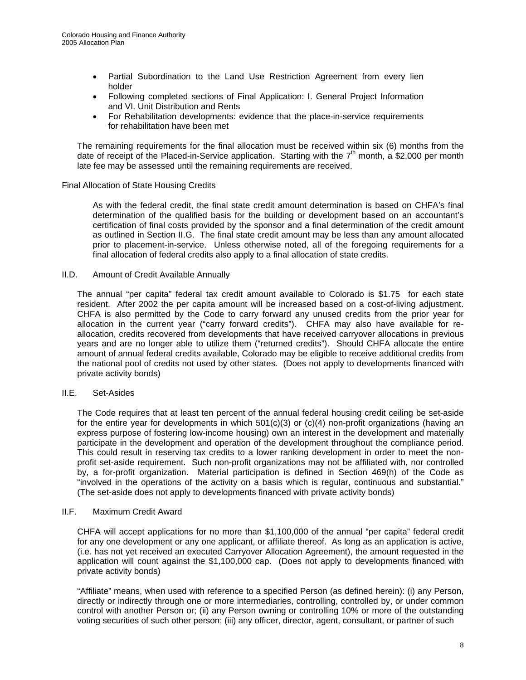- Partial Subordination to the Land Use Restriction Agreement from every lien holder
- Following completed sections of Final Application: I. General Project Information and VI. Unit Distribution and Rents
- For Rehabilitation developments: evidence that the place-in-service requirements for rehabilitation have been met

The remaining requirements for the final allocation must be received within six (6) months from the date of receipt of the Placed-in-Service application. Starting with the  $7<sup>th</sup>$  month, a \$2,000 per month late fee may be assessed until the remaining requirements are received.

#### Final Allocation of State Housing Credits

As with the federal credit, the final state credit amount determination is based on CHFA's final determination of the qualified basis for the building or development based on an accountant's certification of final costs provided by the sponsor and a final determination of the credit amount as outlined in Section II.G. The final state credit amount may be less than any amount allocated prior to placement-in-service. Unless otherwise noted, all of the foregoing requirements for a final allocation of federal credits also apply to a final allocation of state credits.

#### II.D. Amount of Credit Available Annually

 The annual "per capita" federal tax credit amount available to Colorado is \$1.75 for each state resident. After 2002 the per capita amount will be increased based on a cost-of-living adjustment. CHFA is also permitted by the Code to carry forward any unused credits from the prior year for allocation in the current year ("carry forward credits"). CHFA may also have available for reallocation, credits recovered from developments that have received carryover allocations in previous years and are no longer able to utilize them ("returned credits"). Should CHFA allocate the entire amount of annual federal credits available, Colorado may be eligible to receive additional credits from the national pool of credits not used by other states. (Does not apply to developments financed with private activity bonds)

#### II.E. Set-Asides

 The Code requires that at least ten percent of the annual federal housing credit ceiling be set-aside for the entire year for developments in which 501(c)(3) or (c)(4) non-profit organizations (having an express purpose of fostering low-income housing) own an interest in the development and materially participate in the development and operation of the development throughout the compliance period. This could result in reserving tax credits to a lower ranking development in order to meet the nonprofit set-aside requirement. Such non-profit organizations may not be affiliated with, nor controlled by, a for-profit organization. Material participation is defined in Section 469(h) of the Code as "involved in the operations of the activity on a basis which is regular, continuous and substantial." (The set-aside does not apply to developments financed with private activity bonds)

#### II.F. Maximum Credit Award

 CHFA will accept applications for no more than \$1,100,000 of the annual "per capita" federal credit for any one development or any one applicant, or affiliate thereof. As long as an application is active, (i.e. has not yet received an executed Carryover Allocation Agreement), the amount requested in the application will count against the \$1,100,000 cap. (Does not apply to developments financed with private activity bonds)

 "Affiliate" means, when used with reference to a specified Person (as defined herein): (i) any Person, directly or indirectly through one or more intermediaries, controlling, controlled by, or under common control with another Person or; (ii) any Person owning or controlling 10% or more of the outstanding voting securities of such other person; (iii) any officer, director, agent, consultant, or partner of such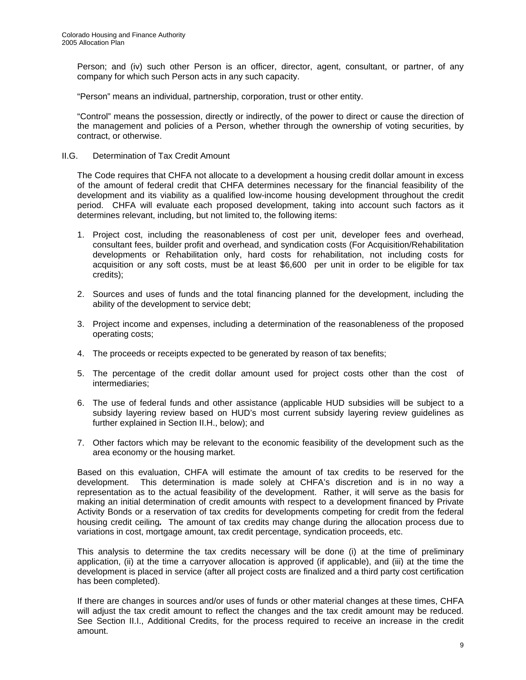Person; and (iv) such other Person is an officer, director, agent, consultant, or partner, of any company for which such Person acts in any such capacity.

"Person" means an individual, partnership, corporation, trust or other entity.

"Control" means the possession, directly or indirectly, of the power to direct or cause the direction of the management and policies of a Person, whether through the ownership of voting securities, by contract, or otherwise.

II.G. Determination of Tax Credit Amount

The Code requires that CHFA not allocate to a development a housing credit dollar amount in excess of the amount of federal credit that CHFA determines necessary for the financial feasibility of the development and its viability as a qualified low-income housing development throughout the credit period. CHFA will evaluate each proposed development, taking into account such factors as it determines relevant, including, but not limited to, the following items:

- 1. Project cost, including the reasonableness of cost per unit, developer fees and overhead, consultant fees, builder profit and overhead, and syndication costs (For Acquisition/Rehabilitation developments or Rehabilitation only, hard costs for rehabilitation, not including costs for acquisition or any soft costs, must be at least \$6,600 per unit in order to be eligible for tax credits);
- 2. Sources and uses of funds and the total financing planned for the development, including the ability of the development to service debt;
- 3. Project income and expenses, including a determination of the reasonableness of the proposed operating costs;
- 4. The proceeds or receipts expected to be generated by reason of tax benefits;
- 5. The percentage of the credit dollar amount used for project costs other than the cost of intermediaries;
- 6. The use of federal funds and other assistance (applicable HUD subsidies will be subject to a subsidy layering review based on HUD's most current subsidy layering review guidelines as further explained in Section II.H., below); and
- 7. Other factors which may be relevant to the economic feasibility of the development such as the area economy or the housing market.

Based on this evaluation, CHFA will estimate the amount of tax credits to be reserved for the development. This determination is made solely at CHFA's discretion and is in no way a representation as to the actual feasibility of the development. Rather, it will serve as the basis for making an initial determination of credit amounts with respect to a development financed by Private Activity Bonds or a reservation of tax credits for developments competing for credit from the federal housing credit ceiling*.* The amount of tax credits may change during the allocation process due to variations in cost, mortgage amount, tax credit percentage, syndication proceeds, etc.

This analysis to determine the tax credits necessary will be done (i) at the time of preliminary application, (ii) at the time a carryover allocation is approved (if applicable), and (iii) at the time the development is placed in service (after all project costs are finalized and a third party cost certification has been completed).

If there are changes in sources and/or uses of funds or other material changes at these times, CHFA will adjust the tax credit amount to reflect the changes and the tax credit amount may be reduced. See Section II.I., Additional Credits, for the process required to receive an increase in the credit amount.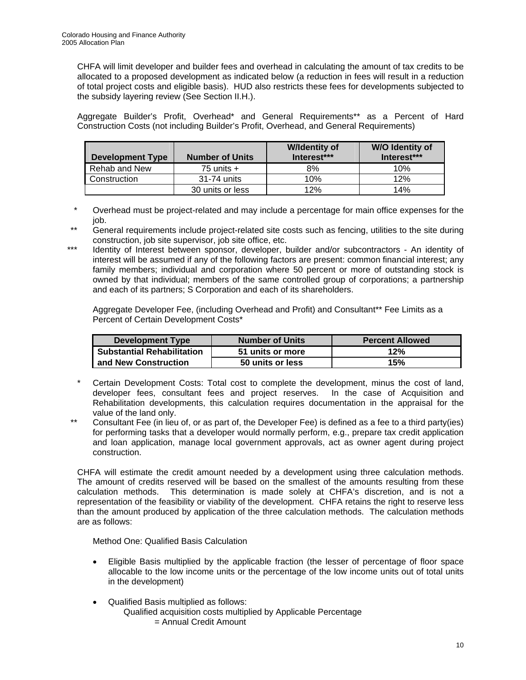CHFA will limit developer and builder fees and overhead in calculating the amount of tax credits to be allocated to a proposed development as indicated below (a reduction in fees will result in a reduction of total project costs and eligible basis). HUD also restricts these fees for developments subjected to the subsidy layering review (See Section II.H.).

 Aggregate Builder's Profit, Overhead\* and General Requirements\*\* as a Percent of Hard Construction Costs (not including Builder's Profit, Overhead, and General Requirements)

| <b>Development Type</b> | <b>Number of Units</b> |     | <b>W/O Identity of</b><br>Interest*** |
|-------------------------|------------------------|-----|---------------------------------------|
| Rehab and New           | 75 units $+$           | 8%  | 10%                                   |
| Construction            | 31-74 units            | 10% | 12%                                   |
|                         | 30 units or less       | 12% | 14%                                   |

- \* Overhead must be project-related and may include a percentage for main office expenses for the job.
- \*\* General requirements include project-related site costs such as fencing, utilities to the site during construction, job site supervisor, job site office, etc.
- \*\*\* Identity of Interest between sponsor, developer, builder and/or subcontractors An identity of interest will be assumed if any of the following factors are present: common financial interest; any family members; individual and corporation where 50 percent or more of outstanding stock is owned by that individual; members of the same controlled group of corporations; a partnership and each of its partners; S Corporation and each of its shareholders.

 Aggregate Developer Fee, (including Overhead and Profit) and Consultant\*\* Fee Limits as a Percent of Certain Development Costs\*

| Development Type                  | <b>Number of Units</b> | <b>Percent Allowed</b> |
|-----------------------------------|------------------------|------------------------|
| <b>Substantial Rehabilitation</b> | 51 units or more       | 12%                    |
| <b>I and New Construction</b>     | 50 units or less       | 15%                    |

- Certain Development Costs: Total cost to complete the development, minus the cost of land, developer fees, consultant fees and project reserves. In the case of Acquisition and Rehabilitation developments, this calculation requires documentation in the appraisal for the value of the land only.
- \*\* Consultant Fee (in lieu of, or as part of, the Developer Fee) is defined as a fee to a third party(ies) for performing tasks that a developer would normally perform, e.g., prepare tax credit application and loan application, manage local government approvals, act as owner agent during project construction.

 CHFA will estimate the credit amount needed by a development using three calculation methods. The amount of credits reserved will be based on the smallest of the amounts resulting from these calculation methods. This determination is made solely at CHFA's discretion, and is not a representation of the feasibility or viability of the development. CHFA retains the right to reserve less than the amount produced by application of the three calculation methods. The calculation methods are as follows:

Method One: Qualified Basis Calculation

- Eligible Basis multiplied by the applicable fraction (the lesser of percentage of floor space allocable to the low income units or the percentage of the low income units out of total units in the development)
- Qualified Basis multiplied as follows: Qualified acquisition costs multiplied by Applicable Percentage = Annual Credit Amount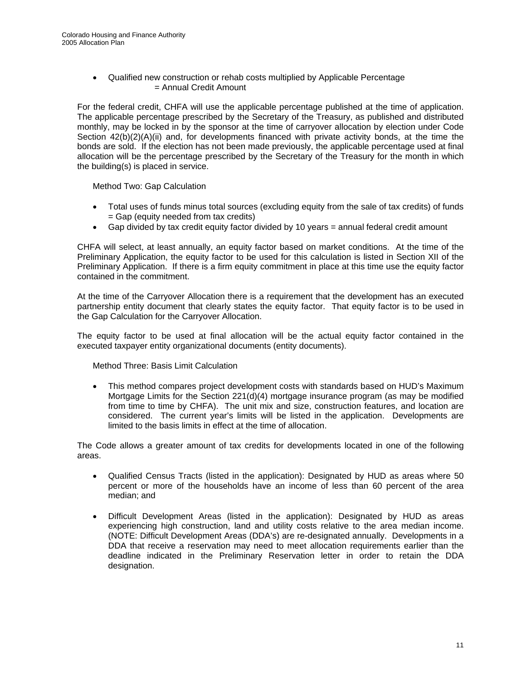• Qualified new construction or rehab costs multiplied by Applicable Percentage = Annual Credit Amount

 For the federal credit, CHFA will use the applicable percentage published at the time of application. The applicable percentage prescribed by the Secretary of the Treasury, as published and distributed monthly, may be locked in by the sponsor at the time of carryover allocation by election under Code Section 42(b)(2)(A)(ii) and, for developments financed with private activity bonds, at the time the bonds are sold. If the election has not been made previously, the applicable percentage used at final allocation will be the percentage prescribed by the Secretary of the Treasury for the month in which the building(s) is placed in service.

Method Two: Gap Calculation

- Total uses of funds minus total sources (excluding equity from the sale of tax credits) of funds = Gap (equity needed from tax credits)
- Gap divided by tax credit equity factor divided by 10 years  $=$  annual federal credit amount

 CHFA will select, at least annually, an equity factor based on market conditions. At the time of the Preliminary Application, the equity factor to be used for this calculation is listed in Section XII of the Preliminary Application. If there is a firm equity commitment in place at this time use the equity factor contained in the commitment.

 At the time of the Carryover Allocation there is a requirement that the development has an executed partnership entity document that clearly states the equity factor. That equity factor is to be used in the Gap Calculation for the Carryover Allocation.

 The equity factor to be used at final allocation will be the actual equity factor contained in the executed taxpayer entity organizational documents (entity documents).

Method Three: Basis Limit Calculation

• This method compares project development costs with standards based on HUD's Maximum Mortgage Limits for the Section 221(d)(4) mortgage insurance program (as may be modified from time to time by CHFA). The unit mix and size, construction features, and location are considered. The current year's limits will be listed in the application. Developments are limited to the basis limits in effect at the time of allocation.

 The Code allows a greater amount of tax credits for developments located in one of the following areas.

- Qualified Census Tracts (listed in the application): Designated by HUD as areas where 50 percent or more of the households have an income of less than 60 percent of the area median; and
- Difficult Development Areas (listed in the application): Designated by HUD as areas experiencing high construction, land and utility costs relative to the area median income. (NOTE: Difficult Development Areas (DDA's) are re-designated annually. Developments in a DDA that receive a reservation may need to meet allocation requirements earlier than the deadline indicated in the Preliminary Reservation letter in order to retain the DDA designation.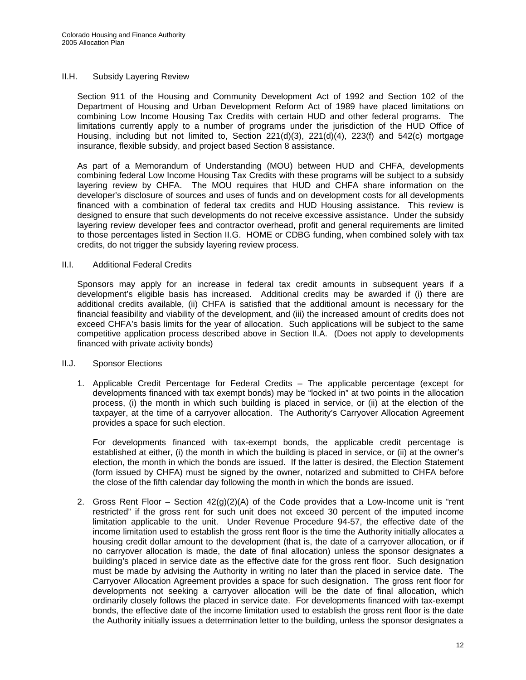#### II.H. Subsidy Layering Review

Section 911 of the Housing and Community Development Act of 1992 and Section 102 of the Department of Housing and Urban Development Reform Act of 1989 have placed limitations on combining Low Income Housing Tax Credits with certain HUD and other federal programs. The limitations currently apply to a number of programs under the jurisdiction of the HUD Office of Housing, including but not limited to, Section 221(d)(3), 221(d)(4), 223(f) and 542(c) mortgage insurance, flexible subsidy, and project based Section 8 assistance.

As part of a Memorandum of Understanding (MOU) between HUD and CHFA, developments combining federal Low Income Housing Tax Credits with these programs will be subject to a subsidy layering review by CHFA. The MOU requires that HUD and CHFA share information on the developer's disclosure of sources and uses of funds and on development costs for all developments financed with a combination of federal tax credits and HUD Housing assistance.This review is designed to ensure that such developments do not receive excessive assistance. Under the subsidy layering review developer fees and contractor overhead, profit and general requirements are limited to those percentages listed in Section II.G. HOME or CDBG funding, when combined solely with tax credits, do not trigger the subsidy layering review process.

#### II.I. Additional Federal Credits

Sponsors may apply for an increase in federal tax credit amounts in subsequent years if a development's eligible basis has increased. Additional credits may be awarded if (i) there are additional credits available, (ii) CHFA is satisfied that the additional amount is necessary for the financial feasibility and viability of the development, and (iii) the increased amount of credits does not exceed CHFA's basis limits for the year of allocation. Such applications will be subject to the same competitive application process described above in Section II.A. (Does not apply to developments financed with private activity bonds)

#### II.J. Sponsor Elections

1. Applicable Credit Percentage for Federal Credits – The applicable percentage (except for developments financed with tax exempt bonds) may be "locked in" at two points in the allocation process, (i) the month in which such building is placed in service, or (ii) at the election of the taxpayer, at the time of a carryover allocation. The Authority's Carryover Allocation Agreement provides a space for such election.

For developments financed with tax-exempt bonds, the applicable credit percentage is established at either, (i) the month in which the building is placed in service, or (ii) at the owner's election, the month in which the bonds are issued. If the latter is desired, the Election Statement (form issued by CHFA) must be signed by the owner, notarized and submitted to CHFA before the close of the fifth calendar day following the month in which the bonds are issued.

2. Gross Rent Floor *–* Section 42(g)(2)(A) of the Code provides that a Low-Income unit is "rent restricted" if the gross rent for such unit does not exceed 30 percent of the imputed income limitation applicable to the unit. Under Revenue Procedure 94-57, the effective date of the income limitation used to establish the gross rent floor is the time the Authority initially allocates a housing credit dollar amount to the development (that is, the date of a carryover allocation, or if no carryover allocation is made, the date of final allocation) unless the sponsor designates a building's placed in service date as the effective date for the gross rent floor. Such designation must be made by advising the Authority in writing no later than the placed in service date. The Carryover Allocation Agreement provides a space for such designation. The gross rent floor for developments not seeking a carryover allocation will be the date of final allocation, which ordinarily closely follows the placed in service date. For developments financed with tax-exempt bonds, the effective date of the income limitation used to establish the gross rent floor is the date the Authority initially issues a determination letter to the building, unless the sponsor designates a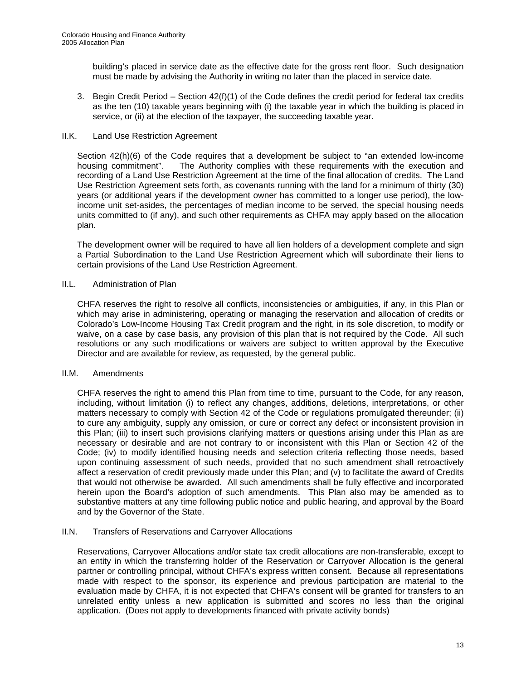building's placed in service date as the effective date for the gross rent floor. Such designation must be made by advising the Authority in writing no later than the placed in service date.

3. Begin Credit Period *–* Section 42(f)(1) of the Code defines the credit period for federal tax credits as the ten (10) taxable years beginning with (i) the taxable year in which the building is placed in service, or (ii) at the election of the taxpayer, the succeeding taxable year.

#### II.K. Land Use Restriction Agreement

Section 42(h)(6) of the Code requires that a development be subject to "an extended low-income housing commitment". The Authority complies with these requirements with the execution and recording of a Land Use Restriction Agreement at the time of the final allocation of credits. The Land Use Restriction Agreement sets forth, as covenants running with the land for a minimum of thirty (30) years (or additional years if the development owner has committed to a longer use period), the lowincome unit set-asides, the percentages of median income to be served, the special housing needs units committed to (if any), and such other requirements as CHFA may apply based on the allocation plan.

The development owner will be required to have all lien holders of a development complete and sign a Partial Subordination to the Land Use Restriction Agreement which will subordinate their liens to certain provisions of the Land Use Restriction Agreement.

#### II.L. Administration of Plan

CHFA reserves the right to resolve all conflicts, inconsistencies or ambiguities, if any, in this Plan or which may arise in administering, operating or managing the reservation and allocation of credits or Colorado's Low-Income Housing Tax Credit program and the right, in its sole discretion, to modify or waive, on a case by case basis, any provision of this plan that is not required by the Code. All such resolutions or any such modifications or waivers are subject to written approval by the Executive Director and are available for review, as requested, by the general public.

#### II.M. Amendments

CHFA reserves the right to amend this Plan from time to time, pursuant to the Code, for any reason, including, without limitation (i) to reflect any changes, additions, deletions, interpretations, or other matters necessary to comply with Section 42 of the Code or regulations promulgated thereunder; (ii) to cure any ambiguity, supply any omission, or cure or correct any defect or inconsistent provision in this Plan; (iii) to insert such provisions clarifying matters or questions arising under this Plan as are necessary or desirable and are not contrary to or inconsistent with this Plan or Section 42 of the Code; (iv) to modify identified housing needs and selection criteria reflecting those needs, based upon continuing assessment of such needs, provided that no such amendment shall retroactively affect a reservation of credit previously made under this Plan; and (v) to facilitate the award of Credits that would not otherwise be awarded. All such amendments shall be fully effective and incorporated herein upon the Board's adoption of such amendments. This Plan also may be amended as to substantive matters at any time following public notice and public hearing, and approval by the Board and by the Governor of the State.

#### II.N. Transfers of Reservations and Carryover Allocations

Reservations, Carryover Allocations and/or state tax credit allocations are non-transferable, except to an entity in which the transferring holder of the Reservation or Carryover Allocation is the general partner or controlling principal, without CHFA's express written consent. Because all representations made with respect to the sponsor, its experience and previous participation are material to the evaluation made by CHFA, it is not expected that CHFA's consent will be granted for transfers to an unrelated entity unless a new application is submitted and scores no less than the original application. (Does not apply to developments financed with private activity bonds)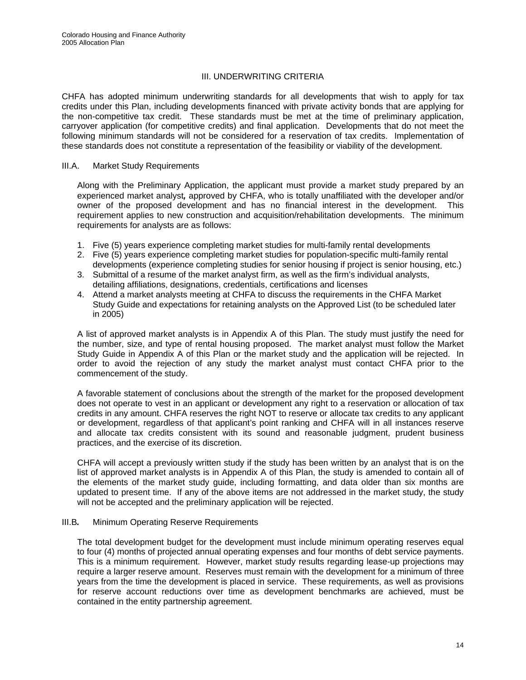#### III. UNDERWRITING CRITERIA

CHFA has adopted minimum underwriting standards for all developments that wish to apply for tax credits under this Plan, including developments financed with private activity bonds that are applying for the non-competitive tax credit. These standards must be met at the time of preliminary application, carryover application (for competitive credits) and final application. Developments that do not meet the following minimum standards will not be considered for a reservation of tax credits. Implementation of these standards does not constitute a representation of the feasibility or viability of the development.

#### III.A. Market Study Requirements

Along with the Preliminary Application, the applicant must provide a market study prepared by an experienced market analyst*,* approved by CHFA, who is totally unaffiliated with the developer and/or owner of the proposed development and has no financial interest in the development. This requirement applies to new construction and acquisition/rehabilitation developments. The minimum requirements for analysts are as follows:

- 1. Five (5) years experience completing market studies for multi-family rental developments
- 2. Five (5) years experience completing market studies for population-specific multi-family rental developments (experience completing studies for senior housing if project is senior housing, etc.)
- 3. Submittal of a resume of the market analyst firm, as well as the firm's individual analysts, detailing affiliations, designations, credentials, certifications and licenses
- 4. Attend a market analysts meeting at CHFA to discuss the requirements in the CHFA Market Study Guide and expectations for retaining analysts on the Approved List (to be scheduled later in 2005)

A list of approved market analysts is in Appendix A of this Plan. The study must justify the need for the number, size, and type of rental housing proposed. The market analyst must follow the Market Study Guide in Appendix A of this Plan or the market study and the application will be rejected. In order to avoid the rejection of any study the market analyst must contact CHFA prior to the commencement of the study.

A favorable statement of conclusions about the strength of the market for the proposed development does not operate to vest in an applicant or development any right to a reservation or allocation of tax credits in any amount. CHFA reserves the right NOT to reserve or allocate tax credits to any applicant or development, regardless of that applicant's point ranking and CHFA will in all instances reserve and allocate tax credits consistent with its sound and reasonable judgment, prudent business practices, and the exercise of its discretion.

CHFA will accept a previously written study if the study has been written by an analyst that is on the list of approved market analysts is in Appendix A of this Plan, the study is amended to contain all of the elements of the market study guide, including formatting, and data older than six months are updated to present time. If any of the above items are not addressed in the market study, the study will not be accepted and the preliminary application will be rejected.

#### III.B*.* Minimum Operating Reserve Requirements

The total development budget for the development must include minimum operating reserves equal to four (4) months of projected annual operating expenses and four months of debt service payments. This is a minimum requirement. However, market study results regarding lease-up projections may require a larger reserve amount. Reserves must remain with the development for a minimum of three years from the time the development is placed in service. These requirements, as well as provisions for reserve account reductions over time as development benchmarks are achieved, must be contained in the entity partnership agreement.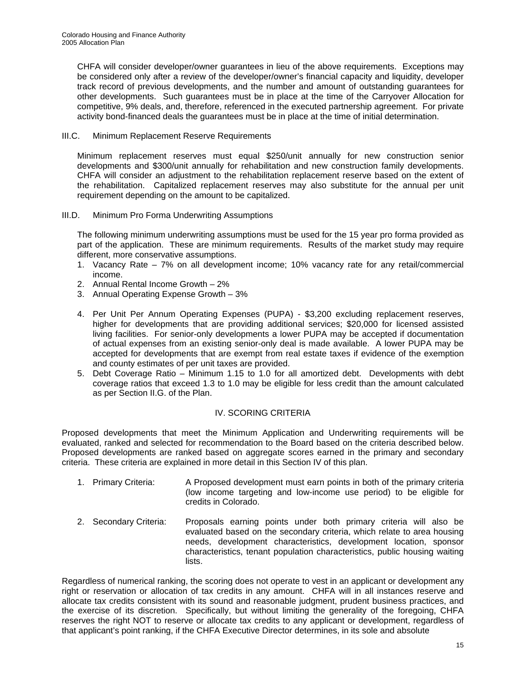CHFA will consider developer/owner guarantees in lieu of the above requirements. Exceptions may be considered only after a review of the developer/owner's financial capacity and liquidity, developer track record of previous developments, and the number and amount of outstanding guarantees for other developments. Such guarantees must be in place at the time of the Carryover Allocation for competitive, 9% deals, and, therefore, referenced in the executed partnership agreement. For private activity bond-financed deals the guarantees must be in place at the time of initial determination.

#### III.C. Minimum Replacement Reserve Requirements

Minimum replacement reserves must equal \$250/unit annually for new construction senior developments and \$300/unit annually for rehabilitation and new construction family developments. CHFA will consider an adjustment to the rehabilitation replacement reserve based on the extent of the rehabilitation. Capitalized replacement reserves may also substitute for the annual per unit requirement depending on the amount to be capitalized.

III.D. Minimum Pro Forma Underwriting Assumptions

The following minimum underwriting assumptions must be used for the 15 year pro forma provided as part of the application. These are minimum requirements. Results of the market study may require different, more conservative assumptions.

- 1. Vacancy Rate 7% on all development income; 10% vacancy rate for any retail/commercial income.
- 2. Annual Rental Income Growth 2%
- 3. Annual Operating Expense Growth 3%
- 4. Per Unit Per Annum Operating Expenses (PUPA) \$3,200 excluding replacement reserves, higher for developments that are providing additional services; \$20,000 for licensed assisted living facilities. For senior-only developments a lower PUPA may be accepted if documentation of actual expenses from an existing senior-only deal is made available. A lower PUPA may be accepted for developments that are exempt from real estate taxes if evidence of the exemption and county estimates of per unit taxes are provided.
- 5. Debt Coverage Ratio Minimum 1.15 to 1.0 for all amortized debt. Developments with debt coverage ratios that exceed 1.3 to 1.0 may be eligible for less credit than the amount calculated as per Section II.G. of the Plan.

#### IV. SCORING CRITERIA

Proposed developments that meet the Minimum Application and Underwriting requirements will be evaluated, ranked and selected for recommendation to the Board based on the criteria described below. Proposed developments are ranked based on aggregate scores earned in the primary and secondary criteria. These criteria are explained in more detail in this Section IV of this plan.

- 1. Primary Criteria: A Proposed development must earn points in both of the primary criteria (low income targeting and low-income use period) to be eligible for credits in Colorado.
- 2. Secondary Criteria: Proposals earning points under both primary criteria will also be evaluated based on the secondary criteria, which relate to area housing needs, development characteristics, development location, sponsor characteristics, tenant population characteristics, public housing waiting lists.

Regardless of numerical ranking, the scoring does not operate to vest in an applicant or development any right or reservation or allocation of tax credits in any amount. CHFA will in all instances reserve and allocate tax credits consistent with its sound and reasonable judgment, prudent business practices, and the exercise of its discretion. Specifically, but without limiting the generality of the foregoing, CHFA reserves the right NOT to reserve or allocate tax credits to any applicant or development, regardless of that applicant's point ranking, if the CHFA Executive Director determines, in its sole and absolute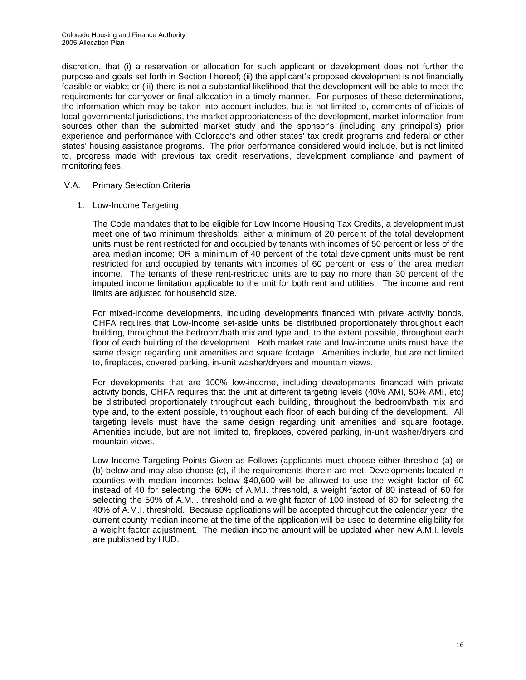discretion, that (i) a reservation or allocation for such applicant or development does not further the purpose and goals set forth in Section I hereof; (ii) the applicant's proposed development is not financially feasible or viable; or (iii) there is not a substantial likelihood that the development will be able to meet the requirements for carryover or final allocation in a timely manner. For purposes of these determinations, the information which may be taken into account includes, but is not limited to, comments of officials of local governmental jurisdictions, the market appropriateness of the development, market information from sources other than the submitted market study and the sponsor's (including any principal's) prior experience and performance with Colorado's and other states' tax credit programs and federal or other states' housing assistance programs. The prior performance considered would include, but is not limited to, progress made with previous tax credit reservations, development compliance and payment of monitoring fees.

#### IV.A. Primary Selection Criteria

1. Low-Income Targeting

The Code mandates that to be eligible for Low Income Housing Tax Credits, a development must meet one of two minimum thresholds: either a minimum of 20 percent of the total development units must be rent restricted for and occupied by tenants with incomes of 50 percent or less of the area median income; OR a minimum of 40 percent of the total development units must be rent restricted for and occupied by tenants with incomes of 60 percent or less of the area median income. The tenants of these rent-restricted units are to pay no more than 30 percent of the imputed income limitation applicable to the unit for both rent and utilities. The income and rent limits are adjusted for household size.

For mixed-income developments, including developments financed with private activity bonds, CHFA requires that Low-Income set-aside units be distributed proportionately throughout each building, throughout the bedroom/bath mix and type and, to the extent possible, throughout each floor of each building of the development. Both market rate and low-income units must have the same design regarding unit amenities and square footage. Amenities include, but are not limited to, fireplaces, covered parking, in-unit washer/dryers and mountain views.

For developments that are 100% low-income, including developments financed with private activity bonds, CHFA requires that the unit at different targeting levels (40% AMI, 50% AMI, etc) be distributed proportionately throughout each building, throughout the bedroom/bath mix and type and, to the extent possible, throughout each floor of each building of the development. All targeting levels must have the same design regarding unit amenities and square footage. Amenities include, but are not limited to, fireplaces, covered parking, in-unit washer/dryers and mountain views.

Low-Income Targeting Points Given as Follows (applicants must choose either threshold (a) or (b) below and may also choose (c), if the requirements therein are met; Developments located in counties with median incomes below \$40,600 will be allowed to use the weight factor of 60 instead of 40 for selecting the 60% of A.M.I. threshold, a weight factor of 80 instead of 60 for selecting the 50% of A.M.I. threshold and a weight factor of 100 instead of 80 for selecting the 40% of A.M.I. threshold. Because applications will be accepted throughout the calendar year, the current county median income at the time of the application will be used to determine eligibility for a weight factor adjustment. The median income amount will be updated when new A.M.I. levels are published by HUD.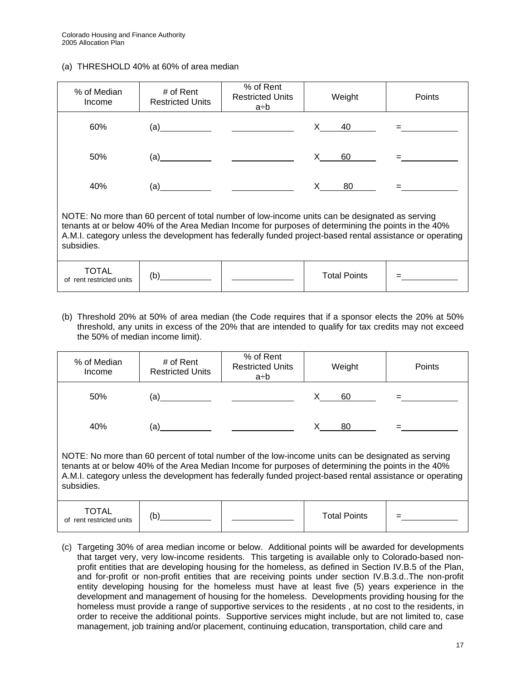#### (a) THRESHOLD 40% at 60% of area median

| % of Median<br>Income                                                                                                                                                                                                                                                                                                           | # of Rent<br><b>Restricted Units</b> | % of Rent<br><b>Restricted Units</b><br>a÷b                                                                           | Weight       | Points |  |  |  |  |
|---------------------------------------------------------------------------------------------------------------------------------------------------------------------------------------------------------------------------------------------------------------------------------------------------------------------------------|--------------------------------------|-----------------------------------------------------------------------------------------------------------------------|--------------|--------|--|--|--|--|
| 60%                                                                                                                                                                                                                                                                                                                             |                                      |                                                                                                                       | X.<br>40     |        |  |  |  |  |
| 50%                                                                                                                                                                                                                                                                                                                             | (a)                                  | <u> 1989 - Andrea State Barbara, poeta estas por estas en la provincia de la provincia de la provincia de la prov</u> | X.<br>60     |        |  |  |  |  |
| 40%                                                                                                                                                                                                                                                                                                                             | (a)                                  | <u>and the state of the state of the state</u>                                                                        | X.<br>80     |        |  |  |  |  |
| NOTE: No more than 60 percent of total number of low-income units can be designated as serving<br>tenants at or below 40% of the Area Median Income for purposes of determining the points in the 40%<br>A.M.I. category unless the development has federally funded project-based rental assistance or operating<br>subsidies. |                                      |                                                                                                                       |              |        |  |  |  |  |
| TOTAL<br>of rent restricted units                                                                                                                                                                                                                                                                                               | (b)                                  |                                                                                                                       | Total Points |        |  |  |  |  |

(b) Threshold 20% at 50% of area median (the Code requires that if a sponsor elects the 20% at 50% threshold, any units in excess of the 20% that are intended to qualify for tax credits may not exceed the 50% of median income limit).

| % of Median<br>Income                                                                                                                                                                                                                                                                                                               | # of Rent<br><b>Restricted Units</b> | % of Rent<br><b>Restricted Units</b><br>a÷b | Weight              | Points |  |  |  |  |
|-------------------------------------------------------------------------------------------------------------------------------------------------------------------------------------------------------------------------------------------------------------------------------------------------------------------------------------|--------------------------------------|---------------------------------------------|---------------------|--------|--|--|--|--|
| 50%                                                                                                                                                                                                                                                                                                                                 | (a)                                  |                                             | 60                  |        |  |  |  |  |
| 40%                                                                                                                                                                                                                                                                                                                                 | (a)                                  |                                             | 80                  |        |  |  |  |  |
| NOTE: No more than 60 percent of total number of the low-income units can be designated as serving<br>tenants at or below 40% of the Area Median Income for purposes of determining the points in the 40%<br>A.M.I. category unless the development has federally funded project-based rental assistance or operating<br>subsidies. |                                      |                                             |                     |        |  |  |  |  |
| <b>TOTAL</b><br>of rent restricted units                                                                                                                                                                                                                                                                                            | (b)                                  |                                             | <b>Total Points</b> |        |  |  |  |  |

(c) Targeting 30% of area median income or below. Additional points will be awarded for developments that target very, very low-income residents. This targeting is available only to Colorado-based nonprofit entities that are developing housing for the homeless, as defined in Section IV.B.5 of the Plan, and for-profit or non-profit entities that are receiving points under section IV.B.3.d..The non-profit entity developing housing for the homeless must have at least five (5) years experience in the development and management of housing for the homeless.Developments providing housing for the homeless must provide a range of supportive services to the residents , at no cost to the residents, in order to receive the additional points. Supportive services might include, but are not limited to, case management, job training and/or placement, continuing education, transportation, child care and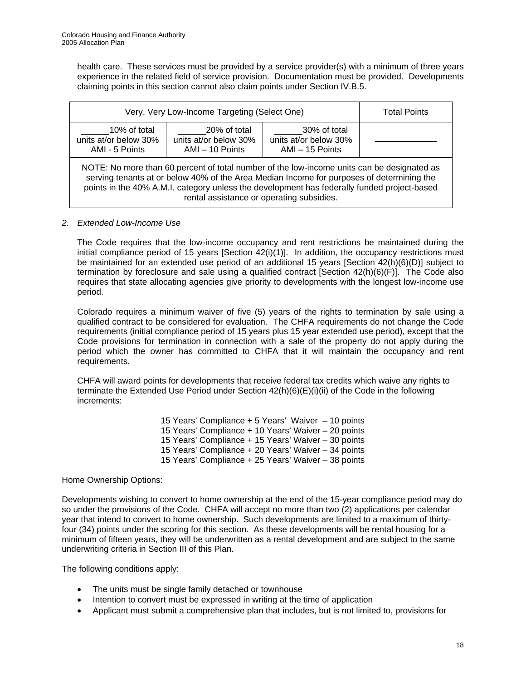health care. These services must be provided by a service provider(s) with a minimum of three years experience in the related field of service provision. Documentation must be provided. Developments claiming points in this section cannot also claim points under Section IV.B.5.

| Very, Very Low-Income Targeting (Select One)                                                                                                                                                                                                                                                                                        | <b>Total Points</b> |  |  |  |  |  |
|-------------------------------------------------------------------------------------------------------------------------------------------------------------------------------------------------------------------------------------------------------------------------------------------------------------------------------------|---------------------|--|--|--|--|--|
| 10% of total<br>units at/or below 30%<br>AMI - 5 Points                                                                                                                                                                                                                                                                             |                     |  |  |  |  |  |
| NOTE: No more than 60 percent of total number of the low-income units can be designated as<br>serving tenants at or below 40% of the Area Median Income for purposes of determining the<br>points in the 40% A.M.I. category unless the development has federally funded project-based<br>rental assistance or operating subsidies. |                     |  |  |  |  |  |

#### *2. Extended Low-Income Use*

The Code requires that the low-income occupancy and rent restrictions be maintained during the initial compliance period of 15 years [Section 42(i)(1)]. In addition, the occupancy restrictions must be maintained for an extended use period of an additional 15 years [Section 42(h)(6)(D)] subject to termination by foreclosure and sale using a qualified contract [Section 42(h)(6)(F)]. The Code also requires that state allocating agencies give priority to developments with the longest low-income use period.

Colorado requires a minimum waiver of five (5) years of the rights to termination by sale using a qualified contract to be considered for evaluation. The CHFA requirements do not change the Code requirements (initial compliance period of 15 years plus 15 year extended use period), except that the Code provisions for termination in connection with a sale of the property do not apply during the period which the owner has committed to CHFA that it will maintain the occupancy and rent requirements.

 CHFA will award points for developments that receive federal tax credits which waive any rights to terminate the Extended Use Period under Section 42(h)(6)(E)(i)(ii) of the Code in the following increments:

> 15 Years' Compliance + 5 Years' Waiver – 10 points 15 Years' Compliance + 10 Years' Waiver – 20 points 15 Years' Compliance + 15 Years' Waiver – 30 points 15 Years' Compliance + 20 Years' Waiver – 34 points 15 Years' Compliance + 25 Years' Waiver – 38 points

#### Home Ownership Options:

Developments wishing to convert to home ownership at the end of the 15-year compliance period may do so under the provisions of the Code. CHFA will accept no more than two (2) applications per calendar year that intend to convert to home ownership. Such developments are limited to a maximum of thirtyfour (34) points under the scoring for this section. As these developments will be rental housing for a minimum of fifteen years, they will be underwritten as a rental development and are subject to the same underwriting criteria in Section III of this Plan.

The following conditions apply:

- The units must be single family detached or townhouse
- Intention to convert must be expressed in writing at the time of application
- Applicant must submit a comprehensive plan that includes, but is not limited to, provisions for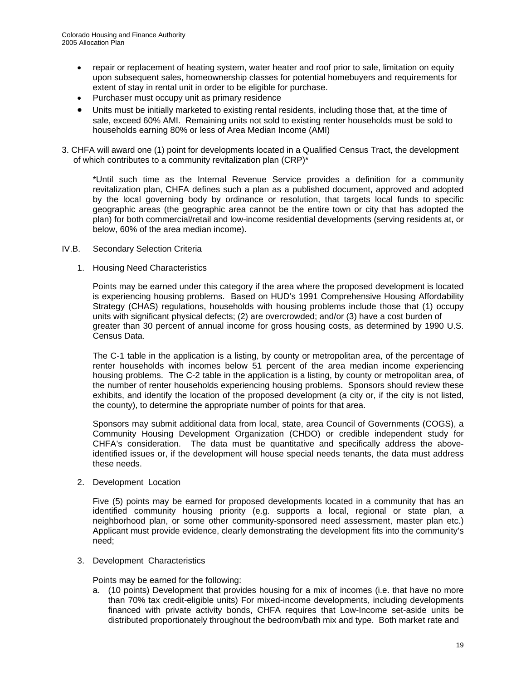- repair or replacement of heating system, water heater and roof prior to sale, limitation on equity upon subsequent sales, homeownership classes for potential homebuyers and requirements for extent of stay in rental unit in order to be eligible for purchase.
- Purchaser must occupy unit as primary residence
- Units must be initially marketed to existing rental residents, including those that, at the time of sale, exceed 60% AMI. Remaining units not sold to existing renter households must be sold to households earning 80% or less of Area Median Income (AMI)
- 3. CHFA will award one (1) point for developments located in a Qualified Census Tract, the development of which contributes to a community revitalization plan (CRP)\*

\*Until such time as the Internal Revenue Service provides a definition for a community revitalization plan, CHFA defines such a plan as a published document, approved and adopted by the local governing body by ordinance or resolution, that targets local funds to specific geographic areas (the geographic area cannot be the entire town or city that has adopted the plan) for both commercial/retail and low-income residential developments (serving residents at, or below, 60% of the area median income).

- IV.B. Secondary Selection Criteria
	- 1. Housing Need Characteristics

Points may be earned under this category if the area where the proposed development is located is experiencing housing problems. Based on HUD's 1991 Comprehensive Housing Affordability Strategy (CHAS) regulations, households with housing problems include those that (1) occupy units with significant physical defects; (2) are overcrowded; and/or (3) have a cost burden of greater than 30 percent of annual income for gross housing costs, as determined by 1990 U.S. Census Data.

The C-1 table in the application is a listing, by county or metropolitan area, of the percentage of renter households with incomes below 51 percent of the area median income experiencing housing problems. The C-2 table in the application is a listing, by county or metropolitan area, of the number of renter households experiencing housing problems. Sponsors should review these exhibits, and identify the location of the proposed development (a city or, if the city is not listed, the county), to determine the appropriate number of points for that area.

Sponsors may submit additional data from local, state, area Council of Governments (COGS), a Community Housing Development Organization (CHDO) or credible independent study for CHFA's consideration. The data must be quantitative and specifically address the aboveidentified issues or, if the development will house special needs tenants, the data must address these needs.

2. Development Location

Five (5) points may be earned for proposed developments located in a community that has an identified community housing priority (e.g. supports a local, regional or state plan, a neighborhood plan, or some other community-sponsored need assessment, master plan etc.) Applicant must provide evidence, clearly demonstrating the development fits into the community's need;

3. Development Characteristics

Points may be earned for the following:

a. (10 points) Development that provides housing for a mix of incomes (i.e. that have no more than 70% tax credit-eligible units) For mixed-income developments, including developments financed with private activity bonds, CHFA requires that Low-Income set-aside units be distributed proportionately throughout the bedroom/bath mix and type. Both market rate and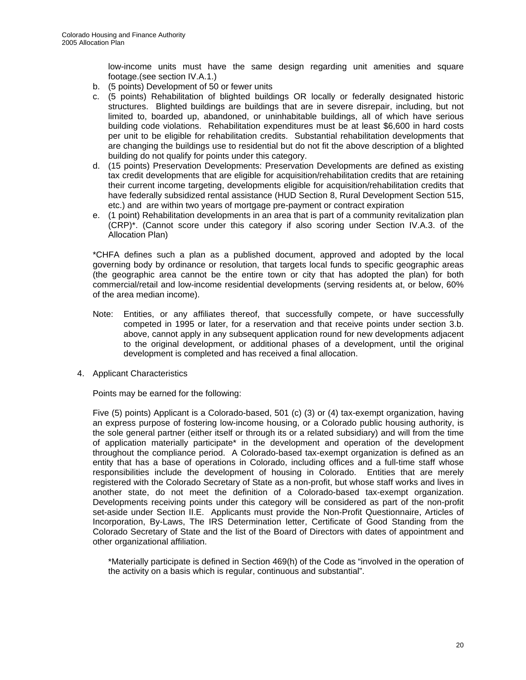low-income units must have the same design regarding unit amenities and square footage.(see section IV.A.1.)

- b. (5 points) Development of 50 or fewer units
- c. (5 points) Rehabilitation of blighted buildings OR locally or federally designated historic structures. Blighted buildings are buildings that are in severe disrepair, including, but not limited to, boarded up, abandoned, or uninhabitable buildings, all of which have serious building code violations. Rehabilitation expenditures must be at least \$6,600 in hard costs per unit to be eligible for rehabilitation credits.Substantial rehabilitation developments that are changing the buildings use to residential but do not fit the above description of a blighted building do not qualify for points under this category.
- d. (15 points) Preservation Developments: Preservation Developments are defined as existing tax credit developments that are eligible for acquisition/rehabilitation credits that are retaining their current income targeting, developments eligible for acquisition/rehabilitation credits that have federally subsidized rental assistance (HUD Section 8, Rural Development Section 515, etc.) and are within two years of mortgage pre-payment or contract expiration
- e. (1 point) Rehabilitation developments in an area that is part of a community revitalization plan (CRP)\*. (Cannot score under this category if also scoring under Section IV.A.3. of the Allocation Plan)

\*CHFA defines such a plan as a published document, approved and adopted by the local governing body by ordinance or resolution, that targets local funds to specific geographic areas (the geographic area cannot be the entire town or city that has adopted the plan) for both commercial/retail and low-income residential developments (serving residents at, or below, 60% of the area median income).

- Note: Entities, or any affiliates thereof, that successfully compete, or have successfully competed in 1995 or later, for a reservation and that receive points under section 3.b. above, cannot apply in any subsequent application round for new developments adjacent to the original development, or additional phases of a development, until the original development is completed and has received a final allocation.
- 4. Applicant Characteristics

Points may be earned for the following:

Five (5) points) Applicant is a Colorado-based, 501 (c) (3) or (4) tax-exempt organization, having an express purpose of fostering low-income housing, or a Colorado public housing authority, is the sole general partner (either itself or through its or a related subsidiary) and will from the time of application materially participate\* in the development and operation of the development throughout the compliance period. A Colorado-based tax-exempt organization is defined as an entity that has a base of operations in Colorado, including offices and a full-time staff whose responsibilities include the development of housing in Colorado. Entities that are merely registered with the Colorado Secretary of State as a non-profit, but whose staff works and lives in another state, do not meet the definition of a Colorado-based tax-exempt organization. Developments receiving points under this category will be considered as part of the non-profit set-aside under Section II.E. Applicants must provide the Non-Profit Questionnaire, Articles of Incorporation, By-Laws, The IRS Determination letter, Certificate of Good Standing from the Colorado Secretary of State and the list of the Board of Directors with dates of appointment and other organizational affiliation.

\*Materially participate is defined in Section 469(h) of the Code as "involved in the operation of the activity on a basis which is regular, continuous and substantial".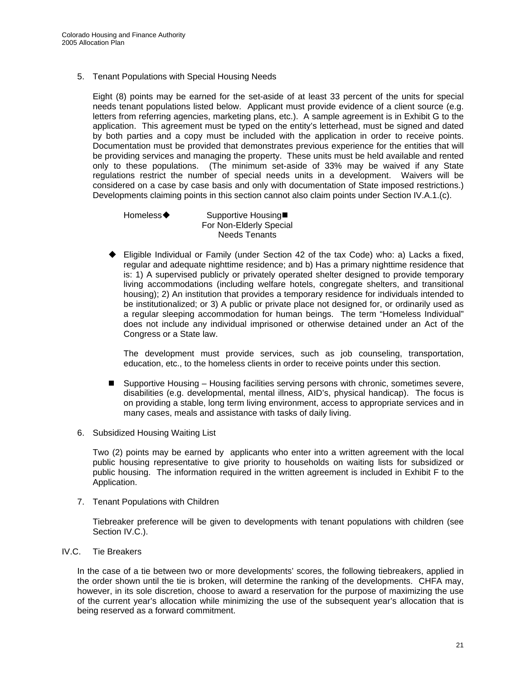5. Tenant Populations with Special Housing Needs

Eight (8) points may be earned for the set-aside of at least 33 percent of the units for special needs tenant populations listed below. Applicant must provide evidence of a client source (e.g. letters from referring agencies, marketing plans, etc.). A sample agreement is in Exhibit G to the application. This agreement must be typed on the entity's letterhead, must be signed and dated by both parties and a copy must be included with the application in order to receive points. Documentation must be provided that demonstrates previous experience for the entities that will be providing services and managing the property. These units must be held available and rented only to these populations. (The minimum set-aside of 33% may be waived if any State regulations restrict the number of special needs units in a development. Waivers will be considered on a case by case basis and only with documentation of State imposed restrictions.) Developments claiming points in this section cannot also claim points under Section IV.A.1.(c).

Homeless◆ Supportive Housing■ For Non-Elderly Special Needs Tenants

 Eligible Individual or Family (under Section 42 of the tax Code) who: a) Lacks a fixed, regular and adequate nighttime residence; and b) Has a primary nighttime residence that is: 1) A supervised publicly or privately operated shelter designed to provide temporary living accommodations (including welfare hotels, congregate shelters, and transitional housing); 2) An institution that provides a temporary residence for individuals intended to be institutionalized; or 3) A public or private place not designed for, or ordinarily used as a regular sleeping accommodation for human beings. The term "Homeless Individual" does not include any individual imprisoned or otherwise detained under an Act of the Congress or a State law.

The development must provide services, such as job counseling, transportation, education, etc., to the homeless clients in order to receive points under this section.

- Supportive Housing Housing facilities serving persons with chronic, sometimes severe, disabilities (e.g. developmental, mental illness, AID's, physical handicap). The focus is on providing a stable, long term living environment, access to appropriate services and in many cases, meals and assistance with tasks of daily living.
- 6. Subsidized Housing Waiting List

Two (2) points may be earned by applicants who enter into a written agreement with the local public housing representative to give priority to households on waiting lists for subsidized or public housing. The information required in the written agreement is included in Exhibit F to the Application.

7. Tenant Populations with Children

Tiebreaker preference will be given to developments with tenant populations with children (see Section IV.C.).

#### IV.C. Tie Breakers

 In the case of a tie between two or more developments' scores, the following tiebreakers, applied in the order shown until the tie is broken, will determine the ranking of the developments. CHFA may, however, in its sole discretion, choose to award a reservation for the purpose of maximizing the use of the current year's allocation while minimizing the use of the subsequent year's allocation that is being reserved as a forward commitment.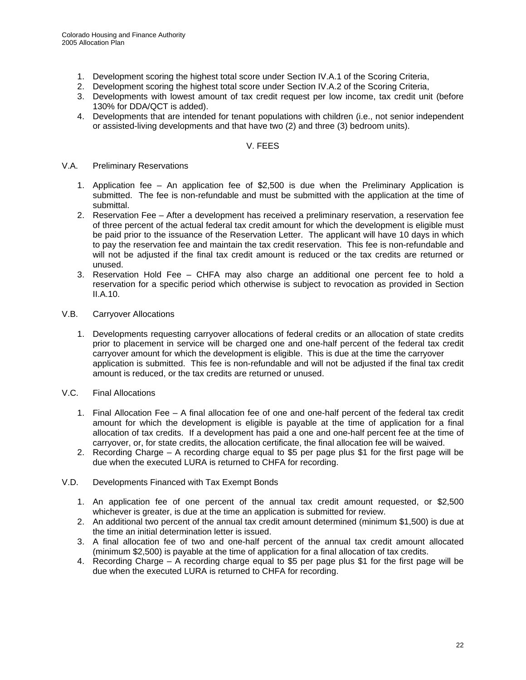- 1. Development scoring the highest total score under Section IV.A.1 of the Scoring Criteria,
- 2. Development scoring the highest total score under Section IV.A.2 of the Scoring Criteria,
- 3. Developments with lowest amount of tax credit request per low income, tax credit unit (before 130% for DDA/QCT is added).
- 4. Developments that are intended for tenant populations with children (i.e., not senior independent or assisted-living developments and that have two (2) and three (3) bedroom units).

#### V. FEES

#### V.A. Preliminary Reservations

- 1. Application fee An application fee of \$2,500 is due when the Preliminary Application is submitted. The fee is non-refundable and must be submitted with the application at the time of submittal.
- 2. Reservation Fee After a development has received a preliminary reservation, a reservation fee of three percent of the actual federal tax credit amount for which the development is eligible must be paid prior to the issuance of the Reservation Letter. The applicant will have 10 days in which to pay the reservation fee and maintain the tax credit reservation. This fee is non-refundable and will not be adjusted if the final tax credit amount is reduced or the tax credits are returned or unused.
- 3. Reservation Hold Fee CHFA may also charge an additional one percent fee to hold a reservation for a specific period which otherwise is subject to revocation as provided in Section II.A.10.
- V.B. Carryover Allocations
	- 1. Developments requesting carryover allocations of federal credits or an allocation of state credits prior to placement in service will be charged one and one-half percent of the federal tax credit carryover amount for which the development is eligible. This is due at the time the carryover application is submitted. This fee is non-refundable and will not be adjusted if the final tax credit amount is reduced, or the tax credits are returned or unused.
- V.C. Final Allocations
	- 1. Final Allocation Fee A final allocation fee of one and one-half percent of the federal tax credit amount for which the development is eligible is payable at the time of application for a final allocation of tax credits. If a development has paid a one and one-half percent fee at the time of carryover, or, for state credits, the allocation certificate, the final allocation fee will be waived.
	- 2. Recording Charge A recording charge equal to \$5 per page plus \$1 for the first page will be due when the executed LURA is returned to CHFA for recording.
- V.D. Developments Financed with Tax Exempt Bonds
	- 1. An application fee of one percent of the annual tax credit amount requested, or \$2,500 whichever is greater, is due at the time an application is submitted for review.
	- 2. An additional two percent of the annual tax credit amount determined (minimum \$1,500) is due at the time an initial determination letter is issued.
	- 3. A final allocation fee of two and one-half percent of the annual tax credit amount allocated (minimum \$2,500) is payable at the time of application for a final allocation of tax credits.
	- 4. Recording Charge A recording charge equal to \$5 per page plus \$1 for the first page will be due when the executed LURA is returned to CHFA for recording.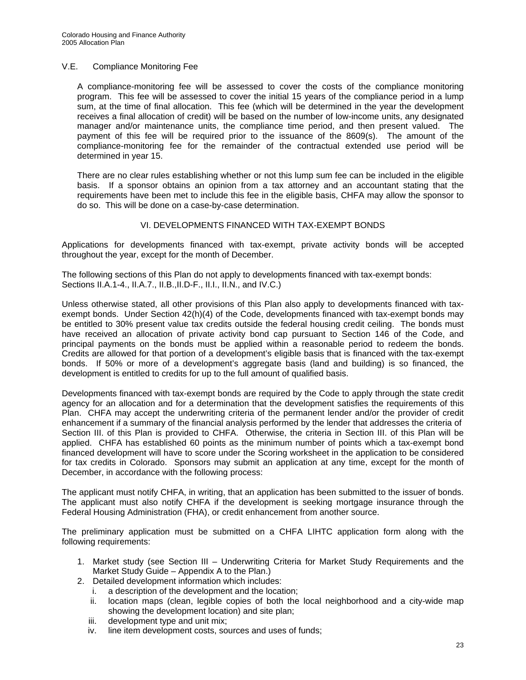#### V.E. Compliance Monitoring Fee

A compliance-monitoring fee will be assessed to cover the costs of the compliance monitoring program. This fee will be assessed to cover the initial 15 years of the compliance period in a lump sum, at the time of final allocation. This fee (which will be determined in the year the development receives a final allocation of credit) will be based on the number of low-income units, any designated manager and/or maintenance units, the compliance time period, and then present valued. The payment of this fee will be required prior to the issuance of the 8609(s). The amount of the compliance-monitoring fee for the remainder of the contractual extended use period will be determined in year 15.

There are no clear rules establishing whether or not this lump sum fee can be included in the eligible basis. If a sponsor obtains an opinion from a tax attorney and an accountant stating that the requirements have been met to include this fee in the eligible basis, CHFA may allow the sponsor to do so. This will be done on a case-by-case determination.

#### VI. DEVELOPMENTS FINANCED WITH TAX-EXEMPT BONDS

Applications for developments financed with tax-exempt, private activity bonds will be accepted throughout the year, except for the month of December.

The following sections of this Plan do not apply to developments financed with tax-exempt bonds: Sections II.A.1-4., II.A.7., II.B.,II.D-F., II.I., II.N., and IV.C.)

Unless otherwise stated, all other provisions of this Plan also apply to developments financed with taxexempt bonds. Under Section 42(h)(4) of the Code, developments financed with tax-exempt bonds may be entitled to 30% present value tax credits outside the federal housing credit ceiling. The bonds must have received an allocation of private activity bond cap pursuant to Section 146 of the Code, and principal payments on the bonds must be applied within a reasonable period to redeem the bonds. Credits are allowed for that portion of a development's eligible basis that is financed with the tax-exempt bonds. If 50% or more of a development's aggregate basis (land and building) is so financed, the development is entitled to credits for up to the full amount of qualified basis.

Developments financed with tax-exempt bonds are required by the Code to apply through the state credit agency for an allocation and for a determination that the development satisfies the requirements of this Plan. CHFA may accept the underwriting criteria of the permanent lender and/or the provider of credit enhancement if a summary of the financial analysis performed by the lender that addresses the criteria of Section III. of this Plan is provided to CHFA. Otherwise, the criteria in Section III. of this Plan will be applied.CHFA has established 60 points as the minimum number of points which a tax-exempt bond financed development will have to score under the Scoring worksheet in the application to be considered for tax credits in Colorado. Sponsors may submit an application at any time, except for the month of December, in accordance with the following process:

The applicant must notify CHFA, in writing, that an application has been submitted to the issuer of bonds. The applicant must also notify CHFA if the development is seeking mortgage insurance through the Federal Housing Administration (FHA), or credit enhancement from another source.

The preliminary application must be submitted on a CHFA LIHTC application form along with the following requirements:

- 1. Market study (see Section III Underwriting Criteria for Market Study Requirements and the Market Study Guide – Appendix A to the Plan.)
- 2. Detailed development information which includes:
	- i. a description of the development and the location;
	- ii. location maps (clean, legible copies of both the local neighborhood and a city-wide map showing the development location) and site plan;
	- iii. development type and unit mix;
	- iv. line item development costs, sources and uses of funds;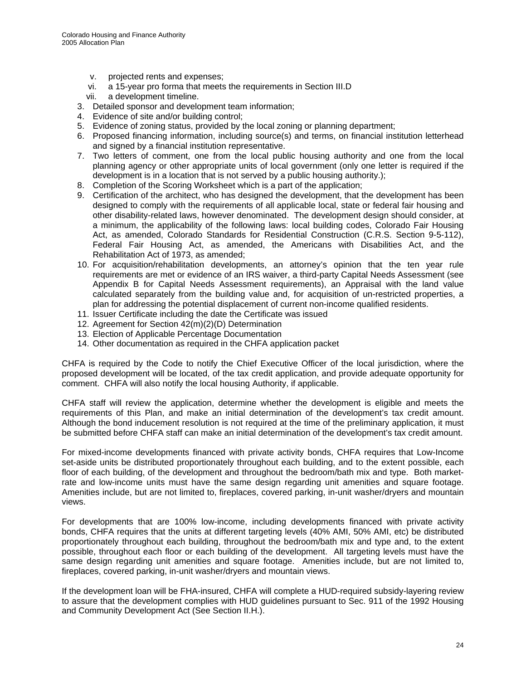- v. projected rents and expenses;
- vi. a 15-year pro forma that meets the requirements in Section III.D
- vii. a development timeline.
- 3. Detailed sponsor and development team information;
- 4. Evidence of site and/or building control;
- 5. Evidence of zoning status, provided by the local zoning or planning department;
- 6. Proposed financing information, including source(s) and terms, on financial institution letterhead and signed by a financial institution representative.
- 7. Two letters of comment, one from the local public housing authority and one from the local planning agency or other appropriate units of local government (only one letter is required if the development is in a location that is not served by a public housing authority.);
- 8. Completion of the Scoring Worksheet which is a part of the application;
- 9. Certification of the architect, who has designed the development, that the development has been designed to comply with the requirements of all applicable local, state or federal fair housing and other disability-related laws, however denominated. The development design should consider, at a minimum, the applicability of the following laws: local building codes, Colorado Fair Housing Act, as amended, Colorado Standards for Residential Construction (C.R.S. Section 9-5-112), Federal Fair Housing Act, as amended, the Americans with Disabilities Act, and the Rehabilitation Act of 1973, as amended;
- 10. For acquisition/rehabilitation developments, an attorney's opinion that the ten year rule requirements are met or evidence of an IRS waiver, a third-party Capital Needs Assessment (see Appendix B for Capital Needs Assessment requirements), an Appraisal with the land value calculated separately from the building value and, for acquisition of un-restricted properties, a plan for addressing the potential displacement of current non-income qualified residents.
- 11. Issuer Certificate including the date the Certificate was issued
- 12. Agreement for Section 42(m)(2)(D) Determination
- 13. Election of Applicable Percentage Documentation
- 14. Other documentation as required in the CHFA application packet

CHFA is required by the Code to notify the Chief Executive Officer of the local jurisdiction, where the proposed development will be located, of the tax credit application, and provide adequate opportunity for comment. CHFA will also notify the local housing Authority, if applicable.

CHFA staff will review the application, determine whether the development is eligible and meets the requirements of this Plan, and make an initial determination of the development's tax credit amount. Although the bond inducement resolution is not required at the time of the preliminary application, it must be submitted before CHFA staff can make an initial determination of the development's tax credit amount.

For mixed-income developments financed with private activity bonds, CHFA requires that Low-Income set-aside units be distributed proportionately throughout each building, and to the extent possible, each floor of each building, of the development and throughout the bedroom/bath mix and type. Both marketrate and low-income units must have the same design regarding unit amenities and square footage. Amenities include, but are not limited to, fireplaces, covered parking, in-unit washer/dryers and mountain views.

For developments that are 100% low-income, including developments financed with private activity bonds, CHFA requires that the units at different targeting levels (40% AMI, 50% AMI, etc) be distributed proportionately throughout each building, throughout the bedroom/bath mix and type and, to the extent possible, throughout each floor or each building of the development. All targeting levels must have the same design regarding unit amenities and square footage. Amenities include, but are not limited to, fireplaces, covered parking, in-unit washer/dryers and mountain views.

If the development loan will be FHA-insured, CHFA will complete a HUD-required subsidy-layering review to assure that the development complies with HUD guidelines pursuant to Sec. 911 of the 1992 Housing and Community Development Act (See Section II.H.).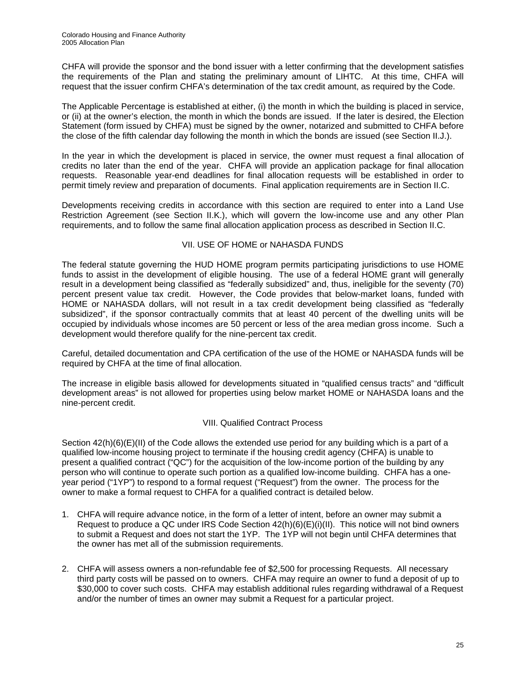CHFA will provide the sponsor and the bond issuer with a letter confirming that the development satisfies the requirements of the Plan and stating the preliminary amount of LIHTC. At this time, CHFA will request that the issuer confirm CHFA's determination of the tax credit amount, as required by the Code.

The Applicable Percentage is established at either, (i) the month in which the building is placed in service, or (ii) at the owner's election, the month in which the bonds are issued. If the later is desired, the Election Statement (form issued by CHFA) must be signed by the owner, notarized and submitted to CHFA before the close of the fifth calendar day following the month in which the bonds are issued (see Section II.J.).

In the year in which the development is placed in service, the owner must request a final allocation of credits no later than the end of the year. CHFA will provide an application package for final allocation requests. Reasonable year-end deadlines for final allocation requests will be established in order to permit timely review and preparation of documents. Final application requirements are in Section II.C.

Developments receiving credits in accordance with this section are required to enter into a Land Use Restriction Agreement (see Section II.K.), which will govern the low-income use and any other Plan requirements, and to follow the same final allocation application process as described in Section II.C.

#### VII. USE OF HOME or NAHASDA FUNDS

The federal statute governing the HUD HOME program permits participating jurisdictions to use HOME funds to assist in the development of eligible housing. The use of a federal HOME grant will generally result in a development being classified as "federally subsidized" and, thus, ineligible for the seventy (70) percent present value tax credit. However, the Code provides that below-market loans, funded with HOME or NAHASDA dollars, will not result in a tax credit development being classified as "federally subsidized", if the sponsor contractually commits that at least 40 percent of the dwelling units will be occupied by individuals whose incomes are 50 percent or less of the area median gross income. Such a development would therefore qualify for the nine-percent tax credit.

Careful, detailed documentation and CPA certification of the use of the HOME or NAHASDA funds will be required by CHFA at the time of final allocation.

The increase in eligible basis allowed for developments situated in "qualified census tracts" and "difficult development areas" is not allowed for properties using below market HOME or NAHASDA loans and the nine-percent credit.

#### VIII. Qualified Contract Process

Section  $42(h)(6)(E)(II)$  of the Code allows the extended use period for any building which is a part of a qualified low-income housing project to terminate if the housing credit agency (CHFA) is unable to present a qualified contract ("QC") for the acquisition of the low-income portion of the building by any person who will continue to operate such portion as a qualified low-income building. CHFA has a oneyear period ("1YP") to respond to a formal request ("Request") from the owner. The process for the owner to make a formal request to CHFA for a qualified contract is detailed below.

- 1. CHFA will require advance notice, in the form of a letter of intent, before an owner may submit a Request to produce a QC under IRS Code Section  $42(h)(6)(E)(i)(II)$ . This notice will not bind owners to submit a Request and does not start the 1YP. The 1YP will not begin until CHFA determines that the owner has met all of the submission requirements.
- 2. CHFA will assess owners a non-refundable fee of \$2,500 for processing Requests. All necessary third party costs will be passed on to owners. CHFA may require an owner to fund a deposit of up to \$30,000 to cover such costs. CHFA may establish additional rules regarding withdrawal of a Request and/or the number of times an owner may submit a Request for a particular project.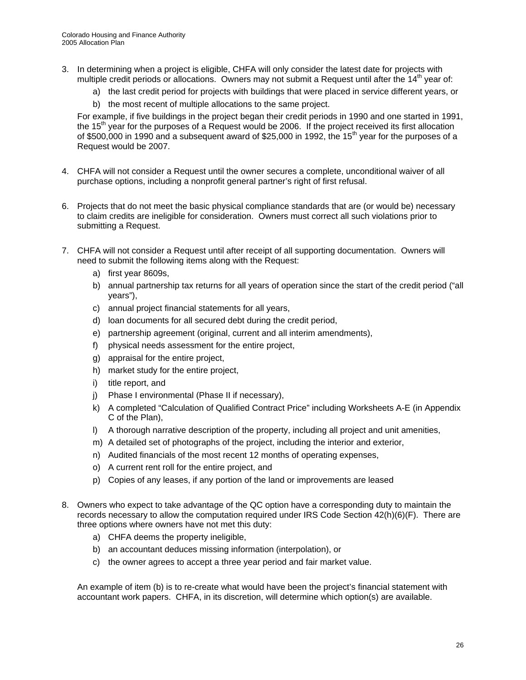- 3. In determining when a project is eligible, CHFA will only consider the latest date for projects with multiple credit periods or allocations. Owners may not submit a Request until after the  $14<sup>th</sup>$  year of:
	- a) the last credit period for projects with buildings that were placed in service different years, or
	- b) the most recent of multiple allocations to the same project.

For example, if five buildings in the project began their credit periods in 1990 and one started in 1991, the  $15<sup>th</sup>$  year for the purposes of a Request would be 2006. If the project received its first allocation of \$500,000 in 1990 and a subsequent award of \$25,000 in 1992, the 15<sup>th</sup> year for the purposes of a Request would be 2007.

- 4. CHFA will not consider a Request until the owner secures a complete, unconditional waiver of all purchase options, including a nonprofit general partner's right of first refusal.
- 6. Projects that do not meet the basic physical compliance standards that are (or would be) necessary to claim credits are ineligible for consideration. Owners must correct all such violations prior to submitting a Request.
- 7. CHFA will not consider a Request until after receipt of all supporting documentation. Owners will need to submit the following items along with the Request:
	- a) first year 8609s,
	- b) annual partnership tax returns for all years of operation since the start of the credit period ("all years"),
	- c) annual project financial statements for all years,
	- d) loan documents for all secured debt during the credit period,
	- e) partnership agreement (original, current and all interim amendments),
	- f) physical needs assessment for the entire project,
	- g) appraisal for the entire project,
	- h) market study for the entire project,
	- i) title report, and
	- j) Phase I environmental (Phase II if necessary),
	- k) A completed "Calculation of Qualified Contract Price" including Worksheets A-E (in Appendix C of the Plan),
	- l) A thorough narrative description of the property, including all project and unit amenities,
	- m) A detailed set of photographs of the project, including the interior and exterior,
	- n) Audited financials of the most recent 12 months of operating expenses,
	- o) A current rent roll for the entire project, and
	- p) Copies of any leases, if any portion of the land or improvements are leased
- 8. Owners who expect to take advantage of the QC option have a corresponding duty to maintain the records necessary to allow the computation required under IRS Code Section 42(h)(6)(F). There are three options where owners have not met this duty:
	- a) CHFA deems the property ineligible,
	- b) an accountant deduces missing information (interpolation), or
	- c) the owner agrees to accept a three year period and fair market value.

An example of item (b) is to re-create what would have been the project's financial statement with accountant work papers. CHFA, in its discretion, will determine which option(s) are available.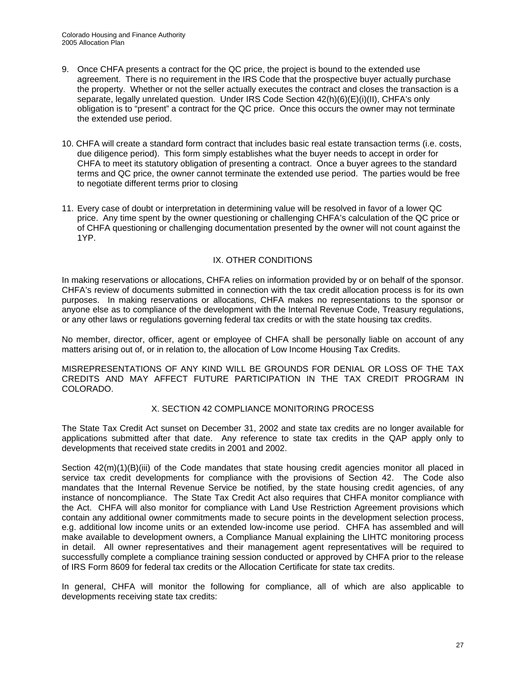- 9. Once CHFA presents a contract for the QC price, the project is bound to the extended use agreement. There is no requirement in the IRS Code that the prospective buyer actually purchase the property. Whether or not the seller actually executes the contract and closes the transaction is a separate, legally unrelated question. Under IRS Code Section 42(h)(6)(E)(i)(II), CHFA's only obligation is to "present" a contract for the QC price. Once this occurs the owner may not terminate the extended use period.
- 10. CHFA will create a standard form contract that includes basic real estate transaction terms (i.e. costs, due diligence period). This form simply establishes what the buyer needs to accept in order for CHFA to meet its statutory obligation of presenting a contract. Once a buyer agrees to the standard terms and QC price, the owner cannot terminate the extended use period. The parties would be free to negotiate different terms prior to closing
- 11. Every case of doubt or interpretation in determining value will be resolved in favor of a lower QC price. Any time spent by the owner questioning or challenging CHFA's calculation of the QC price or of CHFA questioning or challenging documentation presented by the owner will not count against the 1YP.

#### IX. OTHER CONDITIONS

In making reservations or allocations, CHFA relies on information provided by or on behalf of the sponsor. CHFA's review of documents submitted in connection with the tax credit allocation process is for its own purposes. In making reservations or allocations, CHFA makes no representations to the sponsor or anyone else as to compliance of the development with the Internal Revenue Code, Treasury regulations, or any other laws or regulations governing federal tax credits or with the state housing tax credits.

No member, director, officer, agent or employee of CHFA shall be personally liable on account of any matters arising out of, or in relation to, the allocation of Low Income Housing Tax Credits.

MISREPRESENTATIONS OF ANY KIND WILL BE GROUNDS FOR DENIAL OR LOSS OF THE TAX CREDITS AND MAY AFFECT FUTURE PARTICIPATION IN THE TAX CREDIT PROGRAM IN COLORADO.

#### X. SECTION 42 COMPLIANCE MONITORING PROCESS

The State Tax Credit Act sunset on December 31, 2002 and state tax credits are no longer available for applications submitted after that date. Any reference to state tax credits in the QAP apply only to developments that received state credits in 2001 and 2002.

Section  $42(m)(1)(B)(iii)$  of the Code mandates that state housing credit agencies monitor all placed in service tax credit developments for compliance with the provisions of Section 42. The Code also mandates that the Internal Revenue Service be notified, by the state housing credit agencies, of any instance of noncompliance. The State Tax Credit Act also requires that CHFA monitor compliance with the Act. CHFA will also monitor for compliance with Land Use Restriction Agreement provisions which contain any additional owner commitments made to secure points in the development selection process, e.g. additional low income units or an extended low-income use period. CHFA has assembled and will make available to development owners, a Compliance Manual explaining the LIHTC monitoring process in detail. All owner representatives and their management agent representatives will be required to successfully complete a compliance training session conducted or approved by CHFA prior to the release of IRS Form 8609 for federal tax credits or the Allocation Certificate for state tax credits.

In general, CHFA will monitor the following for compliance, all of which are also applicable to developments receiving state tax credits: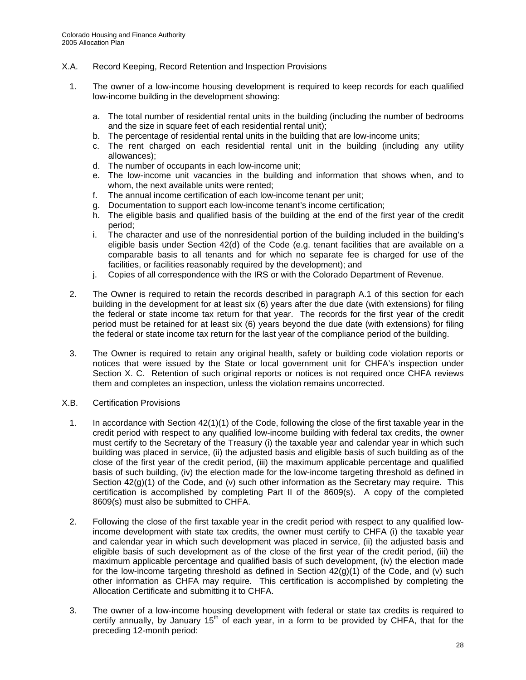#### X.A. Record Keeping, Record Retention and Inspection Provisions

- 1. The owner of a low-income housing development is required to keep records for each qualified low-income building in the development showing:
	- a. The total number of residential rental units in the building (including the number of bedrooms and the size in square feet of each residential rental unit);
	- b. The percentage of residential rental units in the building that are low-income units;
	- c. The rent charged on each residential rental unit in the building (including any utility allowances);
	- d. The number of occupants in each low-income unit;
	- e. The low-income unit vacancies in the building and information that shows when, and to whom, the next available units were rented;
	- f. The annual income certification of each low-income tenant per unit;
	- g. Documentation to support each low-income tenant's income certification;
	- h. The eligible basis and qualified basis of the building at the end of the first year of the credit period;
	- i. The character and use of the nonresidential portion of the building included in the building's eligible basis under Section 42(d) of the Code (e.g. tenant facilities that are available on a comparable basis to all tenants and for which no separate fee is charged for use of the facilities, or facilities reasonably required by the development); and
	- j. Copies of all correspondence with the IRS or with the Colorado Department of Revenue.
- 2. The Owner is required to retain the records described in paragraph A.1 of this section for each building in the development for at least six (6) years after the due date (with extensions) for filing the federal or state income tax return for that year. The records for the first year of the credit period must be retained for at least six (6) years beyond the due date (with extensions) for filing the federal or state income tax return for the last year of the compliance period of the building.
- 3. The Owner is required to retain any original health, safety or building code violation reports or notices that were issued by the State or local government unit for CHFA's inspection under Section X. C. Retention of such original reports or notices is not required once CHFA reviews them and completes an inspection, unless the violation remains uncorrected.
- X.B. Certification Provisions
	- 1. In accordance with Section 42(1)(1) of the Code, following the close of the first taxable year in the credit period with respect to any qualified low-income building with federal tax credits, the owner must certify to the Secretary of the Treasury (i) the taxable year and calendar year in which such building was placed in service, (ii) the adjusted basis and eligible basis of such building as of the close of the first year of the credit period, (iii) the maximum applicable percentage and qualified basis of such building, (iv) the election made for the low-income targeting threshold as defined in Section  $42(g)(1)$  of the Code, and (v) such other information as the Secretary may require. This certification is accomplished by completing Part II of the 8609(s). A copy of the completed 8609(s) must also be submitted to CHFA.
	- 2. Following the close of the first taxable year in the credit period with respect to any qualified lowincome development with state tax credits, the owner must certify to CHFA (i) the taxable year and calendar year in which such development was placed in service, (ii) the adjusted basis and eligible basis of such development as of the close of the first year of the credit period, (iii) the maximum applicable percentage and qualified basis of such development, (iv) the election made for the low-income targeting threshold as defined in Section  $42(q)(1)$  of the Code, and (v) such other information as CHFA may require. This certification is accomplished by completing the Allocation Certificate and submitting it to CHFA.
	- 3. The owner of a low-income housing development with federal or state tax credits is required to certify annually, by January  $15<sup>th</sup>$  of each year, in a form to be provided by CHFA, that for the preceding 12-month period: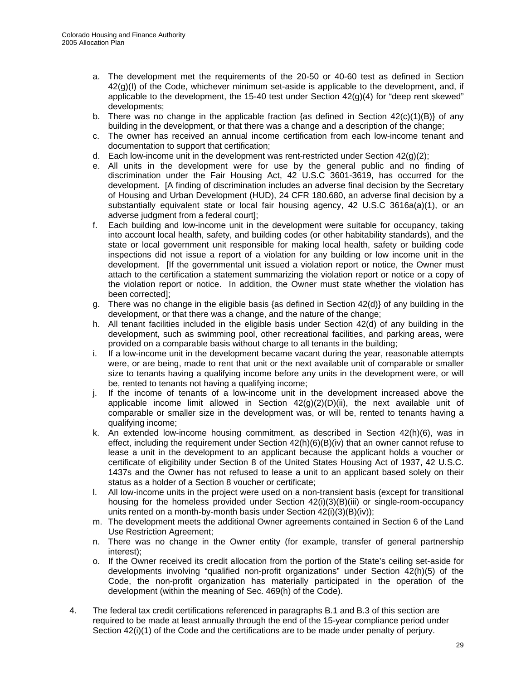- a. The development met the requirements of the 20-50 or 40-60 test as defined in Section  $42<sub>(a)</sub>(I)$  of the Code, whichever minimum set-aside is applicable to the development, and, if applicable to the development, the 15-40 test under Section  $42(q)(4)$  for "deep rent skewed" developments;
- b. There was no change in the applicable fraction {as defined in Section  $42(c)(1)(B)$ } of any building in the development, or that there was a change and a description of the change;
- c. The owner has received an annual income certification from each low-income tenant and documentation to support that certification;
- d. Each low-income unit in the development was rent-restricted under Section  $42(g)(2)$ ;
- e. All units in the development were for use by the general public and no finding of discrimination under the Fair Housing Act, 42 U.S.C 3601-3619, has occurred for the development. [A finding of discrimination includes an adverse final decision by the Secretary of Housing and Urban Development (HUD), 24 CFR 180.680, an adverse final decision by a substantially equivalent state or local fair housing agency, 42 U.S.C 3616a(a)(1), or an adverse judgment from a federal court];
- f. Each building and low-income unit in the development were suitable for occupancy, taking into account local health, safety, and building codes (or other habitability standards), and the state or local government unit responsible for making local health, safety or building code inspections did not issue a report of a violation for any building or low income unit in the development. [If the governmental unit issued a violation report or notice, the Owner must attach to the certification a statement summarizing the violation report or notice or a copy of the violation report or notice. In addition, the Owner must state whether the violation has been corrected];
- g. There was no change in the eligible basis {as defined in Section 42(d)} of any building in the development, or that there was a change, and the nature of the change;
- h. All tenant facilities included in the eligible basis under Section 42(d) of any building in the development, such as swimming pool, other recreational facilities, and parking areas, were provided on a comparable basis without charge to all tenants in the building;
- i. If a low-income unit in the development became vacant during the year, reasonable attempts were, or are being, made to rent that unit or the next available unit of comparable or smaller size to tenants having a qualifying income before any units in the development were, or will be, rented to tenants not having a qualifying income;
- j. If the income of tenants of a low-income unit in the development increased above the applicable income limit allowed in Section  $42(g)(2)(D)(ii)$ , the next available unit of comparable or smaller size in the development was, or will be, rented to tenants having a qualifying income;
- k. An extended low-income housing commitment, as described in Section 42(h)(6), was in effect, including the requirement under Section  $42(h)(6)(B)(iv)$  that an owner cannot refuse to lease a unit in the development to an applicant because the applicant holds a voucher or certificate of eligibility under Section 8 of the United States Housing Act of 1937, 42 U.S.C. 1437s and the Owner has not refused to lease a unit to an applicant based solely on their status as a holder of a Section 8 voucher or certificate;
- l. All low-income units in the project were used on a non-transient basis (except for transitional housing for the homeless provided under Section 42(i)(3)(B)(iii) or single-room-occupancy units rented on a month-by-month basis under Section 42(i)(3)(B)(iv));
- m. The development meets the additional Owner agreements contained in Section 6 of the Land Use Restriction Agreement;
- n. There was no change in the Owner entity (for example, transfer of general partnership interest);
- o. If the Owner received its credit allocation from the portion of the State's ceiling set-aside for developments involving "qualified non-profit organizations" under Section 42(h)(5) of the Code, the non-profit organization has materially participated in the operation of the development (within the meaning of Sec. 469(h) of the Code).
- 4. The federal tax credit certifications referenced in paragraphs B.1 and B.3 of this section are required to be made at least annually through the end of the 15-year compliance period under Section  $42(i)(1)$  of the Code and the certifications are to be made under penalty of perjury.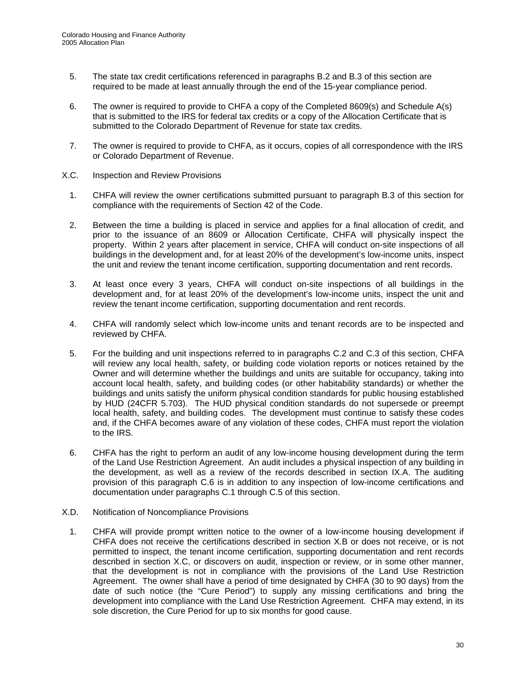- 5. The state tax credit certifications referenced in paragraphs B.2 and B.3 of this section are required to be made at least annually through the end of the 15-year compliance period.
- 6. The owner is required to provide to CHFA a copy of the Completed 8609(s) and Schedule A(s) that is submitted to the IRS for federal tax credits or a copy of the Allocation Certificate that is submitted to the Colorado Department of Revenue for state tax credits.
- 7. The owner is required to provide to CHFA, as it occurs, copies of all correspondence with the IRS or Colorado Department of Revenue.
- X.C. Inspection and Review Provisions
	- 1. CHFA will review the owner certifications submitted pursuant to paragraph B.3 of this section for compliance with the requirements of Section 42 of the Code.
	- 2. Between the time a building is placed in service and applies for a final allocation of credit, and prior to the issuance of an 8609 or Allocation Certificate, CHFA will physically inspect the property. Within 2 years after placement in service, CHFA will conduct on-site inspections of all buildings in the development and, for at least 20% of the development's low-income units, inspect the unit and review the tenant income certification, supporting documentation and rent records.
	- 3. At least once every 3 years, CHFA will conduct on-site inspections of all buildings in the development and, for at least 20% of the development's low-income units, inspect the unit and review the tenant income certification, supporting documentation and rent records.
	- 4. CHFA will randomly select which low-income units and tenant records are to be inspected and reviewed by CHFA.
	- 5. For the building and unit inspections referred to in paragraphs C.2 and C.3 of this section, CHFA will review any local health, safety, or building code violation reports or notices retained by the Owner and will determine whether the buildings and units are suitable for occupancy, taking into account local health, safety, and building codes (or other habitability standards) or whether the buildings and units satisfy the uniform physical condition standards for public housing established by HUD (24CFR 5.703). The HUD physical condition standards do not supersede or preempt local health, safety, and building codes. The development must continue to satisfy these codes and, if the CHFA becomes aware of any violation of these codes, CHFA must report the violation to the IRS.
	- 6. CHFA has the right to perform an audit of any low-income housing development during the term of the Land Use Restriction Agreement. An audit includes a physical inspection of any building in the development, as well as a review of the records described in section IX.A. The auditing provision of this paragraph C.6 is in addition to any inspection of low-income certifications and documentation under paragraphs C.1 through C.5 of this section.
- X.D. Notification of Noncompliance Provisions
	- 1. CHFA will provide prompt written notice to the owner of a low-income housing development if CHFA does not receive the certifications described in section X.B or does not receive, or is not permitted to inspect, the tenant income certification, supporting documentation and rent records described in section X.C, or discovers on audit, inspection or review, or in some other manner, that the development is not in compliance with the provisions of the Land Use Restriction Agreement. The owner shall have a period of time designated by CHFA (30 to 90 days) from the date of such notice (the "Cure Period") to supply any missing certifications and bring the development into compliance with the Land Use Restriction Agreement. CHFA may extend, in its sole discretion, the Cure Period for up to six months for good cause.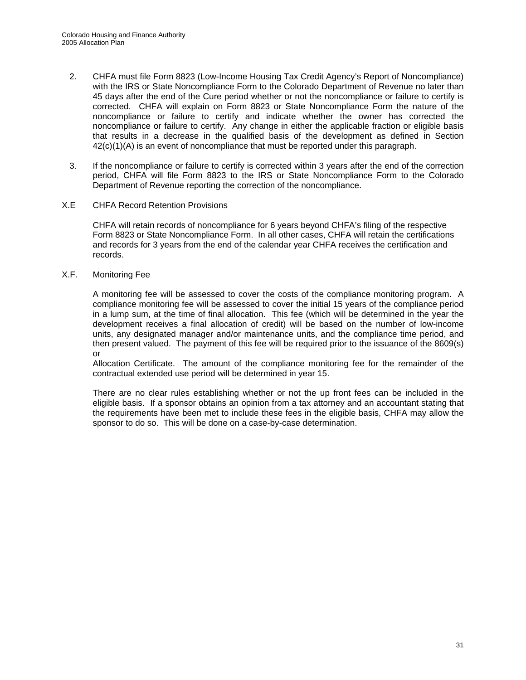- 2. CHFA must file Form 8823 (Low-Income Housing Tax Credit Agency's Report of Noncompliance) with the IRS or State Noncompliance Form to the Colorado Department of Revenue no later than 45 days after the end of the Cure period whether or not the noncompliance or failure to certify is corrected. CHFA will explain on Form 8823 or State Noncompliance Form the nature of the noncompliance or failure to certify and indicate whether the owner has corrected the noncompliance or failure to certify. Any change in either the applicable fraction or eligible basis that results in a decrease in the qualified basis of the development as defined in Section  $42(c)(1)(A)$  is an event of noncompliance that must be reported under this paragraph.
- 3. If the noncompliance or failure to certify is corrected within 3 years after the end of the correction period, CHFA will file Form 8823 to the IRS or State Noncompliance Form to the Colorado Department of Revenue reporting the correction of the noncompliance.
- X.E CHFA Record Retention Provisions

CHFA will retain records of noncompliance for 6 years beyond CHFA's filing of the respective Form 8823 or State Noncompliance Form. In all other cases, CHFA will retain the certifications and records for 3 years from the end of the calendar year CHFA receives the certification and records.

X.F. Monitoring Fee

A monitoring fee will be assessed to cover the costs of the compliance monitoring program. A compliance monitoring fee will be assessed to cover the initial 15 years of the compliance period in a lump sum, at the time of final allocation. This fee (which will be determined in the year the development receives a final allocation of credit) will be based on the number of low-income units, any designated manager and/or maintenance units, and the compliance time period, and then present valued. The payment of this fee will be required prior to the issuance of the 8609(s) or

Allocation Certificate. The amount of the compliance monitoring fee for the remainder of the contractual extended use period will be determined in year 15.

There are no clear rules establishing whether or not the up front fees can be included in the eligible basis. If a sponsor obtains an opinion from a tax attorney and an accountant stating that the requirements have been met to include these fees in the eligible basis, CHFA may allow the sponsor to do so. This will be done on a case-by-case determination.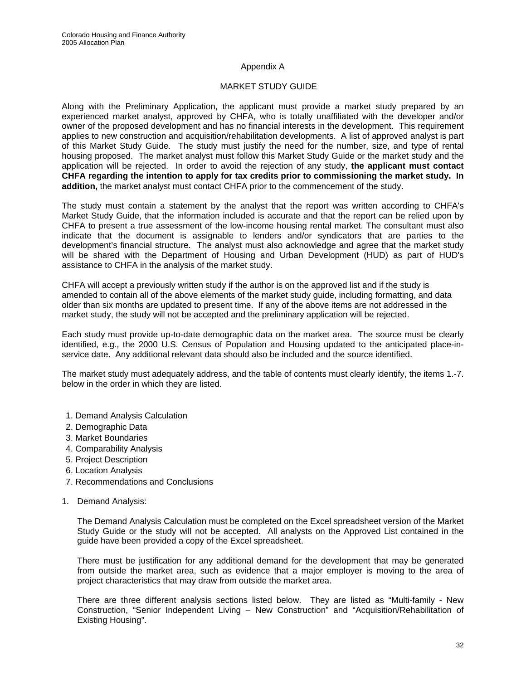#### Appendix A

#### MARKET STUDY GUIDE

Along with the Preliminary Application, the applicant must provide a market study prepared by an experienced market analyst, approved by CHFA, who is totally unaffiliated with the developer and/or owner of the proposed development and has no financial interests in the development. This requirement applies to new construction and acquisition/rehabilitation developments. A list of approved analyst is part of this Market Study Guide. The study must justify the need for the number, size, and type of rental housing proposed. The market analyst must follow this Market Study Guide or the market study and the application will be rejected. In order to avoid the rejection of any study, **the applicant must contact CHFA regarding the intention to apply for tax credits prior to commissioning the market study. In addition,** the market analyst must contact CHFA prior to the commencement of the study.

The study must contain a statement by the analyst that the report was written according to CHFA's Market Study Guide, that the information included is accurate and that the report can be relied upon by CHFA to present a true assessment of the low-income housing rental market. The consultant must also indicate that the document is assignable to lenders and/or syndicators that are parties to the development's financial structure. The analyst must also acknowledge and agree that the market study will be shared with the Department of Housing and Urban Development (HUD) as part of HUD's assistance to CHFA in the analysis of the market study.

CHFA will accept a previously written study if the author is on the approved list and if the study is amended to contain all of the above elements of the market study guide, including formatting, and data older than six months are updated to present time. If any of the above items are not addressed in the market study, the study will not be accepted and the preliminary application will be rejected.

Each study must provide up-to-date demographic data on the market area. The source must be clearly identified, e.g., the 2000 U.S. Census of Population and Housing updated to the anticipated place-inservice date. Any additional relevant data should also be included and the source identified.

The market study must adequately address, and the table of contents must clearly identify, the items 1.-7. below in the order in which they are listed.

- 1. Demand Analysis Calculation
- 2. Demographic Data
- 3. Market Boundaries
- 4. Comparability Analysis
- 5. Project Description
- 6. Location Analysis
- 7. Recommendations and Conclusions
- 1. Demand Analysis:

The Demand Analysis Calculation must be completed on the Excel spreadsheet version of the Market Study Guide or the study will not be accepted. All analysts on the Approved List contained in the guide have been provided a copy of the Excel spreadsheet.

There must be justification for any additional demand for the development that may be generated from outside the market area, such as evidence that a major employer is moving to the area of project characteristics that may draw from outside the market area.

There are three different analysis sections listed below. They are listed as "Multi-family - New Construction, "Senior Independent Living – New Construction" and "Acquisition/Rehabilitation of Existing Housing".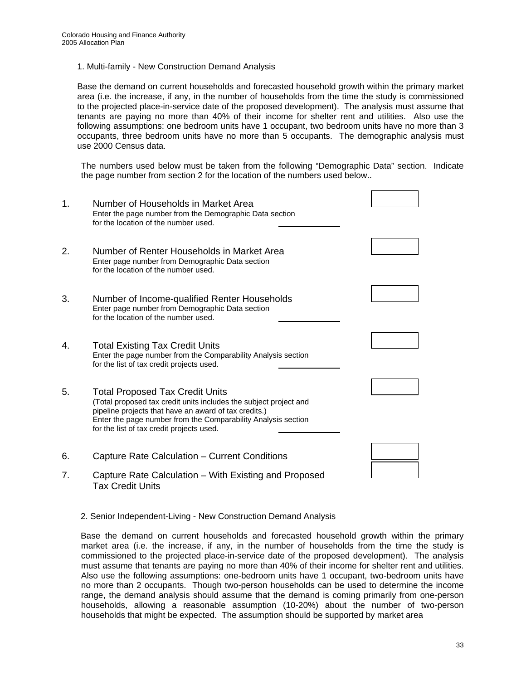1. Multi-family - New Construction Demand Analysis

Base the demand on current households and forecasted household growth within the primary market area (i.e. the increase, if any, in the number of households from the time the study is commissioned to the projected place-in-service date of the proposed development). The analysis must assume that tenants are paying no more than 40% of their income for shelter rent and utilities. Also use the following assumptions: one bedroom units have 1 occupant, two bedroom units have no more than 3 occupants, three bedroom units have no more than 5 occupants. The demographic analysis must use 2000 Census data.

The numbers used below must be taken from the following "Demographic Data" section. Indicate the page number from section 2 for the location of the numbers used below..

| 1. | Number of Households in Market Area<br>Enter the page number from the Demographic Data section<br>for the location of the number used.                                                                                                                                             |  |
|----|------------------------------------------------------------------------------------------------------------------------------------------------------------------------------------------------------------------------------------------------------------------------------------|--|
| 2. | Number of Renter Households in Market Area<br>Enter page number from Demographic Data section<br>for the location of the number used.                                                                                                                                              |  |
| 3. | Number of Income-qualified Renter Households<br>Enter page number from Demographic Data section<br>for the location of the number used.                                                                                                                                            |  |
| 4. | <b>Total Existing Tax Credit Units</b><br>Enter the page number from the Comparability Analysis section<br>for the list of tax credit projects used.                                                                                                                               |  |
| 5. | <b>Total Proposed Tax Credit Units</b><br>(Total proposed tax credit units includes the subject project and<br>pipeline projects that have an award of tax credits.)<br>Enter the page number from the Comparability Analysis section<br>for the list of tax credit projects used. |  |
| 6. | Capture Rate Calculation - Current Conditions                                                                                                                                                                                                                                      |  |
| 7. | Capture Rate Calculation – With Existing and Proposed<br>Tax Credit Units                                                                                                                                                                                                          |  |

2. Senior Independent-Living - New Construction Demand Analysis

Base the demand on current households and forecasted household growth within the primary market area (i.e. the increase, if any, in the number of households from the time the study is commissioned to the projected place-in-service date of the proposed development). The analysis must assume that tenants are paying no more than 40% of their income for shelter rent and utilities. Also use the following assumptions: one-bedroom units have 1 occupant, two-bedroom units have no more than 2 occupants. Though two-person households can be used to determine the income range, the demand analysis should assume that the demand is coming primarily from one-person households, allowing a reasonable assumption (10-20%) about the number of two-person households that might be expected. The assumption should be supported by market area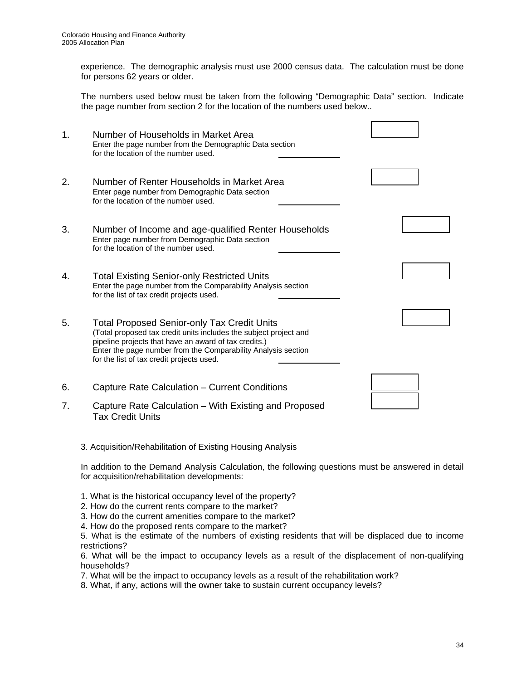experience. The demographic analysis must use 2000 census data. The calculation must be done for persons 62 years or older.

The numbers used below must be taken from the following "Demographic Data" section. Indicate the page number from section 2 for the location of the numbers used below..

| 1. | Number of Households in Market Area<br>Enter the page number from the Demographic Data section<br>for the location of the number used.                                                                                                                                                         |  |
|----|------------------------------------------------------------------------------------------------------------------------------------------------------------------------------------------------------------------------------------------------------------------------------------------------|--|
| 2. | Number of Renter Households in Market Area<br>Enter page number from Demographic Data section<br>for the location of the number used.                                                                                                                                                          |  |
| 3. | Number of Income and age-qualified Renter Households<br>Enter page number from Demographic Data section<br>for the location of the number used.                                                                                                                                                |  |
| 4. | <b>Total Existing Senior-only Restricted Units</b><br>Enter the page number from the Comparability Analysis section<br>for the list of tax credit projects used.                                                                                                                               |  |
| 5. | <b>Total Proposed Senior-only Tax Credit Units</b><br>(Total proposed tax credit units includes the subject project and<br>pipeline projects that have an award of tax credits.)<br>Enter the page number from the Comparability Analysis section<br>for the list of tax credit projects used. |  |
| 6. | Capture Rate Calculation - Current Conditions                                                                                                                                                                                                                                                  |  |
| 7. | Capture Rate Calculation – With Existing and Proposed<br><b>Tax Credit Units</b>                                                                                                                                                                                                               |  |

3. Acquisition/Rehabilitation of Existing Housing Analysis

In addition to the Demand Analysis Calculation, the following questions must be answered in detail for acquisition/rehabilitation developments:

- 1. What is the historical occupancy level of the property?
- 2. How do the current rents compare to the market?
- 3. How do the current amenities compare to the market?
- 4. How do the proposed rents compare to the market?

5. What is the estimate of the numbers of existing residents that will be displaced due to income restrictions?

6. What will be the impact to occupancy levels as a result of the displacement of non-qualifying households?

7. What will be the impact to occupancy levels as a result of the rehabilitation work?

8. What, if any, actions will the owner take to sustain current occupancy levels?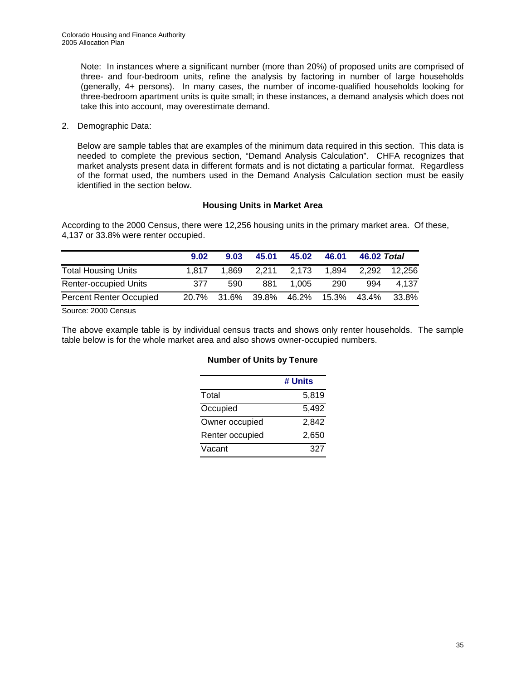Note: In instances where a significant number (more than 20%) of proposed units are comprised of three- and four-bedroom units, refine the analysis by factoring in number of large households (generally, 4+ persons). In many cases, the number of income-qualified households looking for three-bedroom apartment units is quite small; in these instances, a demand analysis which does not take this into account, may overestimate demand.

2. Demographic Data:

Below are sample tables that are examples of the minimum data required in this section. This data is needed to complete the previous section, "Demand Analysis Calculation". CHFA recognizes that market analysts present data in different formats and is not dictating a particular format. Regardless of the format used, the numbers used in the Demand Analysis Calculation section must be easily identified in the section below.

#### **Housing Units in Market Area**

According to the 2000 Census, there were 12,256 housing units in the primary market area. Of these, 4,137 or 33.8% were renter occupied.

|                                | 9.02  | 9.03 | 45.01             | 45.02                         | 46.01 | 46.02 Total |                    |
|--------------------------------|-------|------|-------------------|-------------------------------|-------|-------------|--------------------|
| <b>Total Housing Units</b>     | 1.817 |      | 1,869 2,211 2,173 |                               |       |             | 1.894 2.292 12.256 |
| <b>Renter-occupied Units</b>   | 377   | 590  | 881               | 1.005                         | 290   | 994         | 4.137              |
| <b>Percent Renter Occupied</b> | 20.7% |      |                   | 31.6% 39.8% 46.2% 15.3% 43.4% |       |             | 33.8%              |

Source: 2000 Census

The above example table is by individual census tracts and shows only renter households. The sample table below is for the whole market area and also shows owner-occupied numbers.

#### **Number of Units by Tenure**

|                 | # Units |
|-----------------|---------|
| Total           | 5,819   |
| Occupied        | 5,492   |
| Owner occupied  | 2,842   |
| Renter occupied | 2,650   |
| Vacant          | 327     |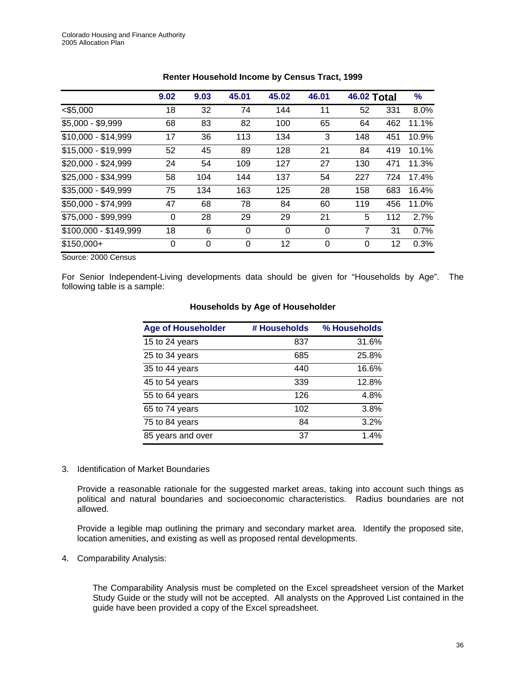|                       | 9.02 | 9.03 | 45.01    | 45.02 | 46.01    | <b>46.02 Total</b> |     | %     |
|-----------------------|------|------|----------|-------|----------|--------------------|-----|-------|
| $<$ \$5,000           | 18   | 32   | 74       | 144   | 11       | 52                 | 331 | 8.0%  |
| \$5,000 - \$9,999     | 68   | 83   | 82       | 100   | 65       | 64                 | 462 | 11.1% |
| \$10,000 - \$14,999   | 17   | 36   | 113      | 134   | 3        | 148                | 451 | 10.9% |
| \$15,000 - \$19,999   | 52   | 45   | 89       | 128   | 21       | 84                 | 419 | 10.1% |
| \$20,000 - \$24,999   | 24   | 54   | 109      | 127   | 27       | 130                | 471 | 11.3% |
| \$25,000 - \$34,999   | 58   | 104  | 144      | 137   | 54       | 227                | 724 | 17.4% |
| \$35,000 - \$49,999   | 75   | 134  | 163      | 125   | 28       | 158                | 683 | 16.4% |
| \$50,000 - \$74,999   | 47   | 68   | 78       | 84    | 60       | 119                | 456 | 11.0% |
| \$75,000 - \$99,999   | 0    | 28   | 29       | 29    | 21       | 5                  | 112 | 2.7%  |
| \$100,000 - \$149,999 | 18   | 6    | $\Omega$ | 0     | $\Omega$ | 7                  | 31  | 0.7%  |
| $$150,000+$           | 0    | 0    | $\Omega$ | 12    | $\Omega$ | 0                  | 12  | 0.3%  |

#### **Renter Household Income by Census Tract, 1999**

Source: 2000 Census

For Senior Independent-Living developments data should be given for "Households by Age". The following table is a sample:

| <b>Age of Householder</b> | # Households | % Households |
|---------------------------|--------------|--------------|
| 15 to 24 years            | 837          | 31.6%        |
| 25 to 34 years            | 685          | 25.8%        |
| 35 to 44 years            | 440          | 16.6%        |
| 45 to 54 years            | 339          | 12.8%        |
| 55 to 64 years            | 126          | 4.8%         |
| 65 to 74 years            | 102          | 3.8%         |
| 75 to 84 years            | 84           | 3.2%         |
| 85 years and over         | 37           | 1.4%         |

#### **Households by Age of Householder**

#### 3. Identification of Market Boundaries

Provide a reasonable rationale for the suggested market areas, taking into account such things as political and natural boundaries and socioeconomic characteristics. Radius boundaries are not allowed.

Provide a legible map outlining the primary and secondary market area. Identify the proposed site, location amenities, and existing as well as proposed rental developments.

4. Comparability Analysis:

The Comparability Analysis must be completed on the Excel spreadsheet version of the Market Study Guide or the study will not be accepted. All analysts on the Approved List contained in the guide have been provided a copy of the Excel spreadsheet.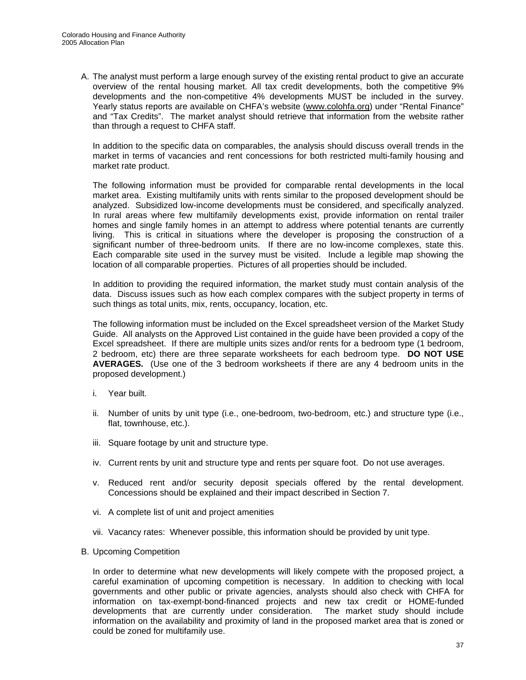A. The analyst must perform a large enough survey of the existing rental product to give an accurate overview of the rental housing market. All tax credit developments, both the competitive 9% developments and the non-competitive 4% developments MUST be included in the survey. Yearly status reports are available on CHFA's website [\(www.colohfa.org](http://www.colohfa.org/)) under "Rental Finance" and "Tax Credits". The market analyst should retrieve that information from the website rather than through a request to CHFA staff.

In addition to the specific data on comparables, the analysis should discuss overall trends in the market in terms of vacancies and rent concessions for both restricted multi-family housing and market rate product.

The following information must be provided for comparable rental developments in the local market area. Existing multifamily units with rents similar to the proposed development should be analyzed. Subsidized low-income developments must be considered, and specifically analyzed. In rural areas where few multifamily developments exist, provide information on rental trailer homes and single family homes in an attempt to address where potential tenants are currently living. This is critical in situations where the developer is proposing the construction of a significant number of three-bedroom units. If there are no low-income complexes, state this. Each comparable site used in the survey must be visited. Include a legible map showing the location of all comparable properties. Pictures of all properties should be included.

In addition to providing the required information, the market study must contain analysis of the data. Discuss issues such as how each complex compares with the subject property in terms of such things as total units, mix, rents, occupancy, location, etc.

The following information must be included on the Excel spreadsheet version of the Market Study Guide. All analysts on the Approved List contained in the guide have been provided a copy of the Excel spreadsheet. If there are multiple units sizes and/or rents for a bedroom type (1 bedroom, 2 bedroom, etc) there are three separate worksheets for each bedroom type. **DO NOT USE AVERAGES.** (Use one of the 3 bedroom worksheets if there are any 4 bedroom units in the proposed development.)

- i. Year built.
- ii. Number of units by unit type (i.e., one-bedroom, two-bedroom, etc.) and structure type (i.e., flat, townhouse, etc.).
- iii. Square footage by unit and structure type.
- iv. Current rents by unit and structure type and rents per square foot. Do not use averages.
- v. Reduced rent and/or security deposit specials offered by the rental development. Concessions should be explained and their impact described in Section 7.
- vi. A complete list of unit and project amenities
- vii. Vacancy rates: Whenever possible, this information should be provided by unit type.
- B. Upcoming Competition

In order to determine what new developments will likely compete with the proposed project, a careful examination of upcoming competition is necessary. In addition to checking with local governments and other public or private agencies, analysts should also check with CHFA for information on tax-exempt-bond-financed projects and new tax credit or HOME-funded developments that are currently under consideration. The market study should include information on the availability and proximity of land in the proposed market area that is zoned or could be zoned for multifamily use.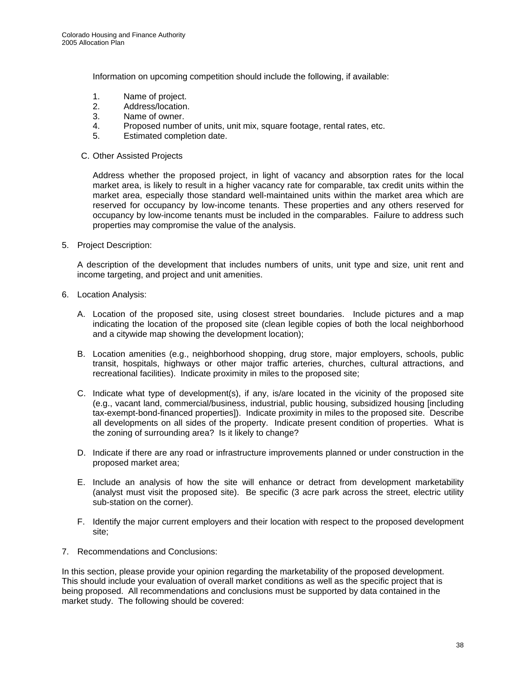Information on upcoming competition should include the following, if available:

- 1. Name of project.
- 2. Address/location.
- 3. Name of owner.
- 4. Proposed number of units, unit mix, square footage, rental rates, etc.
- 5. Estimated completion date.
- C. Other Assisted Projects

Address whether the proposed project, in light of vacancy and absorption rates for the local market area, is likely to result in a higher vacancy rate for comparable, tax credit units within the market area, especially those standard well-maintained units within the market area which are reserved for occupancy by low-income tenants. These properties and any others reserved for occupancy by low-income tenants must be included in the comparables. Failure to address such properties may compromise the value of the analysis.

5. Project Description:

A description of the development that includes numbers of units, unit type and size, unit rent and income targeting, and project and unit amenities.

- 6. Location Analysis:
	- A. Location of the proposed site, using closest street boundaries. Include pictures and a map indicating the location of the proposed site (clean legible copies of both the local neighborhood and a citywide map showing the development location);
	- B. Location amenities (e.g., neighborhood shopping, drug store, major employers, schools, public transit, hospitals, highways or other major traffic arteries, churches, cultural attractions, and recreational facilities). Indicate proximity in miles to the proposed site;
	- C. Indicate what type of development(s), if any, is/are located in the vicinity of the proposed site (e.g., vacant land, commercial/business, industrial, public housing, subsidized housing [including tax-exempt-bond-financed properties]). Indicate proximity in miles to the proposed site. Describe all developments on all sides of the property. Indicate present condition of properties. What is the zoning of surrounding area? Is it likely to change?
	- D. Indicate if there are any road or infrastructure improvements planned or under construction in the proposed market area;
	- E. Include an analysis of how the site will enhance or detract from development marketability (analyst must visit the proposed site). Be specific (3 acre park across the street, electric utility sub-station on the corner).
	- F. Identify the major current employers and their location with respect to the proposed development site;
- 7. Recommendations and Conclusions:

In this section, please provide your opinion regarding the marketability of the proposed development. This should include your evaluation of overall market conditions as well as the specific project that is being proposed. All recommendations and conclusions must be supported by data contained in the market study. The following should be covered: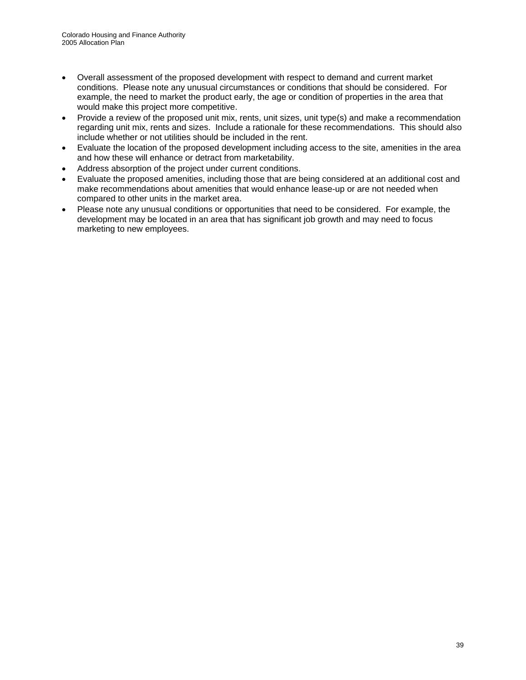- Overall assessment of the proposed development with respect to demand and current market conditions. Please note any unusual circumstances or conditions that should be considered. For example, the need to market the product early, the age or condition of properties in the area that would make this project more competitive.
- Provide a review of the proposed unit mix, rents, unit sizes, unit type(s) and make a recommendation regarding unit mix, rents and sizes. Include a rationale for these recommendations. This should also include whether or not utilities should be included in the rent.
- Evaluate the location of the proposed development including access to the site, amenities in the area and how these will enhance or detract from marketability.
- Address absorption of the project under current conditions.
- Evaluate the proposed amenities, including those that are being considered at an additional cost and make recommendations about amenities that would enhance lease-up or are not needed when compared to other units in the market area.
- Please note any unusual conditions or opportunities that need to be considered. For example, the development may be located in an area that has significant job growth and may need to focus marketing to new employees.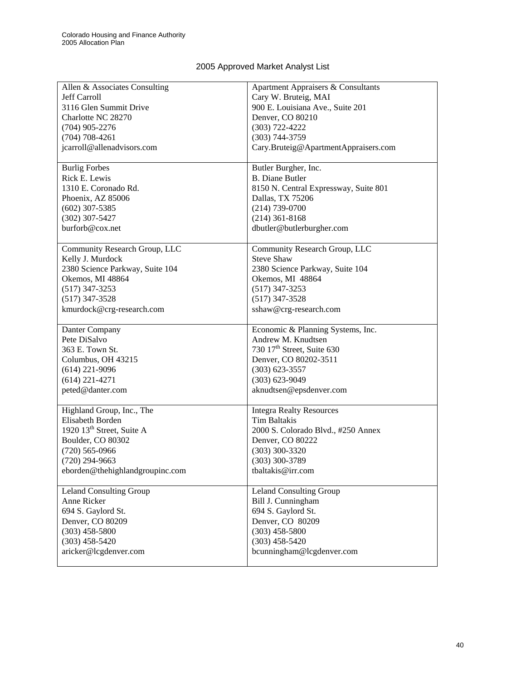# 2005 Approved Market Analyst List

| Allen & Associates Consulting         | Apartment Appraisers & Consultants     |
|---------------------------------------|----------------------------------------|
| <b>Jeff Carroll</b>                   | Cary W. Bruteig, MAI                   |
| 3116 Glen Summit Drive                | 900 E. Louisiana Ave., Suite 201       |
| Charlotte NC 28270                    | Denver, CO 80210                       |
| $(704)$ 905-2276                      | $(303) 722 - 4222$                     |
|                                       |                                        |
| $(704)$ 708-4261                      | $(303) 744 - 3759$                     |
| jcarroll@allenadvisors.com            | Cary.Bruteig@ApartmentAppraisers.com   |
| <b>Burlig Forbes</b>                  | Butler Burgher, Inc.                   |
| Rick E. Lewis                         | <b>B.</b> Diane Butler                 |
| 1310 E. Coronado Rd.                  | 8150 N. Central Expressway, Suite 801  |
| Phoenix, AZ 85006                     | Dallas, TX 75206                       |
| $(602)$ 307-5385                      | $(214) 739 - 0700$                     |
| $(302)$ 307-5427                      | $(214)$ 361-8168                       |
| burforb@cox.net                       | dbutler@butlerburgher.com              |
|                                       |                                        |
| Community Research Group, LLC         | Community Research Group, LLC          |
| Kelly J. Murdock                      | <b>Steve Shaw</b>                      |
| 2380 Science Parkway, Suite 104       | 2380 Science Parkway, Suite 104        |
| Okemos, MI 48864                      | Okemos, MI 48864                       |
| $(517)$ 347-3253                      | $(517)$ 347-3253                       |
| $(517)$ 347-3528                      | $(517)$ 347-3528                       |
| kmurdock@crg-research.com             | sshaw@crg-research.com                 |
|                                       |                                        |
| Danter Company                        | Economic & Planning Systems, Inc.      |
| Pete DiSalvo                          | Andrew M. Knudtsen                     |
| 363 E. Town St.                       | 730 17 <sup>th</sup> Street, Suite 630 |
| Columbus, OH 43215                    | Denver, CO 80202-3511                  |
| $(614)$ 221-9096                      | $(303)$ 623-3557                       |
| $(614)$ 221-4271                      | $(303) 623 - 9049$                     |
| peted@danter.com                      | aknudtsen@epsdenver.com                |
|                                       |                                        |
| Highland Group, Inc., The             | <b>Integra Realty Resources</b>        |
| Elisabeth Borden                      | Tim Baltakis                           |
| 1920 13 <sup>th</sup> Street, Suite A | 2000 S. Colorado Blvd., #250 Annex     |
| Boulder, CO 80302                     | Denver, CO 80222                       |
| $(720)$ 565-0966                      | $(303)$ 300-3320                       |
| $(720)$ 294-9663                      | $(303)$ 300-3789                       |
| eborden@thehighlandgroupinc.com       | tbaltakis@irr.com                      |
|                                       |                                        |
| <b>Leland Consulting Group</b>        | <b>Leland Consulting Group</b>         |
| Anne Ricker                           | Bill J. Cunningham                     |
| 694 S. Gaylord St.                    | 694 S. Gaylord St.                     |
| Denver, CO 80209                      | Denver, CO 80209                       |
|                                       |                                        |
| $(303)$ 458-5800                      | $(303)$ 458-5800                       |
| $(303)$ 458-5420                      | $(303)$ 458-5420                       |
| aricker@lcgdenver.com                 | bcunningham@lcgdenver.com              |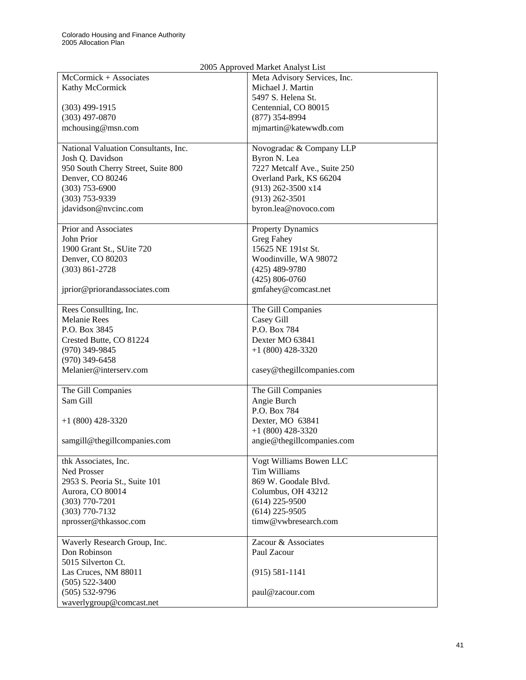| 2005 Approved Market Analyst List    |                              |  |  |
|--------------------------------------|------------------------------|--|--|
| McCormick + Associates               | Meta Advisory Services, Inc. |  |  |
| Kathy McCormick                      | Michael J. Martin            |  |  |
|                                      | 5497 S. Helena St.           |  |  |
| $(303)$ 499-1915                     | Centennial, CO 80015         |  |  |
| $(303)$ 497-0870                     | $(877)$ 354-8994             |  |  |
| mchousing@msn.com                    | mjmartin@katewwdb.com        |  |  |
|                                      |                              |  |  |
| National Valuation Consultants, Inc. | Novogradac & Company LLP     |  |  |
| Josh Q. Davidson                     | Byron N. Lea                 |  |  |
| 950 South Cherry Street, Suite 800   | 7227 Metcalf Ave., Suite 250 |  |  |
| Denver, CO 80246                     | Overland Park, KS 66204      |  |  |
| $(303)$ 753-6900                     | $(913)$ 262-3500 x14         |  |  |
| $(303)$ 753-9339                     | $(913)$ 262-3501             |  |  |
| jdavidson@nvcinc.com                 | byron.lea@novoco.com         |  |  |
|                                      |                              |  |  |
| Prior and Associates                 | <b>Property Dynamics</b>     |  |  |
| John Prior                           | Greg Fahey                   |  |  |
| 1900 Grant St., SUite 720            | 15625 NE 191st St.           |  |  |
| Denver, CO 80203                     | Woodinville, WA 98072        |  |  |
| $(303) 861 - 2728$                   | $(425)$ 489-9780             |  |  |
|                                      | $(425) 806 - 0760$           |  |  |
| jprior@priorandassociates.com        | gmfahey@comcast.net          |  |  |
|                                      |                              |  |  |
| Rees Consullting, Inc.               | The Gill Companies           |  |  |
| <b>Melanie Rees</b>                  | Casey Gill                   |  |  |
| P.O. Box 3845                        | P.O. Box 784                 |  |  |
| Crested Butte, CO 81224              | Dexter MO 63841              |  |  |
| $(970)$ 349-9845                     | $+1$ (800) 428-3320          |  |  |
| $(970)$ 349-6458                     |                              |  |  |
| Melanier@interserv.com               | casey@thegillcompanies.com   |  |  |
|                                      |                              |  |  |
| The Gill Companies                   | The Gill Companies           |  |  |
| Sam Gill                             | Angie Burch                  |  |  |
|                                      | P.O. Box 784                 |  |  |
| $+1$ (800) 428-3320                  | Dexter, MO 63841             |  |  |
|                                      | $+1$ (800) 428-3320          |  |  |
| samgill@thegillcompanies.com         | angie@thegillcompanies.com   |  |  |
|                                      |                              |  |  |
| thk Associates, Inc.                 | Vogt Williams Bowen LLC      |  |  |
| Ned Prosser                          | Tim Williams                 |  |  |
| 2953 S. Peoria St., Suite 101        | 869 W. Goodale Blvd.         |  |  |
| Aurora, CO 80014                     | Columbus, OH 43212           |  |  |
| $(303)$ 770-7201                     | $(614)$ 225-9500             |  |  |
| $(303)$ 770-7132                     | $(614)$ 225-9505             |  |  |
| nprosser@thkassoc.com                | timw@vwbresearch.com         |  |  |
|                                      |                              |  |  |
| Waverly Research Group, Inc.         | Zacour & Associates          |  |  |
| Don Robinson                         | Paul Zacour                  |  |  |
| 5015 Silverton Ct.                   |                              |  |  |
| Las Cruces, NM 88011                 | $(915) 581 - 1141$           |  |  |
| $(505) 522 - 3400$                   |                              |  |  |
| $(505) 532-9796$                     | paul@zacour.com              |  |  |
| waverlygroup@comcast.net             |                              |  |  |
|                                      |                              |  |  |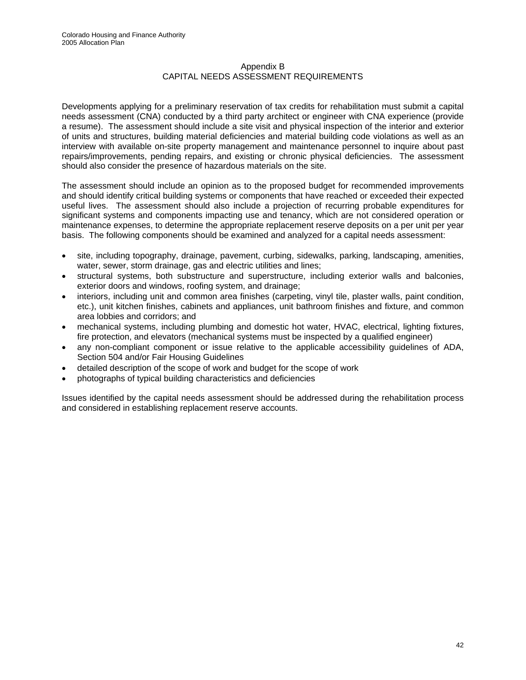#### Appendix B CAPITAL NEEDS ASSESSMENT REQUIREMENTS

Developments applying for a preliminary reservation of tax credits for rehabilitation must submit a capital needs assessment (CNA) conducted by a third party architect or engineer with CNA experience (provide a resume). The assessment should include a site visit and physical inspection of the interior and exterior of units and structures, building material deficiencies and material building code violations as well as an interview with available on-site property management and maintenance personnel to inquire about past repairs/improvements, pending repairs, and existing or chronic physical deficiencies. The assessment should also consider the presence of hazardous materials on the site.

The assessment should include an opinion as to the proposed budget for recommended improvements and should identify critical building systems or components that have reached or exceeded their expected useful lives. The assessment should also include a projection of recurring probable expenditures for significant systems and components impacting use and tenancy, which are not considered operation or maintenance expenses, to determine the appropriate replacement reserve deposits on a per unit per year basis. The following components should be examined and analyzed for a capital needs assessment:

- site, including topography, drainage, pavement, curbing, sidewalks, parking, landscaping, amenities, water, sewer, storm drainage, gas and electric utilities and lines;
- structural systems, both substructure and superstructure, including exterior walls and balconies, exterior doors and windows, roofing system, and drainage;
- interiors, including unit and common area finishes (carpeting, vinyl tile, plaster walls, paint condition, etc.), unit kitchen finishes, cabinets and appliances, unit bathroom finishes and fixture, and common area lobbies and corridors; and
- mechanical systems, including plumbing and domestic hot water, HVAC, electrical, lighting fixtures, fire protection, and elevators (mechanical systems must be inspected by a qualified engineer)
- any non-compliant component or issue relative to the applicable accessibility guidelines of ADA, Section 504 and/or Fair Housing Guidelines
- detailed description of the scope of work and budget for the scope of work
- photographs of typical building characteristics and deficiencies

Issues identified by the capital needs assessment should be addressed during the rehabilitation process and considered in establishing replacement reserve accounts.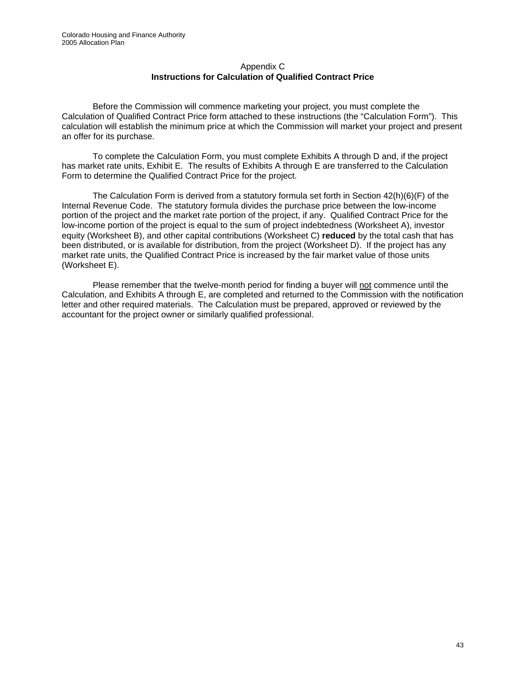#### Appendix C **Instructions for Calculation of Qualified Contract Price**

Before the Commission will commence marketing your project, you must complete the Calculation of Qualified Contract Price form attached to these instructions (the "Calculation Form"). This calculation will establish the minimum price at which the Commission will market your project and present an offer for its purchase.

To complete the Calculation Form, you must complete Exhibits A through D and, if the project has market rate units, Exhibit E. The results of Exhibits A through E are transferred to the Calculation Form to determine the Qualified Contract Price for the project.

The Calculation Form is derived from a statutory formula set forth in Section 42(h)(6)(F) of the Internal Revenue Code. The statutory formula divides the purchase price between the low-income portion of the project and the market rate portion of the project, if any. Qualified Contract Price for the low-income portion of the project is equal to the sum of project indebtedness (Worksheet A), investor equity (Worksheet B), and other capital contributions (Worksheet C) **reduced** by the total cash that has been distributed, or is available for distribution, from the project (Worksheet D). If the project has any market rate units, the Qualified Contract Price is increased by the fair market value of those units (Worksheet E).

Please remember that the twelve-month period for finding a buyer will not commence until the Calculation, and Exhibits A through E, are completed and returned to the Commission with the notification letter and other required materials. The Calculation must be prepared, approved or reviewed by the accountant for the project owner or similarly qualified professional.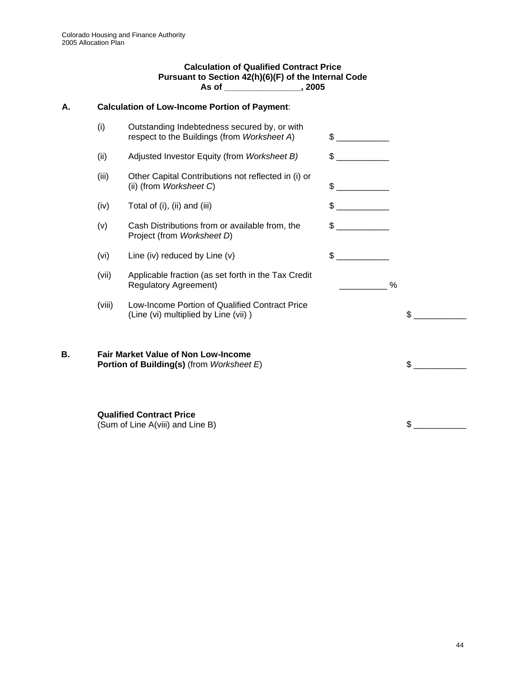#### **Calculation of Qualified Contract Price Pursuant to Section 42(h)(6)(F) of the Internal Code As of \_\_\_\_\_\_\_\_\_\_\_\_\_\_\_\_, 2005**

# **A. Calculation of Low-Income Portion of Payment**:

|    | (i)    | Outstanding Indebtedness secured by, or with<br>respect to the Buildings (from Worksheet A) | $\mathbb{S}$         |    |
|----|--------|---------------------------------------------------------------------------------------------|----------------------|----|
|    | (ii)   | Adjusted Investor Equity (from Worksheet B)                                                 | \$                   |    |
|    | (iii)  | Other Capital Contributions not reflected in (i) or<br>(ii) (from Worksheet C)              | $\frac{1}{\sqrt{2}}$ |    |
|    | (iv)   | Total of (i), (ii) and (iii)                                                                | $\frac{1}{2}$        |    |
|    | (v)    | Cash Distributions from or available from, the<br>Project (from Worksheet D)                | $\sim$               |    |
|    | (vi)   | Line (iv) reduced by Line (v)                                                               | \$                   |    |
|    | (vii)  | Applicable fraction (as set forth in the Tax Credit<br><b>Regulatory Agreement)</b>         | %                    |    |
|    | (viii) | Low-Income Portion of Qualified Contract Price<br>(Line (vi) multiplied by Line (vii))      |                      | \$ |
| В. |        | <b>Fair Market Value of Non Low-Income</b><br>Portion of Building(s) (from Worksheet E)     |                      | \$ |
|    |        | <b>Qualified Contract Price</b><br>(Sum of Line A(viii) and Line B)                         |                      | \$ |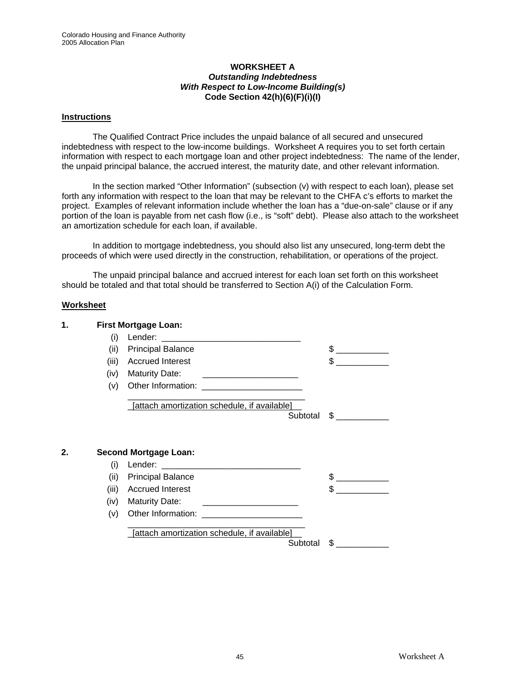#### **WORKSHEET A**  *Outstanding Indebtedness With Respect to Low-Income Building(s)* **Code Section 42(h)(6)(F)(i)(I)**

#### **Instructions**

The Qualified Contract Price includes the unpaid balance of all secured and unsecured indebtedness with respect to the low-income buildings. Worksheet A requires you to set forth certain information with respect to each mortgage loan and other project indebtedness: The name of the lender, the unpaid principal balance, the accrued interest, the maturity date, and other relevant information.

In the section marked "Other Information" (subsection (v) with respect to each loan), please set forth any information with respect to the loan that may be relevant to the CHFA c's efforts to market the project. Examples of relevant information include whether the loan has a "due-on-sale" clause or if any portion of the loan is payable from net cash flow (i.e., is "soft" debt). Please also attach to the worksheet an amortization schedule for each loan, if available.

In addition to mortgage indebtedness, you should also list any unsecured, long-term debt the proceeds of which were used directly in the construction, rehabilitation, or operations of the project.

The unpaid principal balance and accrued interest for each loan set forth on this worksheet should be totaled and that total should be transferred to Section A(i) of the Calculation Form.

#### **Worksheet**

|              |       | <b>First Mortgage Loan:</b>                  |                                                                                                                                                                                                                                                                                                                                                                                                                                 |
|--------------|-------|----------------------------------------------|---------------------------------------------------------------------------------------------------------------------------------------------------------------------------------------------------------------------------------------------------------------------------------------------------------------------------------------------------------------------------------------------------------------------------------|
|              | (i)   |                                              |                                                                                                                                                                                                                                                                                                                                                                                                                                 |
|              | (ii)  | <b>Principal Balance</b>                     | $\frac{1}{\sqrt{1-\frac{1}{2}}}\frac{1}{\sqrt{1-\frac{1}{2}}}\frac{1}{\sqrt{1-\frac{1}{2}}}\frac{1}{\sqrt{1-\frac{1}{2}}}\frac{1}{\sqrt{1-\frac{1}{2}}}\frac{1}{\sqrt{1-\frac{1}{2}}}\frac{1}{\sqrt{1-\frac{1}{2}}}\frac{1}{\sqrt{1-\frac{1}{2}}}\frac{1}{\sqrt{1-\frac{1}{2}}}\frac{1}{\sqrt{1-\frac{1}{2}}}\frac{1}{\sqrt{1-\frac{1}{2}}}\frac{1}{\sqrt{1-\frac{1}{2}}}\frac{1}{\sqrt{1-\frac{1}{2}}}\frac{1}{\sqrt{1-\frac{$ |
|              | (iii) | <b>Accrued Interest</b>                      | \$.                                                                                                                                                                                                                                                                                                                                                                                                                             |
|              | (iv)  | <b>Maturity Date:</b>                        |                                                                                                                                                                                                                                                                                                                                                                                                                                 |
|              | (v)   |                                              |                                                                                                                                                                                                                                                                                                                                                                                                                                 |
|              |       | [attach amortization schedule, if available] |                                                                                                                                                                                                                                                                                                                                                                                                                                 |
|              |       | Subtotal                                     | $\sim$                                                                                                                                                                                                                                                                                                                                                                                                                          |
|              |       |                                              |                                                                                                                                                                                                                                                                                                                                                                                                                                 |
| $\mathbf{2}$ | (i)   | <b>Second Mortgage Loan:</b>                 |                                                                                                                                                                                                                                                                                                                                                                                                                                 |
|              | (ii)  | <b>Principal Balance</b>                     | \$.                                                                                                                                                                                                                                                                                                                                                                                                                             |
|              | (iii) | <b>Accrued Interest</b>                      |                                                                                                                                                                                                                                                                                                                                                                                                                                 |
|              | (iv)  | <b>Maturity Date:</b>                        | $\frac{1}{\sqrt{1-\frac{1}{2}}}\frac{1}{\sqrt{1-\frac{1}{2}}}\frac{1}{\sqrt{1-\frac{1}{2}}}\frac{1}{\sqrt{1-\frac{1}{2}}}\frac{1}{\sqrt{1-\frac{1}{2}}}\frac{1}{\sqrt{1-\frac{1}{2}}}\frac{1}{\sqrt{1-\frac{1}{2}}}\frac{1}{\sqrt{1-\frac{1}{2}}}\frac{1}{\sqrt{1-\frac{1}{2}}}\frac{1}{\sqrt{1-\frac{1}{2}}}\frac{1}{\sqrt{1-\frac{1}{2}}}\frac{1}{\sqrt{1-\frac{1}{2}}}\frac{1}{\sqrt{1-\frac{1}{2}}}\frac{1}{\sqrt{1-\frac{$ |
|              | (v)   |                                              |                                                                                                                                                                                                                                                                                                                                                                                                                                 |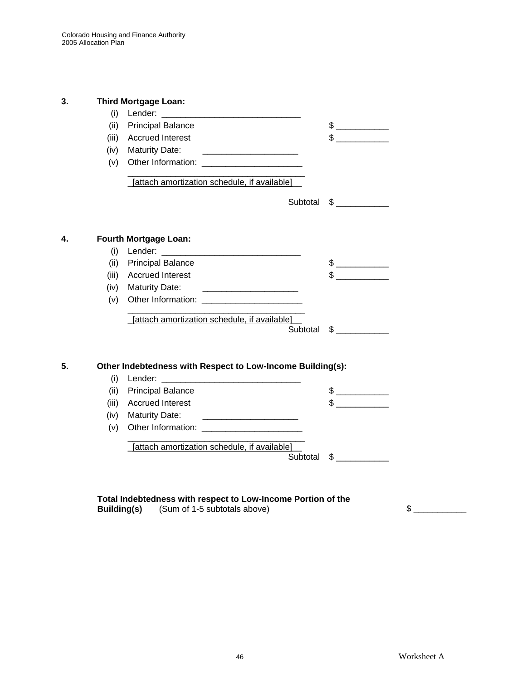| 3. |       | <b>Third Mortgage Loan:</b>                                                                                                                                                                                                                                                                  |          |                                                                                                                                                                                                                                                                                                                                               |
|----|-------|----------------------------------------------------------------------------------------------------------------------------------------------------------------------------------------------------------------------------------------------------------------------------------------------|----------|-----------------------------------------------------------------------------------------------------------------------------------------------------------------------------------------------------------------------------------------------------------------------------------------------------------------------------------------------|
|    |       |                                                                                                                                                                                                                                                                                              |          |                                                                                                                                                                                                                                                                                                                                               |
|    | (ii)  | <b>Principal Balance</b>                                                                                                                                                                                                                                                                     |          |                                                                                                                                                                                                                                                                                                                                               |
|    | (iii) | <b>Accrued Interest</b>                                                                                                                                                                                                                                                                      |          | $\frac{1}{2}$                                                                                                                                                                                                                                                                                                                                 |
|    |       | (iv) Maturity Date:                                                                                                                                                                                                                                                                          |          |                                                                                                                                                                                                                                                                                                                                               |
|    |       |                                                                                                                                                                                                                                                                                              |          |                                                                                                                                                                                                                                                                                                                                               |
|    |       | [attach amortization schedule, if available]                                                                                                                                                                                                                                                 |          |                                                                                                                                                                                                                                                                                                                                               |
|    |       |                                                                                                                                                                                                                                                                                              |          | Subtotal \$                                                                                                                                                                                                                                                                                                                                   |
| 4. |       | <b>Fourth Mortgage Loan:</b>                                                                                                                                                                                                                                                                 |          |                                                                                                                                                                                                                                                                                                                                               |
|    |       |                                                                                                                                                                                                                                                                                              |          |                                                                                                                                                                                                                                                                                                                                               |
|    |       | (ii) Principal Balance                                                                                                                                                                                                                                                                       |          |                                                                                                                                                                                                                                                                                                                                               |
|    |       | (iii) Accrued Interest                                                                                                                                                                                                                                                                       |          |                                                                                                                                                                                                                                                                                                                                               |
|    | (iv)  | <b>Maturity Date:</b>                                                                                                                                                                                                                                                                        |          |                                                                                                                                                                                                                                                                                                                                               |
|    | (v)   |                                                                                                                                                                                                                                                                                              |          |                                                                                                                                                                                                                                                                                                                                               |
|    |       | [attach amortization schedule, if available]                                                                                                                                                                                                                                                 |          |                                                                                                                                                                                                                                                                                                                                               |
|    |       |                                                                                                                                                                                                                                                                                              |          | Subtotal \$                                                                                                                                                                                                                                                                                                                                   |
| 5. | (i)   | Other Indebtedness with Respect to Low-Income Building(s):<br>Lender: The contract of the contract of the contract of the contract of the contract of the contract of the contract of the contract of the contract of the contract of the contract of the contract of the contract of the co |          |                                                                                                                                                                                                                                                                                                                                               |
|    |       | (ii) Principal Balance                                                                                                                                                                                                                                                                       |          | $\begin{picture}(20,20) \put(0,0){\line(1,0){100}} \put(15,0){\line(1,0){100}} \put(15,0){\line(1,0){100}} \put(15,0){\line(1,0){100}} \put(15,0){\line(1,0){100}} \put(15,0){\line(1,0){100}} \put(15,0){\line(1,0){100}} \put(15,0){\line(1,0){100}} \put(15,0){\line(1,0){100}} \put(15,0){\line(1,0){100}} \put(15,0){\line(1,0){100}} \$ |
|    |       | (iii) Accrued Interest                                                                                                                                                                                                                                                                       |          | $\sim$                                                                                                                                                                                                                                                                                                                                        |
|    |       | (iv) Maturity Date:                                                                                                                                                                                                                                                                          |          |                                                                                                                                                                                                                                                                                                                                               |
|    | (v)   | Other Information: The Contract of the Contract of the Contract of the Contract of the Contract of the Contract of the Contract of the Contract of the Contract of the Contract of the Contract of the Contract of the Contrac                                                               |          |                                                                                                                                                                                                                                                                                                                                               |
|    |       | [attach amortization schedule, if available]                                                                                                                                                                                                                                                 | Subtotal | $\mathbb{S}$                                                                                                                                                                                                                                                                                                                                  |

|                    | Total Indebtedness with respect to Low-Income Portion of the |  |
|--------------------|--------------------------------------------------------------|--|
| <b>Building(s)</b> | (Sum of 1-5 subtotals above)                                 |  |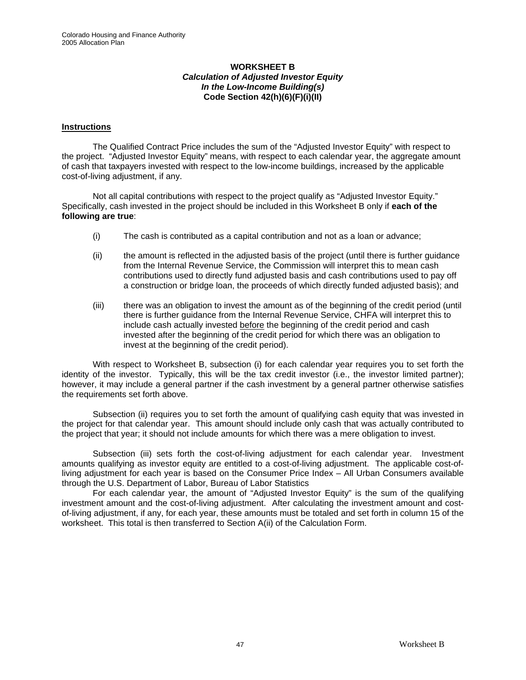#### **WORKSHEET B**  *Calculation of Adjusted Investor Equity In the Low-Income Building(s)*  **Code Section 42(h)(6)(F)(i)(II)**

#### **Instructions**

The Qualified Contract Price includes the sum of the "Adjusted Investor Equity" with respect to the project. "Adjusted Investor Equity" means, with respect to each calendar year, the aggregate amount of cash that taxpayers invested with respect to the low-income buildings, increased by the applicable cost-of-living adjustment, if any.

Not all capital contributions with respect to the project qualify as "Adjusted Investor Equity." Specifically, cash invested in the project should be included in this Worksheet B only if **each of the following are true**:

- (i) The cash is contributed as a capital contribution and not as a loan or advance;
- (ii) the amount is reflected in the adjusted basis of the project (until there is further guidance from the Internal Revenue Service, the Commission will interpret this to mean cash contributions used to directly fund adjusted basis and cash contributions used to pay off a construction or bridge loan, the proceeds of which directly funded adjusted basis); and
- (iii) there was an obligation to invest the amount as of the beginning of the credit period (until there is further guidance from the Internal Revenue Service, CHFA will interpret this to include cash actually invested before the beginning of the credit period and cash invested after the beginning of the credit period for which there was an obligation to invest at the beginning of the credit period).

With respect to Worksheet B, subsection (i) for each calendar year requires you to set forth the identity of the investor. Typically, this will be the tax credit investor (i.e., the investor limited partner); however, it may include a general partner if the cash investment by a general partner otherwise satisfies the requirements set forth above.

Subsection (ii) requires you to set forth the amount of qualifying cash equity that was invested in the project for that calendar year. This amount should include only cash that was actually contributed to the project that year; it should not include amounts for which there was a mere obligation to invest.

Subsection (iii) sets forth the cost-of-living adjustment for each calendar year. Investment amounts qualifying as investor equity are entitled to a cost-of-living adjustment. The applicable cost-ofliving adjustment for each year is based on the Consumer Price Index – All Urban Consumers available through the U.S. Department of Labor, Bureau of Labor Statistics

For each calendar year, the amount of "Adjusted Investor Equity" is the sum of the qualifying investment amount and the cost-of-living adjustment. After calculating the investment amount and costof-living adjustment, if any, for each year, these amounts must be totaled and set forth in column 15 of the worksheet. This total is then transferred to Section A(ii) of the Calculation Form.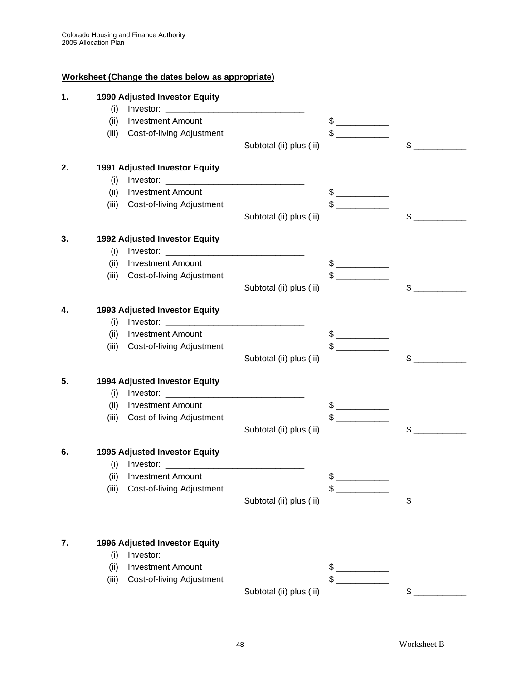# **Worksheet (Change the dates below as appropriate)**

| (i)<br>(ii)<br><b>Investment Amount</b><br>$\frac{1}{2}$<br>Cost-of-living Adjustment<br>(iii)<br>\$<br>Subtotal (ii) plus (iii)<br>1991 Adjusted Investor Equity<br>2.<br>(i)<br><b>Investment Amount</b><br>$\frac{1}{\sqrt{1-\frac{1}{2}}}\frac{1}{\sqrt{1-\frac{1}{2}}}\frac{1}{\sqrt{1-\frac{1}{2}}}\frac{1}{\sqrt{1-\frac{1}{2}}}\frac{1}{\sqrt{1-\frac{1}{2}}}\frac{1}{\sqrt{1-\frac{1}{2}}}\frac{1}{\sqrt{1-\frac{1}{2}}}\frac{1}{\sqrt{1-\frac{1}{2}}}\frac{1}{\sqrt{1-\frac{1}{2}}}\frac{1}{\sqrt{1-\frac{1}{2}}}\frac{1}{\sqrt{1-\frac{1}{2}}}\frac{1}{\sqrt{1-\frac{1}{2}}}\frac{1}{\sqrt{1-\frac{1}{2}}}\frac{1}{\sqrt{1-\frac{$<br>(ii)<br>$\frac{1}{\sqrt{1-\frac{1}{2}}\sqrt{1-\frac{1}{2}}\sqrt{1-\frac{1}{2}}\sqrt{1-\frac{1}{2}}\sqrt{1-\frac{1}{2}}\sqrt{1-\frac{1}{2}}\sqrt{1-\frac{1}{2}}\sqrt{1-\frac{1}{2}}\sqrt{1-\frac{1}{2}}\sqrt{1-\frac{1}{2}}\sqrt{1-\frac{1}{2}}\sqrt{1-\frac{1}{2}}\sqrt{1-\frac{1}{2}}\sqrt{1-\frac{1}{2}}\sqrt{1-\frac{1}{2}}\sqrt{1-\frac{1}{2}}\sqrt{1-\frac{1}{2}}\sqrt{1-\frac{1}{2}}\sqrt{1-\frac{1}{2}}\sqrt{1-\frac$<br>Cost-of-living Adjustment<br>(iii)<br>$\mathbb{S}^-$<br>Subtotal (ii) plus (iii)<br>1992 Adjusted Investor Equity<br>3.<br>(i)<br><b>Investment Amount</b><br>(ii)<br>$\begin{array}{c} \updownarrow \\ \downarrow \end{array}$<br>$\frac{1}{\sqrt{1-\frac{1}{2}}\sqrt{1-\frac{1}{2}}\sqrt{1-\frac{1}{2}}\sqrt{1-\frac{1}{2}}\sqrt{1-\frac{1}{2}}\sqrt{1-\frac{1}{2}}\sqrt{1-\frac{1}{2}}\sqrt{1-\frac{1}{2}}\sqrt{1-\frac{1}{2}}\sqrt{1-\frac{1}{2}}\sqrt{1-\frac{1}{2}}\sqrt{1-\frac{1}{2}}\sqrt{1-\frac{1}{2}}\sqrt{1-\frac{1}{2}}\sqrt{1-\frac{1}{2}}\sqrt{1-\frac{1}{2}}\sqrt{1-\frac{1}{2}}\sqrt{1-\frac{1}{2}}\sqrt{1-\frac{1}{2}}\sqrt{1-\frac$<br>(iii)<br>Cost-of-living Adjustment<br>$\mathsf{\$}$<br>Subtotal (ii) plus (iii)<br>1993 Adjusted Investor Equity<br>4.<br>(i)<br><b>Investment Amount</b><br>(ii)<br>Cost-of-living Adjustment<br>(iii)<br>\$<br>Subtotal (ii) plus (iii)<br>5.<br>1994 Adjusted Investor Equity<br>(i)<br>(ii)<br><b>Investment Amount</b><br>$\frac{1}{2}$<br>(iii)<br>Cost-of-living Adjustment<br>\$<br>Subtotal (ii) plus (iii)<br>1995 Adjusted Investor Equity<br>6.<br>(ii) Investment Amount<br>Cost-of-living Adjustment<br>\$<br>(iii)<br>$\begin{tabular}{ccccc} \multicolumn{2}{c }{\textbf{1} & \textbf{2} & \textbf{3} & \textbf{4} & \textbf{5} & \textbf{5} & \textbf{6} & \textbf{6} & \textbf{7} & \textbf{8} & \textbf{9} & \textbf{10} & \textbf{10} & \textbf{10} & \textbf{10} & \textbf{10} & \textbf{10} & \textbf{10} & \textbf{10} & \textbf{10} & \textbf{10} & \textbf{10} & \textbf{10} & \textbf{10} & \textbf{10} & \textbf{10} & \textbf{$<br>$\sim$<br>Subtotal (ii) plus (iii)<br>7.<br>1996 Adjusted Investor Equity<br>Investor: $\frac{1}{2}$<br>(i)<br><b>Investment Amount</b><br>(ii) | 1. |       | <b>1990 Adjusted Investor Equity</b> |               |  |
|------------------------------------------------------------------------------------------------------------------------------------------------------------------------------------------------------------------------------------------------------------------------------------------------------------------------------------------------------------------------------------------------------------------------------------------------------------------------------------------------------------------------------------------------------------------------------------------------------------------------------------------------------------------------------------------------------------------------------------------------------------------------------------------------------------------------------------------------------------------------------------------------------------------------------------------------------------------------------------------------------------------------------------------------------------------------------------------------------------------------------------------------------------------------------------------------------------------------------------------------------------------------------------------------------------------------------------------------------------------------------------------------------------------------------------------------------------------------------------------------------------------------------------------------------------------------------------------------------------------------------------------------------------------------------------------------------------------------------------------------------------------------------------------------------------------------------------------------------------------------------------------------------------------------------------------------------------------------------------------------------------------------------------------------------------------------------------------------------------------------------------------------------------------------------------------------------------------------------------------------------------------------------------------------------------------------------------------------------------------------------------------------------------------------------------------------------------------------------------------------------------------------------------------------------------------------------------------------------------------------------------------------------------------------------------------------------------------------------------------------------------------------------------------------------------------------------------------------------------|----|-------|--------------------------------------|---------------|--|
|                                                                                                                                                                                                                                                                                                                                                                                                                                                                                                                                                                                                                                                                                                                                                                                                                                                                                                                                                                                                                                                                                                                                                                                                                                                                                                                                                                                                                                                                                                                                                                                                                                                                                                                                                                                                                                                                                                                                                                                                                                                                                                                                                                                                                                                                                                                                                                                                                                                                                                                                                                                                                                                                                                                                                                                                                                                            |    |       |                                      |               |  |
|                                                                                                                                                                                                                                                                                                                                                                                                                                                                                                                                                                                                                                                                                                                                                                                                                                                                                                                                                                                                                                                                                                                                                                                                                                                                                                                                                                                                                                                                                                                                                                                                                                                                                                                                                                                                                                                                                                                                                                                                                                                                                                                                                                                                                                                                                                                                                                                                                                                                                                                                                                                                                                                                                                                                                                                                                                                            |    |       |                                      |               |  |
|                                                                                                                                                                                                                                                                                                                                                                                                                                                                                                                                                                                                                                                                                                                                                                                                                                                                                                                                                                                                                                                                                                                                                                                                                                                                                                                                                                                                                                                                                                                                                                                                                                                                                                                                                                                                                                                                                                                                                                                                                                                                                                                                                                                                                                                                                                                                                                                                                                                                                                                                                                                                                                                                                                                                                                                                                                                            |    |       |                                      |               |  |
|                                                                                                                                                                                                                                                                                                                                                                                                                                                                                                                                                                                                                                                                                                                                                                                                                                                                                                                                                                                                                                                                                                                                                                                                                                                                                                                                                                                                                                                                                                                                                                                                                                                                                                                                                                                                                                                                                                                                                                                                                                                                                                                                                                                                                                                                                                                                                                                                                                                                                                                                                                                                                                                                                                                                                                                                                                                            |    |       |                                      |               |  |
|                                                                                                                                                                                                                                                                                                                                                                                                                                                                                                                                                                                                                                                                                                                                                                                                                                                                                                                                                                                                                                                                                                                                                                                                                                                                                                                                                                                                                                                                                                                                                                                                                                                                                                                                                                                                                                                                                                                                                                                                                                                                                                                                                                                                                                                                                                                                                                                                                                                                                                                                                                                                                                                                                                                                                                                                                                                            |    |       |                                      |               |  |
|                                                                                                                                                                                                                                                                                                                                                                                                                                                                                                                                                                                                                                                                                                                                                                                                                                                                                                                                                                                                                                                                                                                                                                                                                                                                                                                                                                                                                                                                                                                                                                                                                                                                                                                                                                                                                                                                                                                                                                                                                                                                                                                                                                                                                                                                                                                                                                                                                                                                                                                                                                                                                                                                                                                                                                                                                                                            |    |       |                                      |               |  |
|                                                                                                                                                                                                                                                                                                                                                                                                                                                                                                                                                                                                                                                                                                                                                                                                                                                                                                                                                                                                                                                                                                                                                                                                                                                                                                                                                                                                                                                                                                                                                                                                                                                                                                                                                                                                                                                                                                                                                                                                                                                                                                                                                                                                                                                                                                                                                                                                                                                                                                                                                                                                                                                                                                                                                                                                                                                            |    |       |                                      |               |  |
|                                                                                                                                                                                                                                                                                                                                                                                                                                                                                                                                                                                                                                                                                                                                                                                                                                                                                                                                                                                                                                                                                                                                                                                                                                                                                                                                                                                                                                                                                                                                                                                                                                                                                                                                                                                                                                                                                                                                                                                                                                                                                                                                                                                                                                                                                                                                                                                                                                                                                                                                                                                                                                                                                                                                                                                                                                                            |    |       |                                      |               |  |
|                                                                                                                                                                                                                                                                                                                                                                                                                                                                                                                                                                                                                                                                                                                                                                                                                                                                                                                                                                                                                                                                                                                                                                                                                                                                                                                                                                                                                                                                                                                                                                                                                                                                                                                                                                                                                                                                                                                                                                                                                                                                                                                                                                                                                                                                                                                                                                                                                                                                                                                                                                                                                                                                                                                                                                                                                                                            |    |       |                                      |               |  |
|                                                                                                                                                                                                                                                                                                                                                                                                                                                                                                                                                                                                                                                                                                                                                                                                                                                                                                                                                                                                                                                                                                                                                                                                                                                                                                                                                                                                                                                                                                                                                                                                                                                                                                                                                                                                                                                                                                                                                                                                                                                                                                                                                                                                                                                                                                                                                                                                                                                                                                                                                                                                                                                                                                                                                                                                                                                            |    |       |                                      |               |  |
|                                                                                                                                                                                                                                                                                                                                                                                                                                                                                                                                                                                                                                                                                                                                                                                                                                                                                                                                                                                                                                                                                                                                                                                                                                                                                                                                                                                                                                                                                                                                                                                                                                                                                                                                                                                                                                                                                                                                                                                                                                                                                                                                                                                                                                                                                                                                                                                                                                                                                                                                                                                                                                                                                                                                                                                                                                                            |    |       |                                      |               |  |
|                                                                                                                                                                                                                                                                                                                                                                                                                                                                                                                                                                                                                                                                                                                                                                                                                                                                                                                                                                                                                                                                                                                                                                                                                                                                                                                                                                                                                                                                                                                                                                                                                                                                                                                                                                                                                                                                                                                                                                                                                                                                                                                                                                                                                                                                                                                                                                                                                                                                                                                                                                                                                                                                                                                                                                                                                                                            |    |       |                                      |               |  |
|                                                                                                                                                                                                                                                                                                                                                                                                                                                                                                                                                                                                                                                                                                                                                                                                                                                                                                                                                                                                                                                                                                                                                                                                                                                                                                                                                                                                                                                                                                                                                                                                                                                                                                                                                                                                                                                                                                                                                                                                                                                                                                                                                                                                                                                                                                                                                                                                                                                                                                                                                                                                                                                                                                                                                                                                                                                            |    |       |                                      |               |  |
|                                                                                                                                                                                                                                                                                                                                                                                                                                                                                                                                                                                                                                                                                                                                                                                                                                                                                                                                                                                                                                                                                                                                                                                                                                                                                                                                                                                                                                                                                                                                                                                                                                                                                                                                                                                                                                                                                                                                                                                                                                                                                                                                                                                                                                                                                                                                                                                                                                                                                                                                                                                                                                                                                                                                                                                                                                                            |    |       |                                      |               |  |
|                                                                                                                                                                                                                                                                                                                                                                                                                                                                                                                                                                                                                                                                                                                                                                                                                                                                                                                                                                                                                                                                                                                                                                                                                                                                                                                                                                                                                                                                                                                                                                                                                                                                                                                                                                                                                                                                                                                                                                                                                                                                                                                                                                                                                                                                                                                                                                                                                                                                                                                                                                                                                                                                                                                                                                                                                                                            |    |       |                                      |               |  |
|                                                                                                                                                                                                                                                                                                                                                                                                                                                                                                                                                                                                                                                                                                                                                                                                                                                                                                                                                                                                                                                                                                                                                                                                                                                                                                                                                                                                                                                                                                                                                                                                                                                                                                                                                                                                                                                                                                                                                                                                                                                                                                                                                                                                                                                                                                                                                                                                                                                                                                                                                                                                                                                                                                                                                                                                                                                            |    |       |                                      |               |  |
|                                                                                                                                                                                                                                                                                                                                                                                                                                                                                                                                                                                                                                                                                                                                                                                                                                                                                                                                                                                                                                                                                                                                                                                                                                                                                                                                                                                                                                                                                                                                                                                                                                                                                                                                                                                                                                                                                                                                                                                                                                                                                                                                                                                                                                                                                                                                                                                                                                                                                                                                                                                                                                                                                                                                                                                                                                                            |    |       |                                      |               |  |
|                                                                                                                                                                                                                                                                                                                                                                                                                                                                                                                                                                                                                                                                                                                                                                                                                                                                                                                                                                                                                                                                                                                                                                                                                                                                                                                                                                                                                                                                                                                                                                                                                                                                                                                                                                                                                                                                                                                                                                                                                                                                                                                                                                                                                                                                                                                                                                                                                                                                                                                                                                                                                                                                                                                                                                                                                                                            |    |       |                                      |               |  |
|                                                                                                                                                                                                                                                                                                                                                                                                                                                                                                                                                                                                                                                                                                                                                                                                                                                                                                                                                                                                                                                                                                                                                                                                                                                                                                                                                                                                                                                                                                                                                                                                                                                                                                                                                                                                                                                                                                                                                                                                                                                                                                                                                                                                                                                                                                                                                                                                                                                                                                                                                                                                                                                                                                                                                                                                                                                            |    |       |                                      |               |  |
|                                                                                                                                                                                                                                                                                                                                                                                                                                                                                                                                                                                                                                                                                                                                                                                                                                                                                                                                                                                                                                                                                                                                                                                                                                                                                                                                                                                                                                                                                                                                                                                                                                                                                                                                                                                                                                                                                                                                                                                                                                                                                                                                                                                                                                                                                                                                                                                                                                                                                                                                                                                                                                                                                                                                                                                                                                                            |    |       |                                      |               |  |
|                                                                                                                                                                                                                                                                                                                                                                                                                                                                                                                                                                                                                                                                                                                                                                                                                                                                                                                                                                                                                                                                                                                                                                                                                                                                                                                                                                                                                                                                                                                                                                                                                                                                                                                                                                                                                                                                                                                                                                                                                                                                                                                                                                                                                                                                                                                                                                                                                                                                                                                                                                                                                                                                                                                                                                                                                                                            |    |       |                                      |               |  |
|                                                                                                                                                                                                                                                                                                                                                                                                                                                                                                                                                                                                                                                                                                                                                                                                                                                                                                                                                                                                                                                                                                                                                                                                                                                                                                                                                                                                                                                                                                                                                                                                                                                                                                                                                                                                                                                                                                                                                                                                                                                                                                                                                                                                                                                                                                                                                                                                                                                                                                                                                                                                                                                                                                                                                                                                                                                            |    |       |                                      |               |  |
|                                                                                                                                                                                                                                                                                                                                                                                                                                                                                                                                                                                                                                                                                                                                                                                                                                                                                                                                                                                                                                                                                                                                                                                                                                                                                                                                                                                                                                                                                                                                                                                                                                                                                                                                                                                                                                                                                                                                                                                                                                                                                                                                                                                                                                                                                                                                                                                                                                                                                                                                                                                                                                                                                                                                                                                                                                                            |    |       |                                      |               |  |
|                                                                                                                                                                                                                                                                                                                                                                                                                                                                                                                                                                                                                                                                                                                                                                                                                                                                                                                                                                                                                                                                                                                                                                                                                                                                                                                                                                                                                                                                                                                                                                                                                                                                                                                                                                                                                                                                                                                                                                                                                                                                                                                                                                                                                                                                                                                                                                                                                                                                                                                                                                                                                                                                                                                                                                                                                                                            |    |       |                                      |               |  |
|                                                                                                                                                                                                                                                                                                                                                                                                                                                                                                                                                                                                                                                                                                                                                                                                                                                                                                                                                                                                                                                                                                                                                                                                                                                                                                                                                                                                                                                                                                                                                                                                                                                                                                                                                                                                                                                                                                                                                                                                                                                                                                                                                                                                                                                                                                                                                                                                                                                                                                                                                                                                                                                                                                                                                                                                                                                            |    |       |                                      |               |  |
|                                                                                                                                                                                                                                                                                                                                                                                                                                                                                                                                                                                                                                                                                                                                                                                                                                                                                                                                                                                                                                                                                                                                                                                                                                                                                                                                                                                                                                                                                                                                                                                                                                                                                                                                                                                                                                                                                                                                                                                                                                                                                                                                                                                                                                                                                                                                                                                                                                                                                                                                                                                                                                                                                                                                                                                                                                                            |    |       |                                      |               |  |
|                                                                                                                                                                                                                                                                                                                                                                                                                                                                                                                                                                                                                                                                                                                                                                                                                                                                                                                                                                                                                                                                                                                                                                                                                                                                                                                                                                                                                                                                                                                                                                                                                                                                                                                                                                                                                                                                                                                                                                                                                                                                                                                                                                                                                                                                                                                                                                                                                                                                                                                                                                                                                                                                                                                                                                                                                                                            |    |       |                                      |               |  |
|                                                                                                                                                                                                                                                                                                                                                                                                                                                                                                                                                                                                                                                                                                                                                                                                                                                                                                                                                                                                                                                                                                                                                                                                                                                                                                                                                                                                                                                                                                                                                                                                                                                                                                                                                                                                                                                                                                                                                                                                                                                                                                                                                                                                                                                                                                                                                                                                                                                                                                                                                                                                                                                                                                                                                                                                                                                            |    |       |                                      |               |  |
|                                                                                                                                                                                                                                                                                                                                                                                                                                                                                                                                                                                                                                                                                                                                                                                                                                                                                                                                                                                                                                                                                                                                                                                                                                                                                                                                                                                                                                                                                                                                                                                                                                                                                                                                                                                                                                                                                                                                                                                                                                                                                                                                                                                                                                                                                                                                                                                                                                                                                                                                                                                                                                                                                                                                                                                                                                                            |    |       |                                      |               |  |
|                                                                                                                                                                                                                                                                                                                                                                                                                                                                                                                                                                                                                                                                                                                                                                                                                                                                                                                                                                                                                                                                                                                                                                                                                                                                                                                                                                                                                                                                                                                                                                                                                                                                                                                                                                                                                                                                                                                                                                                                                                                                                                                                                                                                                                                                                                                                                                                                                                                                                                                                                                                                                                                                                                                                                                                                                                                            |    |       |                                      |               |  |
|                                                                                                                                                                                                                                                                                                                                                                                                                                                                                                                                                                                                                                                                                                                                                                                                                                                                                                                                                                                                                                                                                                                                                                                                                                                                                                                                                                                                                                                                                                                                                                                                                                                                                                                                                                                                                                                                                                                                                                                                                                                                                                                                                                                                                                                                                                                                                                                                                                                                                                                                                                                                                                                                                                                                                                                                                                                            |    |       |                                      |               |  |
|                                                                                                                                                                                                                                                                                                                                                                                                                                                                                                                                                                                                                                                                                                                                                                                                                                                                                                                                                                                                                                                                                                                                                                                                                                                                                                                                                                                                                                                                                                                                                                                                                                                                                                                                                                                                                                                                                                                                                                                                                                                                                                                                                                                                                                                                                                                                                                                                                                                                                                                                                                                                                                                                                                                                                                                                                                                            |    |       |                                      |               |  |
|                                                                                                                                                                                                                                                                                                                                                                                                                                                                                                                                                                                                                                                                                                                                                                                                                                                                                                                                                                                                                                                                                                                                                                                                                                                                                                                                                                                                                                                                                                                                                                                                                                                                                                                                                                                                                                                                                                                                                                                                                                                                                                                                                                                                                                                                                                                                                                                                                                                                                                                                                                                                                                                                                                                                                                                                                                                            |    | (iii) | Cost-of-living Adjustment            | $\frac{1}{2}$ |  |
| Subtotal (ii) plus (iii)<br>$\frac{1}{2}$                                                                                                                                                                                                                                                                                                                                                                                                                                                                                                                                                                                                                                                                                                                                                                                                                                                                                                                                                                                                                                                                                                                                                                                                                                                                                                                                                                                                                                                                                                                                                                                                                                                                                                                                                                                                                                                                                                                                                                                                                                                                                                                                                                                                                                                                                                                                                                                                                                                                                                                                                                                                                                                                                                                                                                                                                  |    |       |                                      |               |  |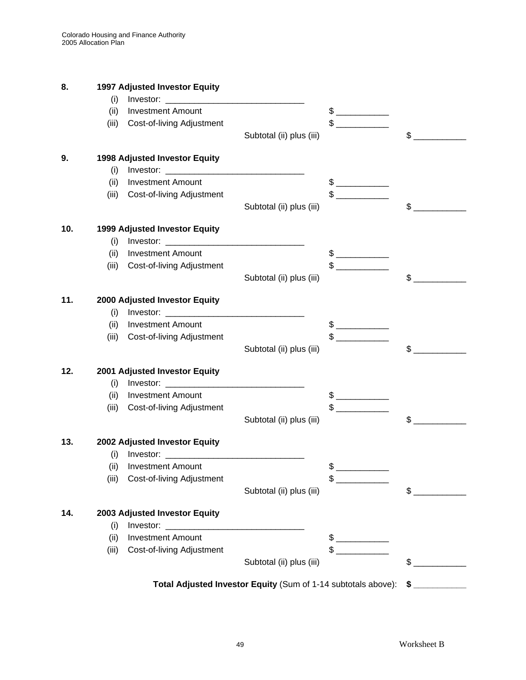| 8.  |       | 1997 Adjusted Investor Equity        |                                                               |                                                                                                                                                                                                                                                                                                                                                     |                               |
|-----|-------|--------------------------------------|---------------------------------------------------------------|-----------------------------------------------------------------------------------------------------------------------------------------------------------------------------------------------------------------------------------------------------------------------------------------------------------------------------------------------------|-------------------------------|
|     | (i)   |                                      |                                                               |                                                                                                                                                                                                                                                                                                                                                     |                               |
|     | (ii)  | <b>Investment Amount</b>             |                                                               |                                                                                                                                                                                                                                                                                                                                                     |                               |
|     | (iii) | Cost-of-living Adjustment            |                                                               | $\begin{picture}(20,20) \put(0,0){\line(1,0){100}} \put(15,0){\line(1,0){100}} \put(15,0){\line(1,0){100}} \put(15,0){\line(1,0){100}} \put(15,0){\line(1,0){100}} \put(15,0){\line(1,0){100}} \put(15,0){\line(1,0){100}} \put(15,0){\line(1,0){100}} \put(15,0){\line(1,0){100}} \put(15,0){\line(1,0){100}} \put(15,0){\line(1,0){100}} \$       |                               |
|     |       |                                      | Subtotal (ii) plus (iii)                                      |                                                                                                                                                                                                                                                                                                                                                     | \$                            |
| 9.  |       | <b>1998 Adjusted Investor Equity</b> |                                                               |                                                                                                                                                                                                                                                                                                                                                     |                               |
|     | (i)   |                                      |                                                               |                                                                                                                                                                                                                                                                                                                                                     |                               |
|     | (ii)  | <b>Investment Amount</b>             |                                                               | $\begin{picture}(20,20) \put(0,0){\line(1,0){10}} \put(15,0){\line(1,0){10}} \put(15,0){\line(1,0){10}} \put(15,0){\line(1,0){10}} \put(15,0){\line(1,0){10}} \put(15,0){\line(1,0){10}} \put(15,0){\line(1,0){10}} \put(15,0){\line(1,0){10}} \put(15,0){\line(1,0){10}} \put(15,0){\line(1,0){10}} \put(15,0){\line(1,0){10}} \put(15,0){\line(1$ |                               |
|     | (iii) | Cost-of-living Adjustment            |                                                               | $\begin{picture}(20,20) \put(0,0){\line(1,0){10}} \put(15,0){\line(1,0){10}} \put(15,0){\line(1,0){10}} \put(15,0){\line(1,0){10}} \put(15,0){\line(1,0){10}} \put(15,0){\line(1,0){10}} \put(15,0){\line(1,0){10}} \put(15,0){\line(1,0){10}} \put(15,0){\line(1,0){10}} \put(15,0){\line(1,0){10}} \put(15,0){\line(1,0){10}} \put(15,0){\line(1$ |                               |
|     |       |                                      | Subtotal (ii) plus (iii)                                      |                                                                                                                                                                                                                                                                                                                                                     | \$                            |
| 10. |       | 1999 Adjusted Investor Equity        |                                                               |                                                                                                                                                                                                                                                                                                                                                     |                               |
|     | (i)   |                                      |                                                               |                                                                                                                                                                                                                                                                                                                                                     |                               |
|     | (ii)  | <b>Investment Amount</b>             |                                                               | $$$ $$$                                                                                                                                                                                                                                                                                                                                             |                               |
|     | (iii) | Cost-of-living Adjustment            |                                                               | $\frac{1}{2}$                                                                                                                                                                                                                                                                                                                                       |                               |
|     |       |                                      | Subtotal (ii) plus (iii)                                      |                                                                                                                                                                                                                                                                                                                                                     | \$                            |
| 11. |       | 2000 Adjusted Investor Equity        |                                                               |                                                                                                                                                                                                                                                                                                                                                     |                               |
|     | (i)   |                                      |                                                               |                                                                                                                                                                                                                                                                                                                                                     |                               |
|     | (ii)  | <b>Investment Amount</b>             |                                                               |                                                                                                                                                                                                                                                                                                                                                     |                               |
|     | (iii) | Cost-of-living Adjustment            |                                                               |                                                                                                                                                                                                                                                                                                                                                     |                               |
|     |       |                                      | Subtotal (ii) plus (iii)                                      |                                                                                                                                                                                                                                                                                                                                                     | $\mathbb{S}$                  |
| 12. |       | 2001 Adjusted Investor Equity        |                                                               |                                                                                                                                                                                                                                                                                                                                                     |                               |
|     | (i)   |                                      |                                                               |                                                                                                                                                                                                                                                                                                                                                     |                               |
|     | (ii)  | <b>Investment Amount</b>             |                                                               | $\begin{picture}(20,20) \put(0,0){\line(1,0){10}} \put(15,0){\line(1,0){10}} \put(15,0){\line(1,0){10}} \put(15,0){\line(1,0){10}} \put(15,0){\line(1,0){10}} \put(15,0){\line(1,0){10}} \put(15,0){\line(1,0){10}} \put(15,0){\line(1,0){10}} \put(15,0){\line(1,0){10}} \put(15,0){\line(1,0){10}} \put(15,0){\line(1,0){10}} \put(15,0){\line(1$ |                               |
|     | (iii) | Cost-of-living Adjustment            |                                                               | $\begin{picture}(20,20) \put(0,0){\line(1,0){10}} \put(15,0){\line(1,0){10}} \put(15,0){\line(1,0){10}} \put(15,0){\line(1,0){10}} \put(15,0){\line(1,0){10}} \put(15,0){\line(1,0){10}} \put(15,0){\line(1,0){10}} \put(15,0){\line(1,0){10}} \put(15,0){\line(1,0){10}} \put(15,0){\line(1,0){10}} \put(15,0){\line(1,0){10}} \put(15,0){\line(1$ |                               |
|     |       |                                      | Subtotal (ii) plus (iii)                                      |                                                                                                                                                                                                                                                                                                                                                     | $\mathfrak{S}$                |
| 13. |       | 2002 Adjusted Investor Equity        |                                                               |                                                                                                                                                                                                                                                                                                                                                     |                               |
|     | (i)   |                                      |                                                               |                                                                                                                                                                                                                                                                                                                                                     |                               |
|     | (ii)  | <b>Investment Amount</b>             |                                                               | \$                                                                                                                                                                                                                                                                                                                                                  |                               |
|     | (iii) | Cost-of-living Adjustment            |                                                               |                                                                                                                                                                                                                                                                                                                                                     |                               |
|     |       |                                      | Subtotal (ii) plus (iii)                                      |                                                                                                                                                                                                                                                                                                                                                     | \$                            |
| 14. |       | 2003 Adjusted Investor Equity        |                                                               |                                                                                                                                                                                                                                                                                                                                                     |                               |
|     | (i)   |                                      |                                                               |                                                                                                                                                                                                                                                                                                                                                     |                               |
|     | (ii)  | <b>Investment Amount</b>             |                                                               |                                                                                                                                                                                                                                                                                                                                                     |                               |
|     | (iii) | Cost-of-living Adjustment            |                                                               | $\frac{1}{\sqrt{2}}$                                                                                                                                                                                                                                                                                                                                |                               |
|     |       |                                      | Subtotal (ii) plus (iii)                                      |                                                                                                                                                                                                                                                                                                                                                     | S                             |
|     |       |                                      | Total Adjusted Investor Equity (Sum of 1-14 subtotals above): |                                                                                                                                                                                                                                                                                                                                                     | $$$ $\overline{\phantom{a}8}$ |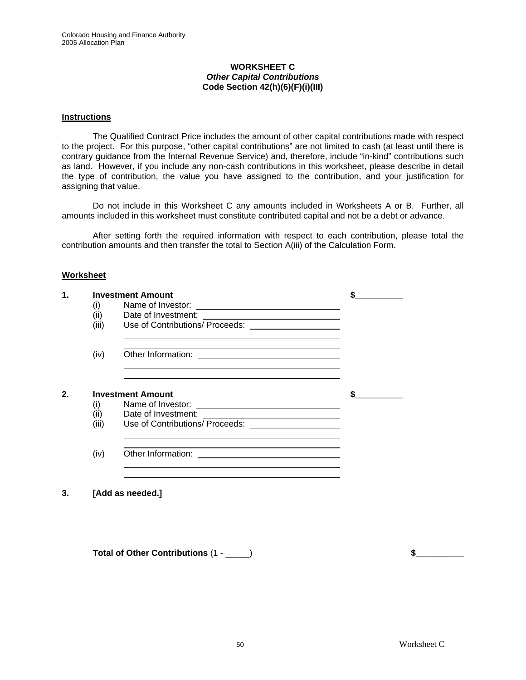#### **WORKSHEET C**  *Other Capital Contributions* **Code Section 42(h)(6)(F)(i)(III)**

#### **Instructions**

The Qualified Contract Price includes the amount of other capital contributions made with respect to the project. For this purpose, "other capital contributions" are not limited to cash (at least until there is contrary guidance from the Internal Revenue Service) and, therefore, include "in-kind" contributions such as land. However, if you include any non-cash contributions in this worksheet, please describe in detail the type of contribution, the value you have assigned to the contribution, and your justification for assigning that value.

Do not include in this Worksheet C any amounts included in Worksheets A or B. Further, all amounts included in this worksheet must constitute contributed capital and not be a debt or advance.

After setting forth the required information with respect to each contribution, please total the contribution amounts and then transfer the total to Section A(iii) of the Calculation Form.

#### **Worksheet**

| 1. | (i)<br>(ii)<br>(iii) | <b>Investment Amount</b><br>Date of Investment:<br>Use of Contributions/ Proceeds: _______________________                                                                                                                                                                                                          |  |
|----|----------------------|---------------------------------------------------------------------------------------------------------------------------------------------------------------------------------------------------------------------------------------------------------------------------------------------------------------------|--|
|    | (iv)                 | Other Information:<br><u> 1980 - Andrea Station Barbara, amerikan personal (</u>                                                                                                                                                                                                                                    |  |
| 2. | (i)<br>(ii)<br>(iii) | <u> 1989 - Johann Stoff, amerikansk politiker (* 1908)</u><br><b>Investment Amount</b><br>Name of Investor:<br><u> 1980 - Johann Barn, fransk politik (d. 1980)</u><br>Date of Investment:<br><u> 1989 - Johann Stoff, fransk konge og det ble stoffen og det ble stoffen og det ble stoffen og det ble stoffen</u> |  |
|    | (iv)                 | Other Information:<br><u> 1990 - John Harry Harry Harry Harry Harry Harry Harry Harry Harry Harry Harry Harry Harry Harry Harry Harry</u>                                                                                                                                                                           |  |
| 3. |                      | [Add as needed.]                                                                                                                                                                                                                                                                                                    |  |

**Total of Other Contributions** (1 - \_\_\_\_\_) **\$\_\_\_\_\_\_\_\_\_\_**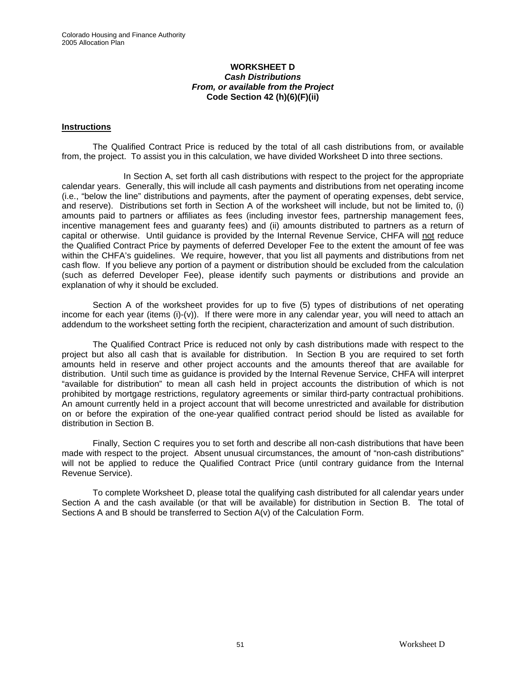#### **WORKSHEET D**  *Cash Distributions From, or available from the Project*  **Code Section 42 (h)(6)(F)(ii)**

#### **Instructions**

The Qualified Contract Price is reduced by the total of all cash distributions from, or available from, the project. To assist you in this calculation, we have divided Worksheet D into three sections.

In Section A, set forth all cash distributions with respect to the project for the appropriate calendar years. Generally, this will include all cash payments and distributions from net operating income (i.e., "below the line" distributions and payments, after the payment of operating expenses, debt service, and reserve). Distributions set forth in Section A of the worksheet will include, but not be limited to, (i) amounts paid to partners or affiliates as fees (including investor fees, partnership management fees, incentive management fees and guaranty fees) and (ii) amounts distributed to partners as a return of capital or otherwise. Until guidance is provided by the Internal Revenue Service, CHFA will not reduce the Qualified Contract Price by payments of deferred Developer Fee to the extent the amount of fee was within the CHFA's guidelines. We require, however, that you list all payments and distributions from net cash flow. If you believe any portion of a payment or distribution should be excluded from the calculation (such as deferred Developer Fee), please identify such payments or distributions and provide an explanation of why it should be excluded.

Section A of the worksheet provides for up to five (5) types of distributions of net operating income for each year (items (i)-(v)). If there were more in any calendar year, you will need to attach an addendum to the worksheet setting forth the recipient, characterization and amount of such distribution.

The Qualified Contract Price is reduced not only by cash distributions made with respect to the project but also all cash that is available for distribution. In Section B you are required to set forth amounts held in reserve and other project accounts and the amounts thereof that are available for distribution. Until such time as guidance is provided by the Internal Revenue Service, CHFA will interpret "available for distribution" to mean all cash held in project accounts the distribution of which is not prohibited by mortgage restrictions, regulatory agreements or similar third-party contractual prohibitions. An amount currently held in a project account that will become unrestricted and available for distribution on or before the expiration of the one-year qualified contract period should be listed as available for distribution in Section B.

Finally, Section C requires you to set forth and describe all non-cash distributions that have been made with respect to the project. Absent unusual circumstances, the amount of "non-cash distributions" will not be applied to reduce the Qualified Contract Price (until contrary guidance from the Internal Revenue Service).

To complete Worksheet D, please total the qualifying cash distributed for all calendar years under Section A and the cash available (or that will be available) for distribution in Section B. The total of Sections A and B should be transferred to Section A(v) of the Calculation Form.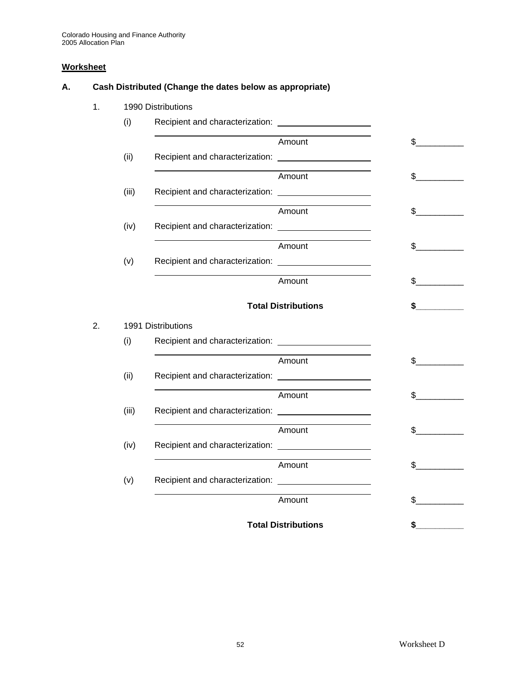## **Worksheet**

# **A. Cash Distributed (Change the dates below as appropriate)**

1. 1990 Distributions

|    | (i)   |                    |                            |                |
|----|-------|--------------------|----------------------------|----------------|
|    |       |                    | Amount                     | $\frac{1}{2}$  |
|    | (ii)  |                    |                            |                |
|    |       |                    | Amount                     | $\mathbb{S}$   |
|    | (iii) |                    |                            |                |
|    |       |                    | Amount                     | $\mathbb{S}^-$ |
|    | (iv)  |                    |                            |                |
|    |       |                    | Amount                     | \$             |
|    | (v)   |                    |                            |                |
|    |       |                    | Amount                     | \$             |
|    |       |                    | <b>Total Distributions</b> | \$             |
| 2. |       | 1991 Distributions |                            |                |
|    | (i)   |                    |                            |                |
|    |       |                    | Amount                     | $\mathbb{S}$   |
|    | (ii)  |                    |                            |                |
|    |       |                    | Amount                     | $\frac{1}{2}$  |
|    | (iii) |                    |                            |                |
|    |       |                    | Amount                     | $\mathbb{S}^-$ |
|    | (iv)  |                    |                            |                |
|    |       |                    | Amount                     | \$             |
|    | (v)   |                    |                            |                |
|    |       |                    | Amount                     | \$             |
|    |       |                    | <b>Total Distributions</b> | \$             |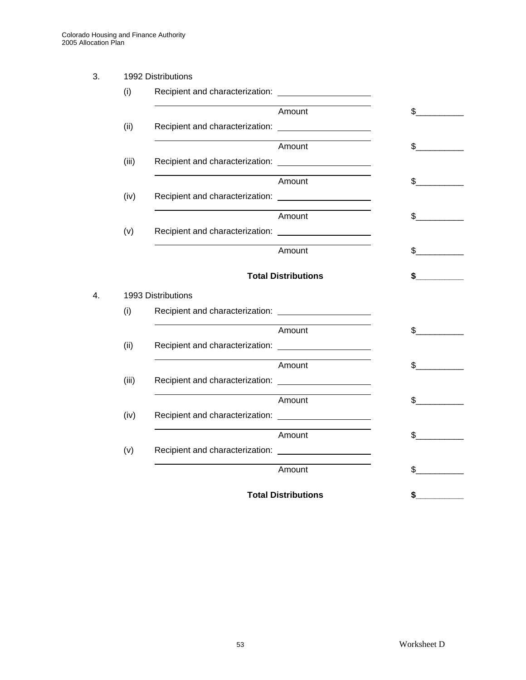# 3. 1992 Distributions

|    | (i)   |                    |                            |               |
|----|-------|--------------------|----------------------------|---------------|
|    |       |                    | Amount                     | $\sim$        |
|    | (ii)  |                    |                            |               |
|    |       |                    | Amount                     | $\mathbb{S}$  |
|    | (iii) |                    |                            |               |
|    |       |                    | Amount                     | $\sim$        |
|    | (iv)  |                    |                            |               |
|    |       |                    | Amount                     | $\mathbb{S}$  |
|    | (v)   |                    |                            |               |
|    |       |                    | Amount                     | \$            |
|    |       |                    | <b>Total Distributions</b> | \$            |
| 4. |       | 1993 Distributions |                            |               |
|    | (i)   |                    |                            |               |
|    |       |                    | Amount                     | $\frac{1}{2}$ |
|    | (ii)  |                    |                            |               |
|    |       |                    | Amount                     | \$            |
|    | (iii) |                    |                            |               |
|    |       |                    | Amount                     | \$            |
|    | (iv)  |                    |                            |               |
|    |       |                    | Amount                     | \$            |
|    | (v)   |                    |                            |               |
|    |       |                    | Amount                     | \$            |
|    |       |                    | <b>Total Distributions</b> | \$            |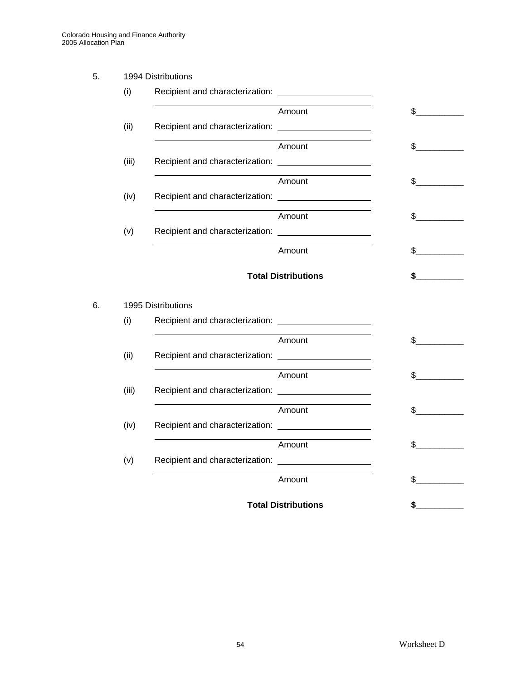# 5. 1994 Distributions

|    | (i)   |                    |                            |               |
|----|-------|--------------------|----------------------------|---------------|
|    |       |                    | Amount                     | $\frac{1}{2}$ |
|    | (ii)  |                    |                            |               |
|    |       |                    | Amount                     | \$            |
|    | (iii) |                    |                            |               |
|    |       |                    | Amount                     | $\sim$        |
|    | (iv)  |                    |                            |               |
|    |       |                    | Amount                     | $\mathbb{S}$  |
|    | (v)   |                    |                            |               |
|    |       |                    | Amount                     | \$            |
|    |       |                    |                            |               |
|    |       |                    | <b>Total Distributions</b> |               |
|    |       |                    |                            |               |
| 6. |       | 1995 Distributions |                            |               |
|    | (i)   |                    |                            | $\sim$        |
|    |       |                    | Amount                     | $\sim$        |
|    | (ii)  |                    |                            |               |
|    |       |                    | Amount                     | $\mathbb{S}$  |
|    | (iii) |                    |                            |               |
|    |       |                    | Amount                     | \$            |
|    | (iv)  |                    |                            |               |
|    |       |                    | Amount                     | $\sim$        |
|    | (v)   |                    |                            |               |
|    |       |                    | Amount                     | \$            |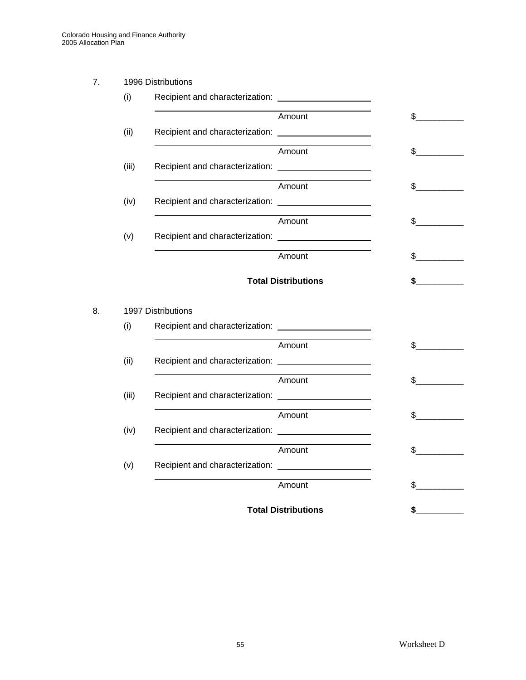# 7. 1996 Distributions

|    | (i)   |                    |                            |                |
|----|-------|--------------------|----------------------------|----------------|
|    |       |                    | Amount                     | $\sim$         |
|    | (ii)  |                    |                            |                |
|    |       |                    | Amount                     | $\mathsf{\$}$  |
|    | (iii) |                    |                            |                |
|    |       |                    | Amount                     | $\mathbb{S}$   |
|    | (iv)  |                    |                            |                |
|    |       |                    | Amount                     | $\mathbb{S}^-$ |
|    | (v)   |                    |                            |                |
|    |       |                    | Amount                     | $\mathbb S$    |
|    |       |                    |                            |                |
|    |       |                    | <b>Total Distributions</b> |                |
|    |       |                    |                            |                |
| 8. |       | 1997 Distributions |                            | $\sim$         |
|    | (i)   |                    |                            |                |
|    |       |                    | Amount                     | $\sim$         |
|    | (ii)  |                    |                            |                |
|    |       |                    | Amount                     | $\mathbb{S}$   |
|    | (iii) |                    |                            |                |
|    |       |                    | Amount                     | \$             |
|    | (iv)  |                    |                            |                |
|    |       |                    | Amount                     | $\mathsf{\$}$  |
|    | (v)   |                    |                            |                |
|    |       |                    | Amount                     | $\frac{2}{2}$  |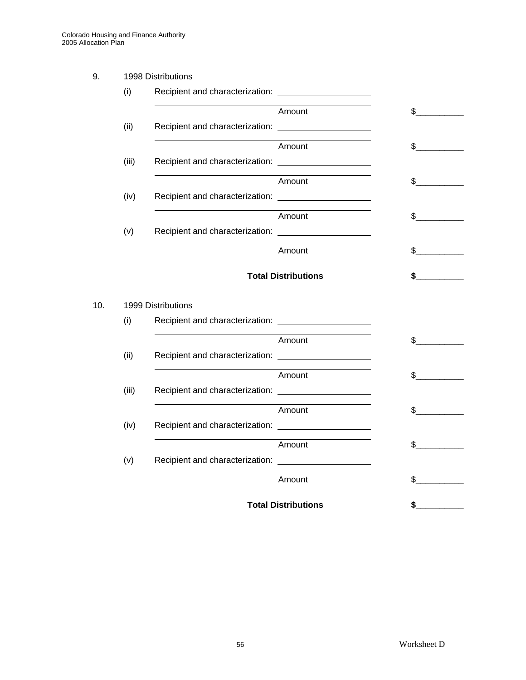# 9. 1998 Distributions

|     | (i)   |                    |                            |               |
|-----|-------|--------------------|----------------------------|---------------|
|     |       |                    | Amount                     | $\frac{1}{2}$ |
|     | (ii)  |                    |                            |               |
|     |       |                    | Amount                     | \$            |
|     | (iii) |                    |                            |               |
|     |       |                    | Amount                     | $\sim$        |
|     | (iv)  |                    |                            |               |
|     |       |                    | Amount                     | $\mathbb{S}$  |
|     | (v)   |                    |                            |               |
|     |       |                    | Amount                     | \$            |
|     |       |                    |                            |               |
|     |       |                    | <b>Total Distributions</b> |               |
|     |       |                    |                            |               |
|     |       | 1999 Distributions |                            |               |
|     | (i)   |                    |                            | $\sim$        |
|     |       |                    | Amount                     | $\sim$        |
|     | (ii)  |                    |                            |               |
|     |       |                    | Amount                     | $\mathbb{S}$  |
|     | (iii) |                    |                            |               |
|     |       |                    | Amount                     | \$            |
| 10. | (iv)  |                    |                            |               |
|     |       |                    | Amount                     | $\sim$        |
|     | (v)   |                    |                            |               |
|     |       |                    | Amount                     | \$            |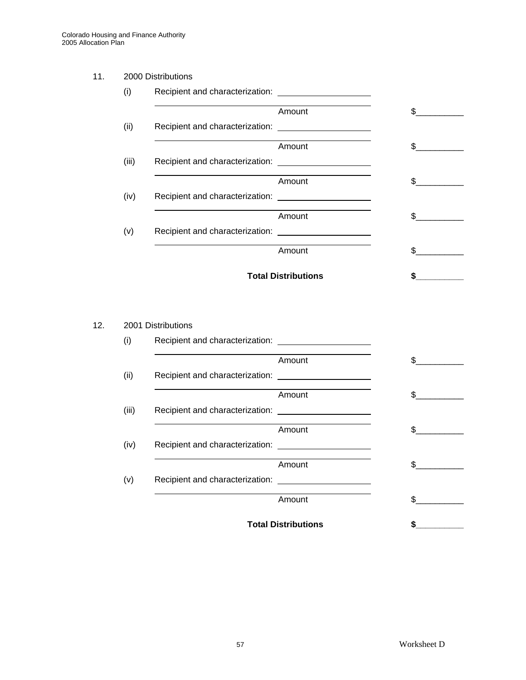# 11. 2000 Distributions

| Amount                          | \$. |
|---------------------------------|-----|
|                                 |     |
| Amount                          | \$. |
|                                 |     |
| Amount                          |     |
| Recipient and characterization: |     |
| Amount                          | \$  |
|                                 |     |
| Amount                          |     |
| <b>Total Distributions</b>      |     |

#### 12. 2001 Distributions

| Amount                          |     |
|---------------------------------|-----|
|                                 |     |
| Amount                          | \$  |
|                                 |     |
| Amount                          | \$  |
|                                 |     |
| Amount                          | \$. |
| Recipient and characterization: |     |
| Amount                          | \$. |
| <b>Total Distributions</b>      | S   |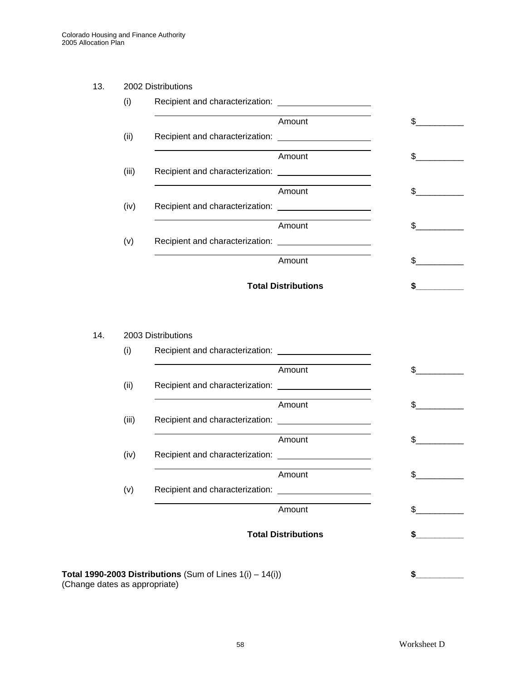#### 13. 2002 Distributions

| Amount                          | \$. |
|---------------------------------|-----|
|                                 |     |
| Amount                          | \$. |
|                                 |     |
| Amount                          |     |
| Recipient and characterization: |     |
| Amount                          | \$  |
|                                 |     |
| Amount                          |     |
| <b>Total Distributions</b>      |     |

# 14. 2003 Distributions

| (i)   |                            |     |
|-------|----------------------------|-----|
|       | Amount                     | \$. |
| (ii)  |                            |     |
|       | Amount                     | \$. |
| (iii) |                            |     |
|       | Amount                     | \$. |
| (iv)  |                            |     |
|       | Amount                     | \$. |
| (v)   |                            |     |
|       | Amount                     | \$. |
|       | <b>Total Distributions</b> |     |

**Total 1990-2003 Distributions** (Sum of Lines 1(i) – 14(i)) **\$\_\_\_\_\_\_\_\_\_\_** (Change dates as appropriate)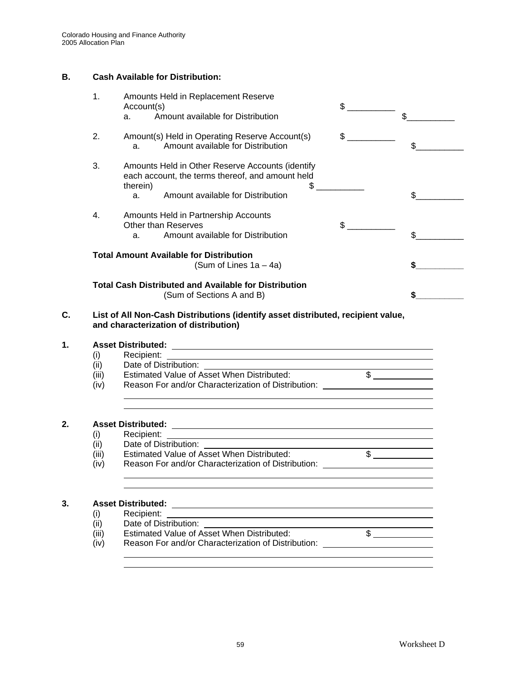# **B. Cash Available for Distribution:**

| 1.            | Amounts Held in Replacement Reserve<br>Account(s)                                                                                                                                                                                                         | $\frac{1}{2}$        |                       |
|---------------|-----------------------------------------------------------------------------------------------------------------------------------------------------------------------------------------------------------------------------------------------------------|----------------------|-----------------------|
|               | Amount available for Distribution<br>a.                                                                                                                                                                                                                   |                      | $\mathbb{S}$          |
| 2.            | Amount(s) Held in Operating Reserve Account(s)<br>Amount available for Distribution<br>a.                                                                                                                                                                 | $\frac{1}{\sqrt{2}}$ |                       |
| 3.            | Amounts Held in Other Reserve Accounts (identify<br>each account, the terms thereof, and amount held<br>therein)                                                                                                                                          | $\frac{1}{2}$        |                       |
|               | Amount available for Distribution<br>a.                                                                                                                                                                                                                   |                      | \$                    |
| 4.            | Amounts Held in Partnership Accounts                                                                                                                                                                                                                      |                      |                       |
|               | <b>Other than Reserves</b><br>Amount available for Distribution<br>a <sub>1</sub>                                                                                                                                                                         | $\frac{1}{2}$        | $s$ <sub>___</sub>    |
|               | <b>Total Amount Available for Distribution</b><br>(Sum of Lines $1a - 4a$ )                                                                                                                                                                               |                      |                       |
|               | <b>Total Cash Distributed and Available for Distribution</b><br>(Sum of Sections A and B)                                                                                                                                                                 |                      |                       |
|               | List of All Non-Cash Distributions (identify asset distributed, recipient value,<br>and characterization of distribution)                                                                                                                                 |                      |                       |
|               |                                                                                                                                                                                                                                                           |                      |                       |
| (i)           |                                                                                                                                                                                                                                                           |                      |                       |
| (ii)          | Date of Distribution: _________<br><u> 1980 - Johann Barnett, fransk politiker (</u>                                                                                                                                                                      |                      |                       |
| (iii)         | Estimated Value of Asset When Distributed:                                                                                                                                                                                                                |                      | $\overline{\text{S}}$ |
| (iv)          | Reason For and/or Characterization of Distribution: ____________________________                                                                                                                                                                          |                      |                       |
|               |                                                                                                                                                                                                                                                           |                      |                       |
| (i)           |                                                                                                                                                                                                                                                           |                      |                       |
|               |                                                                                                                                                                                                                                                           |                      |                       |
|               |                                                                                                                                                                                                                                                           |                      |                       |
| (ii)          |                                                                                                                                                                                                                                                           |                      |                       |
| (iii)<br>(iv) | Estimated Value of Asset When Distributed:<br>Reason For and/or Characterization of Distribution: ____________________________<br><u> 1989 - Johann Barbert Barbert Barbert Barbert Barbert Barbert Barbert Barbert Barbert Barbert Barbert Barbert B</u> |                      | $\frac{1}{2}$         |
|               | <u> 1989 - Johann Stoff, amerikansk politiker (* 1908)</u>                                                                                                                                                                                                |                      |                       |
|               |                                                                                                                                                                                                                                                           |                      |                       |
| (i)<br>(ii)   | Date of Distribution:                                                                                                                                                                                                                                     |                      |                       |

(iii) Estimated Value of Asset When Distributed:  $\$\_\text{[iv]}$  Reason For and/or Characterization of Distribution: Reason For and/or Characterization of Distribution: \_\_\_\_\_\_\_\_